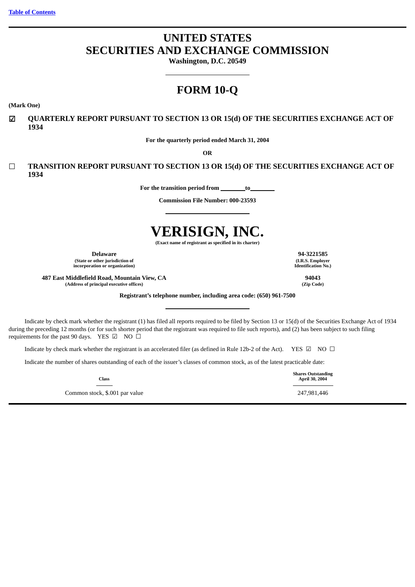# **UNITED STATES SECURITIES AND EXCHANGE COMMISSION**

**Washington, D.C. 20549**

# **FORM 10-Q**

**(Mark One)**

☑ **QUARTERLY REPORT PURSUANT TO SECTION 13 OR 15(d) OF THE SECURITIES EXCHANGE ACT OF 1934**

**For the quarterly period ended March 31, 2004**

**OR**

☐ **TRANSITION REPORT PURSUANT TO SECTION 13 OR 15(d) OF THE SECURITIES EXCHANGE ACT OF 1934**

**For the transition period from to** 

**Commission File Number: 000-23593**

# **VERISIGN, INC.**

**(Exact name of registrant as specified in its charter)**

**Delaware 94-3221585 (State or other jurisdiction of incorporation or organization)**

**487 East Middlefield Road, Mountain View, CA 94043 (Address of principal executive offices) (Zip Code)**

**(I.R.S. Employer Identification No.)**

**Registrant's telephone number, including area code: (650) 961-7500**

Indicate by check mark whether the registrant (1) has filed all reports required to be filed by Section 13 or 15(d) of the Securities Exchange Act of 1934 during the preceding 12 months (or for such shorter period that the registrant was required to file such reports), and (2) has been subject to such filing requirements for the past 90 days. YES  $\boxtimes$  NO  $\Box$ 

Indicate by check mark whether the registrant is an accelerated filer (as defined in Rule 12b-2 of the Act). YES☑ NO ☐

Indicate the number of shares outstanding of each of the issuer's classes of common stock, as of the latest practicable date:

**Class Shares Outstanding April 30, 2004** Common stock, \$.001 par value 247,981,446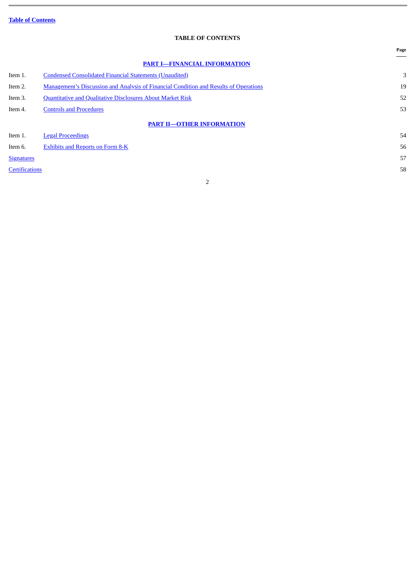# **TABLE OF CONTENTS**

<span id="page-1-0"></span>

|                       |                                                                                       | Page |
|-----------------------|---------------------------------------------------------------------------------------|------|
|                       | <b>PART I-FINANCIAL INFORMATION</b>                                                   |      |
| Item 1.               | <b>Condensed Consolidated Financial Statements (Unaudited)</b>                        | 3    |
| Item 2.               | Management's Discussion and Analysis of Financial Condition and Results of Operations | 19   |
| Item 3.               | Quantitative and Qualitative Disclosures About Market Risk                            | 52   |
| Item 4.               | <b>Controls and Procedures</b>                                                        | 53   |
|                       | <b>PART II-OTHER INFORMATION</b>                                                      |      |
| Item 1.               | <b>Legal Proceedings</b>                                                              | 54   |
| Item 6.               | <b>Exhibits and Reports on Form 8-K</b>                                               | 56   |
| <b>Signatures</b>     |                                                                                       | 57   |
| <b>Certifications</b> |                                                                                       | 58   |
|                       | $\overline{2}$                                                                        |      |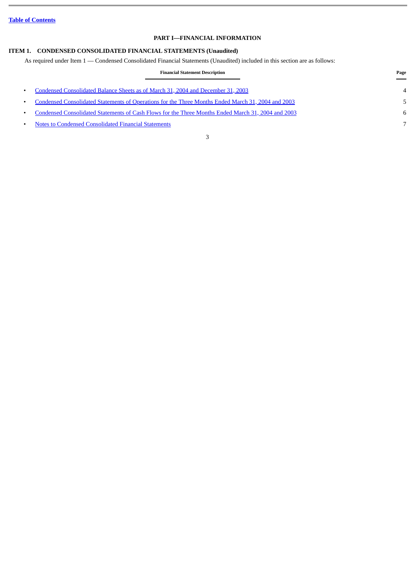# **PART I—FINANCIAL INFORMATION**

# <span id="page-2-1"></span><span id="page-2-0"></span>**ITEM 1. CONDENSED CONSOLIDATED FINANCIAL STATEMENTS (Unaudited)**

As required under Item 1 — Condensed Consolidated Financial Statements (Unaudited) included in this section are as follows:

| <b>Financial Statement Description</b>                                                             | Page           |
|----------------------------------------------------------------------------------------------------|----------------|
| Condensed Consolidated Balance Sheets as of March 31, 2004 and December 31, 2003                   | $\overline{4}$ |
| Condensed Consolidated Statements of Operations for the Three Months Ended March 31, 2004 and 2003 |                |
| Condensed Consolidated Statements of Cash Flows for the Three Months Ended March 31, 2004 and 2003 | 6              |
| <b>Notes to Condensed Consolidated Financial Statements</b>                                        |                |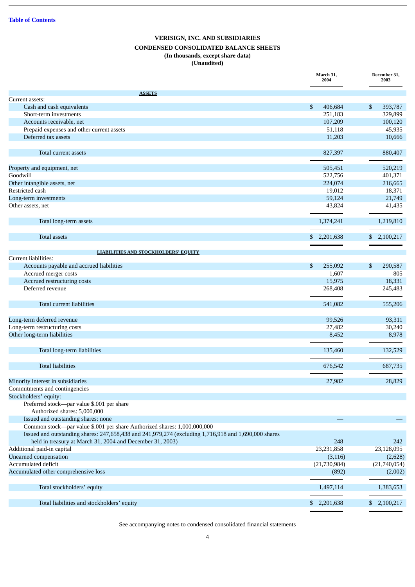# **VERISIGN, INC. AND SUBSIDIARIES CONDENSED CONSOLIDATED BALANCE SHEETS (In thousands, except share data) (Unaudited)**

<span id="page-3-0"></span>

|                                                                                                      | March 31,<br>2004 | December 31,<br>2003 |
|------------------------------------------------------------------------------------------------------|-------------------|----------------------|
| <b>ASSETS</b>                                                                                        |                   |                      |
| Current assets:                                                                                      |                   |                      |
| Cash and cash equivalents<br>\$                                                                      | 406,684           | \$<br>393,787        |
| Short-term investments                                                                               | 251,183           | 329,899              |
| Accounts receivable, net                                                                             | 107,209           | 100,120              |
| Prepaid expenses and other current assets                                                            | 51,118            | 45,935               |
| Deferred tax assets                                                                                  | 11,203            | 10,666               |
| Total current assets                                                                                 | 827,397           | 880,407              |
|                                                                                                      |                   |                      |
| Property and equipment, net                                                                          | 505,451           | 520,219              |
| Goodwill                                                                                             | 522,756           | 401,371              |
| Other intangible assets, net                                                                         | 224,074           | 216,665              |
| Restricted cash                                                                                      | 19,012            | 18,371               |
| Long-term investments                                                                                | 59,124            | 21,749               |
| Other assets, net                                                                                    | 43,824            | 41,435               |
| Total long-term assets                                                                               | 1,374,241         | 1,219,810            |
| <b>Total assets</b>                                                                                  | \$2,201,638       | 2,100,217            |
|                                                                                                      |                   |                      |
| <b>LIABILITIES AND STOCKHOLDERS' EQUITY</b><br>Current liabilities:                                  |                   |                      |
| Accounts payable and accrued liabilities<br>\$                                                       | 255,092           | \$<br>290,587        |
| Accrued merger costs                                                                                 | 1,607             | 805                  |
| Accrued restructuring costs                                                                          | 15,975            | 18,331               |
| Deferred revenue                                                                                     | 268,408           | 245,483              |
|                                                                                                      |                   |                      |
| Total current liabilities                                                                            | 541,082           | 555,206              |
| Long-term deferred revenue                                                                           | 99,526            | 93,311               |
| Long-term restructuring costs                                                                        | 27,482            | 30,240               |
| Other long-term liabilities                                                                          | 8,452             | 8,978                |
|                                                                                                      |                   |                      |
| Total long-term liabilities                                                                          | 135,460           | 132,529              |
|                                                                                                      |                   |                      |
| <b>Total liabilities</b>                                                                             | 676,542           | 687,735              |
| Minority interest in subsidiaries                                                                    | 27,982            | 28,829               |
| Commitments and contingencies                                                                        |                   |                      |
| Stockholders' equity:                                                                                |                   |                      |
| Preferred stock-par value \$.001 per share<br>Authorized shares: 5,000,000                           |                   |                      |
| Issued and outstanding shares: none                                                                  |                   |                      |
| Common stock-par value \$.001 per share Authorized shares: 1,000,000,000                             |                   |                      |
| Issued and outstanding shares: 247,658,438 and 241,979,274 (excluding 1,716,918 and 1,690,000 shares |                   |                      |
| held in treasury at March 31, 2004 and December 31, 2003)<br>Additional paid-in capital              | 248<br>23,231,858 | 242<br>23,128,095    |
| <b>Unearned compensation</b>                                                                         | (3, 116)          | (2,628)              |
| Accumulated deficit                                                                                  | (21,730,984)      | (21,740,054)         |
| Accumulated other comprehensive loss                                                                 | (892)             | (2,002)              |
|                                                                                                      |                   |                      |
| Total stockholders' equity                                                                           | 1,497,114         | 1,383,653            |
| Total liabilities and stockholders' equity                                                           | \$2,201,638       | \$2,100,217          |

See accompanying notes to condensed consolidated financial statements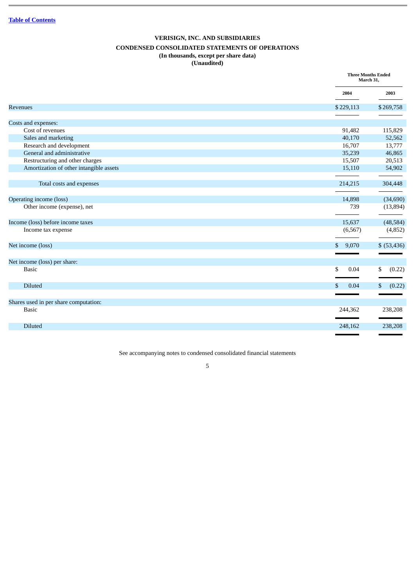# **VERISIGN, INC. AND SUBSIDIARIES CONDENSED CONSOLIDATED STATEMENTS OF OPERATIONS (In thousands, except per share data) (Unaudited)**

<span id="page-4-0"></span>

|                                         |             | <b>Three Months Ended</b><br>March 31, |
|-----------------------------------------|-------------|----------------------------------------|
|                                         | 2004        | 2003                                   |
| <b>Revenues</b>                         | \$229,113   | \$269,758                              |
| Costs and expenses:                     |             |                                        |
| Cost of revenues                        | 91,482      | 115,829                                |
| Sales and marketing                     | 40,170      | 52,562                                 |
| Research and development                | 16,707      | 13,777                                 |
| General and administrative              | 35,239      | 46,865                                 |
| Restructuring and other charges         | 15,507      | 20,513                                 |
| Amortization of other intangible assets | 15,110      | 54,902                                 |
|                                         |             |                                        |
| Total costs and expenses                | 214,215     | 304,448                                |
| Operating income (loss)                 | 14,898      | (34,690)                               |
| Other income (expense), net             | 739         | (13, 894)                              |
|                                         |             |                                        |
| Income (loss) before income taxes       | 15,637      | (48, 584)                              |
| Income tax expense                      | (6, 567)    | (4, 852)                               |
| Net income (loss)                       | \$<br>9,070 | \$ (53,436)                            |
|                                         |             |                                        |
| Net income (loss) per share:            |             |                                        |
| <b>Basic</b>                            | \$<br>0.04  | \$<br>(0.22)                           |
|                                         |             |                                        |
| Diluted                                 | 0.04<br>\$  | (0.22)                                 |
|                                         |             |                                        |
| Shares used in per share computation:   |             |                                        |
| <b>Basic</b>                            | 244,362     | 238,208                                |
|                                         |             |                                        |
| Diluted                                 | 248,162     | 238,208                                |
|                                         |             |                                        |

See accompanying notes to condensed consolidated financial statements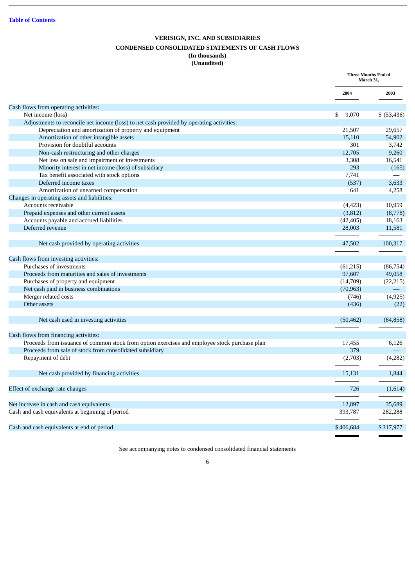# **VERISIGN, INC. AND SUBSIDIARIES CONDENSED CONSOLIDATED STATEMENTS OF CASH FLOWS (In thousands) (Unaudited)**

<span id="page-5-0"></span>

|                                                                                               | March 31,   | <b>Three Months Ended</b> |
|-----------------------------------------------------------------------------------------------|-------------|---------------------------|
|                                                                                               | 2004        | 2003                      |
| Cash flows from operating activities:                                                         |             |                           |
| Net income (loss)                                                                             | 9,070<br>\$ | $$$ (53,436)              |
| Adjustments to reconcile net income (loss) to net cash provided by operating activities:      |             |                           |
| Depreciation and amortization of property and equipment                                       | 21,507      | 29,657                    |
| Amortization of other intangible assets                                                       | 15,110      | 54,902                    |
| Provision for doubtful accounts                                                               | 301         | 3,742                     |
| Non-cash restructuring and other charges                                                      | 12,705      | 9,260                     |
| Net loss on sale and impairment of investments                                                | 3,308       | 16,541                    |
| Minority interest in net income (loss) of subsidiary                                          | 293         | (165)                     |
| Tax benefit associated with stock options                                                     | 7,741       |                           |
| Deferred income taxes                                                                         | (537)       | 3.633                     |
| Amortization of unearned compensation                                                         | 641         | 4,258                     |
| Changes in operating assets and liabilities:                                                  |             |                           |
| Accounts receivable                                                                           | (4, 423)    | 10,959                    |
| Prepaid expenses and other current assets                                                     | (3, 812)    | (8,778)                   |
| Accounts payable and accrued liabilities                                                      | (42, 405)   | 18,163                    |
| Deferred revenue                                                                              | 28,003      | 11,581                    |
|                                                                                               |             |                           |
| Net cash provided by operating activities                                                     | 47,502      | 100,317                   |
|                                                                                               |             |                           |
| Cash flows from investing activities:                                                         |             |                           |
| Purchases of investments                                                                      | (61,215)    | (86,754)                  |
| Proceeds from maturities and sales of investments                                             | 97.607      | 49,058                    |
| Purchases of property and equipment                                                           | (14,709)    | (22, 215)                 |
| Net cash paid in business combinations                                                        | (70, 963)   |                           |
| Merger related costs                                                                          | (746)       | (4, 925)                  |
| Other assets                                                                                  | (436)       | (22)                      |
|                                                                                               |             |                           |
| Net cash used in investing activities                                                         | (50, 462)   | (64, 858)                 |
|                                                                                               |             |                           |
| Cash flows from financing activities:                                                         |             |                           |
| Proceeds from issuance of common stock from option exercises and employee stock purchase plan | 17,455      | 6,126                     |
| Proceeds from sale of stock from consolidated subsidiary                                      | 379         |                           |
| Repayment of debt                                                                             | (2,703)     | (4,282)                   |
|                                                                                               |             |                           |
| Net cash provided by financing activities                                                     | 15,131      | 1,844                     |
|                                                                                               |             |                           |
|                                                                                               | 726         |                           |
| Effect of exchange rate changes                                                               |             | (1,614)                   |
|                                                                                               |             |                           |
| Net increase in cash and cash equivalents                                                     | 12,897      | 35,689                    |
| Cash and cash equivalents at beginning of period                                              | 393,787     | 282,288                   |
|                                                                                               |             |                           |
| Cash and cash equivalents at end of period                                                    | \$406.684   | \$317,977                 |
|                                                                                               |             |                           |

See accompanying notes to condensed consolidated financial statements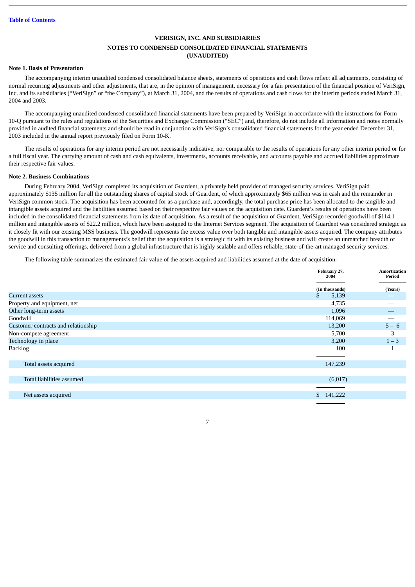# **VERISIGN, INC. AND SUBSIDIARIES NOTES TO CONDENSED CONSOLIDATED FINANCIAL STATEMENTS (UNAUDITED)**

# <span id="page-6-0"></span>**Note 1. Basis of Presentation**

The accompanying interim unaudited condensed consolidated balance sheets, statements of operations and cash flows reflect all adjustments, consisting of normal recurring adjustments and other adjustments, that are, in the opinion of management, necessary for a fair presentation of the financial position of VeriSign, Inc. and its subsidiaries ("VeriSign" or "the Company"), at March 31, 2004, and the results of operations and cash flows for the interim periods ended March 31, 2004 and 2003.

The accompanying unaudited condensed consolidated financial statements have been prepared by VeriSign in accordance with the instructions for Form 10-Q pursuant to the rules and regulations of the Securities and Exchange Commission ("SEC") and, therefore, do not include all information and notes normally provided in audited financial statements and should be read in conjunction with VeriSign's consolidated financial statements for the year ended December 31, 2003 included in the annual report previously filed on Form 10-K.

The results of operations for any interim period are not necessarily indicative, nor comparable to the results of operations for any other interim period or for a full fiscal year. The carrying amount of cash and cash equivalents, investments, accounts receivable, and accounts payable and accrued liabilities approximate their respective fair values.

#### **Note 2. Business Combinations**

During February 2004, VeriSign completed its acquisition of Guardent, a privately held provider of managed security services. VeriSign paid approximately \$135 million for all the outstanding shares of capital stock of Guardent, of which approximately \$65 million was in cash and the remainder in VeriSign common stock. The acquisition has been accounted for as a purchase and, accordingly, the total purchase price has been allocated to the tangible and intangible assets acquired and the liabilities assumed based on their respective fair values on the acquisition date. Guardent's results of operations have been included in the consolidated financial statements from its date of acquisition. As a result of the acquisition of Guardent, VeriSign recorded goodwill of \$114.1 million and intangible assets of \$22.2 million, which have been assigned to the Internet Services segment. The acquisition of Guardent was considered strategic as it closely fit with our existing MSS business. The goodwill represents the excess value over both tangible and intangible assets acquired. The company attributes the goodwill in this transaction to managements's belief that the acquisition is a strategic fit with its existing business and will create an unmatched breadth of service and consulting offerings, delivered from a global infrastructure that is highly scalable and offers reliable, state-of-the-art managed security services.

The following table summarizes the estimated fair value of the assets acquired and liabilities assumed at the date of acquisition:

|                                     | February 27,<br>2004 | <b>Amortization</b><br>Period |
|-------------------------------------|----------------------|-------------------------------|
|                                     | (In thousands)       | (Years)                       |
| Current assets                      | \$<br>5,139          |                               |
| Property and equipment, net         | 4,735                |                               |
| Other long-term assets              | 1,096                | 二                             |
| Goodwill                            | 114,069              |                               |
| Customer contracts and relationship | 13,200               | $5 - 6$                       |
| Non-compete agreement               | 5,700                | 3                             |
| Technology in place                 | 3,200                | $1 - 3$                       |
| <b>Backlog</b>                      | 100                  |                               |
|                                     |                      |                               |
| Total assets acquired               | 147,239              |                               |
|                                     |                      |                               |
| Total liabilities assumed           | (6,017)              |                               |
|                                     |                      |                               |
| Net assets acquired                 | 141,222<br>S.        |                               |
|                                     |                      |                               |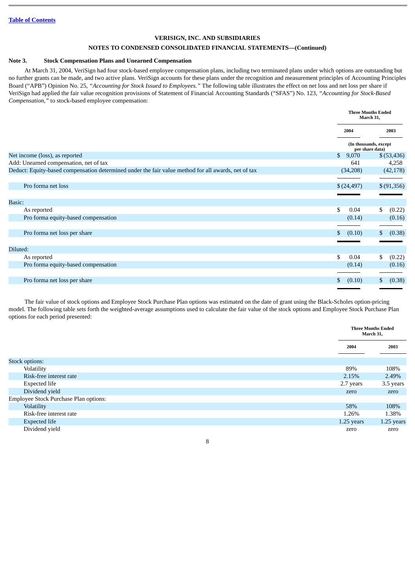# **NOTES TO CONDENSED CONSOLIDATED FINANCIAL STATEMENTS—(Continued)**

#### **Note 3. Stock Compensation Plans and Unearned Compensation**

At March 31, 2004, VeriSign had four stock-based employee compensation plans, including two terminated plans under which options are outstanding but no further grants can be made, and two active plans. VeriSign accounts for these plans under the recognition and measurement principles of Accounting Principles Board ("APB") Opinion No. 25, *"Accounting for Stock Issued to Employees."* The following table illustrates the effect on net loss and net loss per share if VeriSign had applied the fair value recognition provisions of Statement of Financial Accounting Standards ("SFAS") No. 123, *"Accounting for Stock-Based Compensation,"* to stock-based employee compensation:

|                                                                                                     | <b>Three Months Ended</b><br>March 31,   |              |
|-----------------------------------------------------------------------------------------------------|------------------------------------------|--------------|
|                                                                                                     | 2004                                     | 2003         |
|                                                                                                     | (In thousands, except<br>per share data) |              |
| Net income (loss), as reported                                                                      | \$<br>9,070                              | \$ (53, 436) |
| Add: Unearned compensation, net of tax                                                              | 641                                      | 4,258        |
| Deduct: Equity-based compensation determined under the fair value method for all awards, net of tax | (34,208)                                 | (42, 178)    |
|                                                                                                     |                                          |              |
| Pro forma net loss                                                                                  | \$(24,497)                               | \$ (91,356)  |
|                                                                                                     |                                          |              |
| Basic:                                                                                              |                                          |              |
| As reported                                                                                         | \$<br>0.04                               | (0.22)<br>\$ |
| Pro forma equity-based compensation                                                                 | (0.14)                                   | (0.16)       |
|                                                                                                     |                                          |              |
| Pro forma net loss per share                                                                        | (0.10)<br>\$                             | (0.38)<br>\$ |
|                                                                                                     |                                          |              |
| Diluted:                                                                                            |                                          |              |
| As reported                                                                                         | \$<br>0.04                               | (0.22)<br>\$ |
| Pro forma equity-based compensation                                                                 | (0.14)                                   | (0.16)       |
|                                                                                                     |                                          |              |
| Pro forma net loss per share                                                                        | (0.10)<br>S.                             | (0.38)<br>\$ |
|                                                                                                     |                                          |              |

The fair value of stock options and Employee Stock Purchase Plan options was estimated on the date of grant using the Black-Scholes option-pricing model. The following table sets forth the weighted-average assumptions used to calculate the fair value of the stock options and Employee Stock Purchase Plan options for each period presented:

| <b>Three Months Ended</b><br>March 31, |            |
|----------------------------------------|------------|
| 2004                                   | 2003       |
|                                        |            |
| 89%                                    | 108%       |
| 2.15%                                  | 2.49%      |
| 2.7 years                              | 3.5 years  |
| zero                                   | zero       |
|                                        |            |
| 58%                                    | 108%       |
| 1.26%                                  | 1.38%      |
| 1.25 years                             | 1.25 years |
| zero                                   | zero       |
|                                        |            |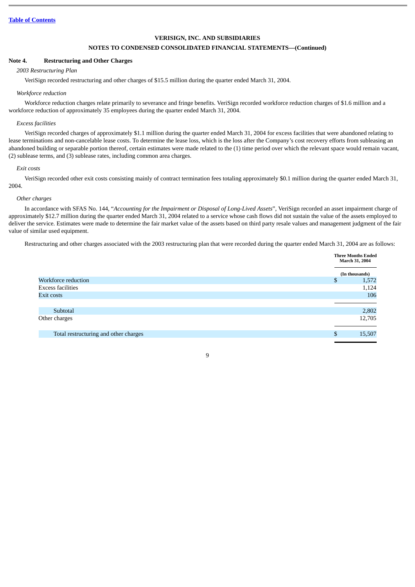# **NOTES TO CONDENSED CONSOLIDATED FINANCIAL STATEMENTS—(Continued)**

# **Note 4. Restructuring and Other Charges**

# *2003 Restructuring Plan*

VeriSign recorded restructuring and other charges of \$15.5 million during the quarter ended March 31, 2004.

#### *Workforce reduction*

Workforce reduction charges relate primarily to severance and fringe benefits. VeriSign recorded workforce reduction charges of \$1.6 million and a workforce reduction of approximately 35 employees during the quarter ended March 31, 2004.

#### *Excess facilities*

VeriSign recorded charges of approximately \$1.1 million during the quarter ended March 31, 2004 for excess facilities that were abandoned relating to lease terminations and non-cancelable lease costs. To determine the lease loss, which is the loss after the Company's cost recovery efforts from subleasing an abandoned building or separable portion thereof, certain estimates were made related to the (1) time period over which the relevant space would remain vacant, (2) sublease terms, and (3) sublease rates, including common area charges.

#### *Exit costs*

VeriSign recorded other exit costs consisting mainly of contract termination fees totaling approximately \$0.1 million during the quarter ended March 31, 2004.

#### *Other charges*

In accordance with SFAS No. 144, "*Accounting for the Impairment or Disposal of Long-Lived Assets*", VeriSign recorded an asset impairment charge of approximately \$12.7 million during the quarter ended March 31, 2004 related to a service whose cash flows did not sustain the value of the assets employed to deliver the service. Estimates were made to determine the fair market value of the assets based on third party resale values and management judgment of the fair value of similar used equipment.

Restructuring and other charges associated with the 2003 restructuring plan that were recorded during the quarter ended March 31, 2004 are as follows:

|                                       | <b>Three Months Ended</b><br>March 31, 2004 |
|---------------------------------------|---------------------------------------------|
|                                       | (In thousands)                              |
| Workforce reduction                   | \$<br>1,572                                 |
| Excess facilities                     | 1,124                                       |
| Exit costs                            | 106                                         |
|                                       |                                             |
| Subtotal                              | 2,802                                       |
| Other charges                         | 12,705                                      |
|                                       |                                             |
| Total restructuring and other charges | 15,507<br>\$                                |
|                                       |                                             |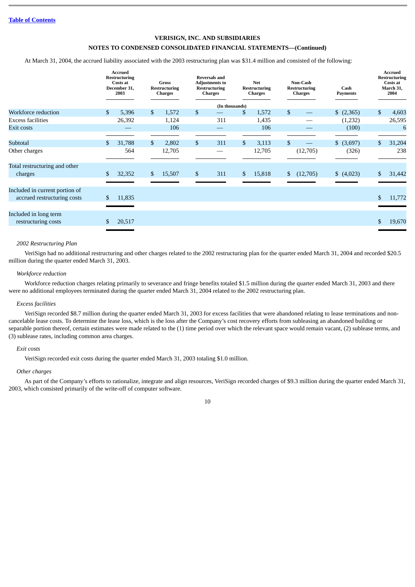# **NOTES TO CONDENSED CONSOLIDATED FINANCIAL STATEMENTS—(Continued)**

At March 31, 2004, the accrued liability associated with the 2003 restructuring plan was \$31.4 million and consisted of the following:

|                                | <b>Accrued</b><br><b>Restructuring</b><br>Costs at<br>December 31,<br>2003 |        |               |        | <b>Reversals and</b><br><b>Gross</b><br><b>Adjustments to</b><br><b>Restructuring</b><br>Restructuring<br><b>Charges</b><br><b>Charges</b> |                | <b>Net</b><br>Restructuring<br><b>Charges</b> |        | Non-Cash<br><b>Restructuring</b><br><b>Charges</b> |          | Cash<br><b>Payments</b> | <b>Accrued</b><br><b>Restructuring</b><br>Costs at<br>March 31,<br>2004 |        |
|--------------------------------|----------------------------------------------------------------------------|--------|---------------|--------|--------------------------------------------------------------------------------------------------------------------------------------------|----------------|-----------------------------------------------|--------|----------------------------------------------------|----------|-------------------------|-------------------------------------------------------------------------|--------|
|                                |                                                                            |        |               |        |                                                                                                                                            | (In thousands) |                                               |        |                                                    |          |                         |                                                                         |        |
| Workforce reduction            | \$                                                                         | 5,396  | <sup>\$</sup> | 1,572  | $\mathfrak{S}$                                                                                                                             |                | \$.                                           | 1,572  | \$                                                 |          | (2,365)                 | \$                                                                      | 4,603  |
| <b>Excess facilities</b>       |                                                                            | 26,392 |               | 1,124  |                                                                                                                                            | 311            |                                               | 1,435  |                                                    |          | (1,232)                 |                                                                         | 26,595 |
| Exit costs                     |                                                                            |        |               | 106    |                                                                                                                                            |                |                                               | 106    |                                                    |          | (100)                   |                                                                         | 6      |
|                                |                                                                            |        |               |        |                                                                                                                                            |                |                                               |        |                                                    |          |                         |                                                                         |        |
| <b>Subtotal</b>                | \$.                                                                        | 31,788 | $\mathbf{s}$  | 2,802  | $\mathbb{S}$                                                                                                                               | 311            | $\mathbb{S}$                                  | 3,113  | \$                                                 |          | \$ (3,697)              | \$                                                                      | 31,204 |
| Other charges                  |                                                                            | 564    |               | 12,705 |                                                                                                                                            |                |                                               | 12,705 |                                                    | (12,705) | (326)                   |                                                                         | 238    |
|                                |                                                                            |        |               |        |                                                                                                                                            |                |                                               |        |                                                    |          |                         |                                                                         |        |
| Total restructuring and other  |                                                                            |        |               |        |                                                                                                                                            |                |                                               |        |                                                    |          |                         |                                                                         |        |
| charges                        | \$                                                                         | 32,352 | $\mathbb{S}$  | 15,507 | $\mathbb{S}$                                                                                                                               | 311            | $\mathbb{S}$                                  | 15,818 |                                                    | (12,705) | (4,023)                 | $\mathbb{S}$                                                            | 31,442 |
|                                |                                                                            |        |               |        |                                                                                                                                            |                |                                               |        |                                                    |          |                         |                                                                         |        |
| Included in current portion of |                                                                            |        |               |        |                                                                                                                                            |                |                                               |        |                                                    |          |                         |                                                                         |        |
| accrued restructuring costs    | \$                                                                         | 11,835 |               |        |                                                                                                                                            |                |                                               |        |                                                    |          |                         | $\mathfrak{S}$                                                          | 11,772 |
|                                |                                                                            |        |               |        |                                                                                                                                            |                |                                               |        |                                                    |          |                         |                                                                         |        |
| Included in long term          |                                                                            |        |               |        |                                                                                                                                            |                |                                               |        |                                                    |          |                         |                                                                         |        |
| restructuring costs            | \$.                                                                        | 20,517 |               |        |                                                                                                                                            |                |                                               |        |                                                    |          |                         | \$                                                                      | 19,670 |
|                                |                                                                            |        |               |        |                                                                                                                                            |                |                                               |        |                                                    |          |                         |                                                                         |        |

#### *2002 Restructuring Plan*

VeriSign had no additional restructuring and other charges related to the 2002 restructuring plan for the quarter ended March 31, 2004 and recorded \$20.5 million during the quarter ended March 31, 2003.

#### *Workforce reduction*

Workforce reduction charges relating primarily to severance and fringe benefits totaled \$1.5 million during the quarter ended March 31, 2003 and there were no additional employees terminated during the quarter ended March 31, 2004 related to the 2002 restructuring plan.

# *Excess facilities*

VeriSign recorded \$8.7 million during the quarter ended March 31, 2003 for excess facilities that were abandoned relating to lease terminations and noncancelable lease costs. To determine the lease loss, which is the loss after the Company's cost recovery efforts from subleasing an abandoned building or separable portion thereof, certain estimates were made related to the (1) time period over which the relevant space would remain vacant, (2) sublease terms, and (3) sublease rates, including common area charges.

# *Exit costs*

VeriSign recorded exit costs during the quarter ended March 31, 2003 totaling \$1.0 million.

#### *Other charges*

As part of the Company's efforts to rationalize, integrate and align resources, VeriSign recorded charges of \$9.3 million during the quarter ended March 31, 2003, which consisted primarily of the write-off of computer software.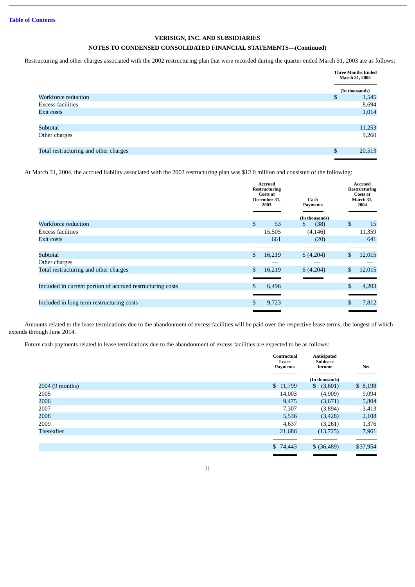# **NOTES TO CONDENSED CONSOLIDATED FINANCIAL STATEMENTS—(Continued)**

Restructuring and other charges associated with the 2002 restructuring plan that were recorded during the quarter ended March 31, 2003 are as follows:

| <b>Three Months Ended</b><br>March 31, 2003 |                |
|---------------------------------------------|----------------|
|                                             | (In thousands) |
| \$                                          | 1,545          |
|                                             | 8,694          |
|                                             | 1,014          |
|                                             |                |
|                                             | 11,253         |
|                                             | 9,260          |
|                                             |                |
|                                             | 20,513         |
|                                             | \$             |

At March 31, 2004, the accrued liability associated with the 2002 restructuring plan was \$12.0 million and consisted of the following:

|                                                            |     | <b>Accrued</b><br>Restructuring<br>Costs at<br>December 31,<br>2003 | Cash<br><b>Payments</b><br>(In thousands) |               | <b>Accrued</b><br><b>Restructuring</b><br>Costs at<br>March 31,<br>2004 |
|------------------------------------------------------------|-----|---------------------------------------------------------------------|-------------------------------------------|---------------|-------------------------------------------------------------------------|
| Workforce reduction                                        | \$  | 53                                                                  | \$<br>(38)                                | \$            | 15                                                                      |
| Excess facilities                                          |     | 15,505                                                              | (4, 146)                                  |               | 11,359                                                                  |
| Exit costs                                                 |     | 661                                                                 | (20)                                      |               | 641                                                                     |
|                                                            |     |                                                                     |                                           |               |                                                                         |
| Subtotal                                                   | \$. | 16,219                                                              | \$ (4,204)                                | \$            | 12,015                                                                  |
| Other charges                                              |     |                                                                     |                                           |               |                                                                         |
| Total restructuring and other charges                      | \$  | 16,219                                                              | (4,204)                                   | \$            | 12,015                                                                  |
|                                                            |     |                                                                     |                                           |               |                                                                         |
| Included in current portion of accrued restructuring costs | \$  | 6,496                                                               |                                           | $\mathcal{S}$ | 4,203                                                                   |
|                                                            |     |                                                                     |                                           |               |                                                                         |
| Included in long term restructuring costs                  | \$  | 9,723                                                               |                                           | \$            | 7,812                                                                   |
|                                                            |     |                                                                     |                                           |               |                                                                         |

Amounts related to the lease terminations due to the abandonment of excess facilities will be paid over the respective lease terms, the longest of which extends through June 2014.

Future cash payments related to lease terminations due to the abandonment of excess facilities are expected to be as follows:

|                 | Contractual<br>Lease<br><b>Payments</b> | Anticipated<br><b>Sublease</b><br>Income | <b>Net</b> |
|-----------------|-----------------------------------------|------------------------------------------|------------|
|                 |                                         | (In thousands)                           |            |
| 2004 (9 months) | \$11,799                                | \$ (3,601)                               | \$8,198    |
| 2005            | 14,003                                  | (4,909)                                  | 9,094      |
| 2006            | 9,475                                   | (3,671)                                  | 5,804      |
| 2007            | 7,307                                   | (3,894)                                  | 3,413      |
| 2008            | 5,536                                   | (3,428)                                  | 2,108      |
| 2009            | 4,637                                   | (3,261)                                  | 1,376      |
| Thereafter      | 21,686                                  | (13, 725)                                | 7,961      |
|                 |                                         |                                          |            |
|                 | \$74,443                                | \$ (36,489)                              | \$37,954   |
|                 |                                         |                                          |            |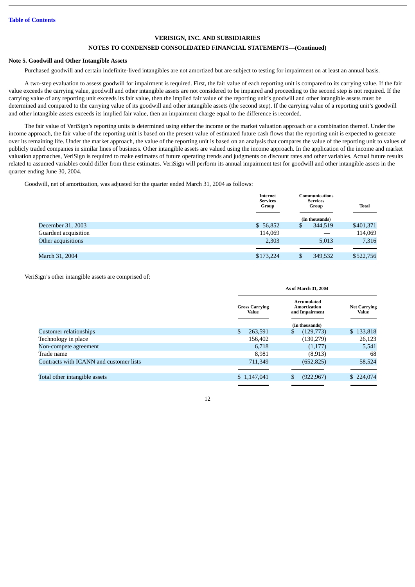# **NOTES TO CONDENSED CONSOLIDATED FINANCIAL STATEMENTS—(Continued)**

# **Note 5. Goodwill and Other Intangible Assets**

Purchased goodwill and certain indefinite-lived intangibles are not amortized but are subject to testing for impairment on at least an annual basis.

A two-step evaluation to assess goodwill for impairment is required. First, the fair value of each reporting unit is compared to its carrying value. If the fair value exceeds the carrying value, goodwill and other intangible assets are not considered to be impaired and proceeding to the second step is not required. If the carrying value of any reporting unit exceeds its fair value, then the implied fair value of the reporting unit's goodwill and other intangible assets must be determined and compared to the carrying value of its goodwill and other intangible assets (the second step). If the carrying value of a reporting unit's goodwill and other intangible assets exceeds its implied fair value, then an impairment charge equal to the difference is recorded.

The fair value of VeriSign's reporting units is determined using either the income or the market valuation approach or a combination thereof. Under the income approach, the fair value of the reporting unit is based on the present value of estimated future cash flows that the reporting unit is expected to generate over its remaining life. Under the market approach, the value of the reporting unit is based on an analysis that compares the value of the reporting unit to values of publicly traded companies in similar lines of business. Other intangible assets are valued using the income approach. In the application of the income and market valuation approaches, VeriSign is required to make estimates of future operating trends and judgments on discount rates and other variables. Actual future results related to assumed variables could differ from these estimates. VeriSign will perform its annual impairment test for goodwill and other intangible assets in the quarter ending June 30, 2004.

Goodwill, net of amortization, was adjusted for the quarter ended March 31, 2004 as follows:

|                      | Internet<br><b>Services</b><br>Group |   | <b>Communications</b><br><b>Services</b><br>Group | <b>Total</b> |
|----------------------|--------------------------------------|---|---------------------------------------------------|--------------|
|                      |                                      |   | (In thousands)                                    |              |
| December 31, 2003    | \$56,852                             | æ | 344,519                                           | \$401,371    |
| Guardent acquisition | 114,069                              |   |                                                   | 114,069      |
| Other acquisitions   | 2,303                                |   | 5,013                                             | 7,316        |
|                      |                                      |   |                                                   |              |
| March 31, 2004       | \$173,224                            | S | 349,532                                           | \$522,756    |
|                      |                                      |   |                                                   |              |

VeriSign's other intangible assets are comprised of:

|                                         | <b>Gross Carrying</b><br>Value | Accumulated<br><b>Amortization</b><br>and Impairment |           |
|-----------------------------------------|--------------------------------|------------------------------------------------------|-----------|
|                                         |                                | (In thousands)                                       |           |
| <b>Customer relationships</b>           | \$<br>263,591                  | (129,773)<br>\$                                      | \$133,818 |
| Technology in place                     | 156,402                        | (130, 279)                                           | 26,123    |
| Non-compete agreement                   | 6,718                          | (1,177)                                              | 5,541     |
| Trade name                              | 8,981                          | (8,913)                                              | 68        |
| Contracts with ICANN and customer lists | 711,349                        | (652, 825)                                           | 58,524    |
|                                         |                                |                                                      |           |
| Total other intangible assets           | \$1,147,041                    | (922, 967)<br>S                                      | \$224,074 |
|                                         |                                |                                                      |           |

**As of March 31, 2004**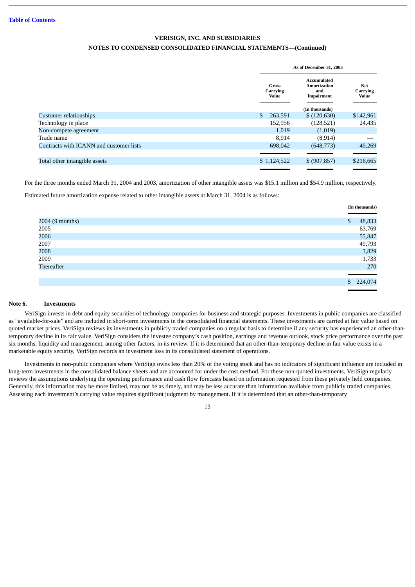# **VERISIGN, INC. AND SUBSIDIARIES NOTES TO CONDENSED CONSOLIDATED FINANCIAL STATEMENTS—(Continued)**

|                                         |                            | As of December 31, 2003                                        |           |  |
|-----------------------------------------|----------------------------|----------------------------------------------------------------|-----------|--|
|                                         | Gross<br>Carrying<br>Value | <b>Accumulated</b><br><b>Amortization</b><br>and<br>Impairment |           |  |
|                                         |                            | (In thousands)                                                 |           |  |
| Customer relationships                  | 263,591<br>\$              | \$ (120,630)                                                   | \$142,961 |  |
| Technology in place                     | 152,956                    | (128, 521)                                                     | 24,435    |  |
| Non-compete agreement                   | 1,019                      | (1,019)                                                        |           |  |
| Trade name                              | 8,914                      | (8,914)                                                        |           |  |
| Contracts with ICANN and customer lists | 698,042                    | (648,773)                                                      | 49,269    |  |
|                                         |                            |                                                                |           |  |
| Total other intangible assets           | \$1,124,522                | \$ (907, 857)                                                  | \$216,665 |  |
|                                         |                            |                                                                |           |  |

For the three months ended March 31, 2004 and 2003, amortization of other intangible assets was \$15.1 million and \$54.9 million, respectively.

Estimated future amortization expense related to other intangible assets at March 31, 2004 is as follows:

| \$<br>48,833<br>2004 (9 months)<br>63,769<br>2005 |
|---------------------------------------------------|
|                                                   |
|                                                   |
| 2006<br>55,847                                    |
| 49,793<br>2007                                    |
| 2008<br>3,829                                     |
| 1,733<br>2009                                     |
| 270<br><b>Thereafter</b>                          |
|                                                   |
| $\mathbb{S}$<br>224,074                           |

**(In thousands)**

#### **Note 6. Investments**

VeriSign invests in debt and equity securities of technology companies for business and strategic purposes. Investments in public companies are classified as "available-for-sale" and are included in short-term investments in the consolidated financial statements. These investments are carried at fair value based on quoted market prices. VeriSign reviews its investments in publicly traded companies on a regular basis to determine if any security has experienced an other-thantemporary decline in its fair value. VeriSign considers the investee company's cash position, earnings and revenue outlook, stock price performance over the past six months, liquidity and management, among other factors, in its review. If it is determined that an other-than-temporary decline in fair value exists in a marketable equity security, VeriSign records an investment loss in its consolidated statement of operations.

Investments in non-public companies where VeriSign owns less than 20% of the voting stock and has no indicators of significant influence are included in long-term investments in the consolidated balance sheets and are accounted for under the cost method. For these non-quoted investments, VeriSign regularly reviews the assumptions underlying the operating performance and cash flow forecasts based on information requested from these privately held companies. Generally, this information may be more limited, may not be as timely, and may be less accurate than information available from publicly traded companies. Assessing each investment's carrying value requires significant judgment by management. If it is determined that an other-than-temporary

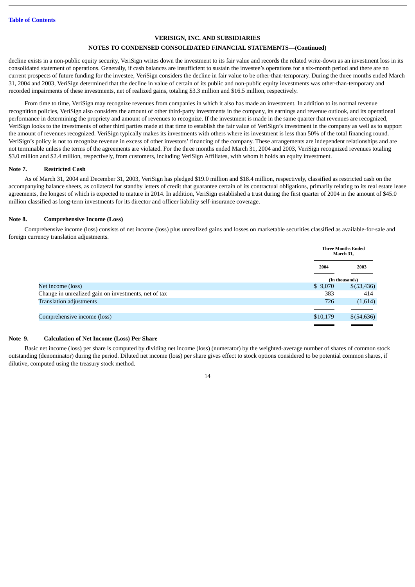#### **NOTES TO CONDENSED CONSOLIDATED FINANCIAL STATEMENTS—(Continued)**

decline exists in a non-public equity security, VeriSign writes down the investment to its fair value and records the related write-down as an investment loss in its consolidated statement of operations. Generally, if cash balances are insufficient to sustain the investee's operations for a six-month period and there are no current prospects of future funding for the investee, VeriSign considers the decline in fair value to be other-than-temporary. During the three months ended March 31, 2004 and 2003, VeriSign determined that the decline in value of certain of its public and non-public equity investments was other-than-temporary and recorded impairments of these investments, net of realized gains, totaling \$3.3 million and \$16.5 million, respectively.

From time to time, VeriSign may recognize revenues from companies in which it also has made an investment. In addition to its normal revenue recognition policies, VeriSign also considers the amount of other third-party investments in the company, its earnings and revenue outlook, and its operational performance in determining the propriety and amount of revenues to recognize. If the investment is made in the same quarter that revenues are recognized, VeriSign looks to the investments of other third parties made at that time to establish the fair value of VeriSign's investment in the company as well as to support the amount of revenues recognized. VeriSign typically makes its investments with others where its investment is less than 50% of the total financing round. VeriSign's policy is not to recognize revenue in excess of other investors' financing of the company. These arrangements are independent relationships and are not terminable unless the terms of the agreements are violated. For the three months ended March 31, 2004 and 2003, VeriSign recognized revenues totaling \$3.0 million and \$2.4 million, respectively, from customers, including VeriSign Affiliates, with whom it holds an equity investment.

#### **Note 7. Restricted Cash**

As of March 31, 2004 and December 31, 2003, VeriSign has pledged \$19.0 million and \$18.4 million, respectively, classified as restricted cash on the accompanying balance sheets, as collateral for standby letters of credit that guarantee certain of its contractual obligations, primarily relating to its real estate lease agreements, the longest of which is expected to mature in 2014. In addition, VeriSign established a trust during the first quarter of 2004 in the amount of \$45.0 million classified as long-term investments for its director and officer liability self-insurance coverage.

# **Note 8. Comprehensive Income (Loss)**

Comprehensive income (loss) consists of net income (loss) plus unrealized gains and losses on marketable securities classified as available-for-sale and foreign currency translation adjustments.

|                                                      |          | <b>Three Months Ended</b><br>March 31, |
|------------------------------------------------------|----------|----------------------------------------|
|                                                      | 2004     | 2003                                   |
|                                                      |          | (In thousands)                         |
| Net income (loss)                                    | \$9,070  | $$$ (53,436)                           |
| Change in unrealized gain on investments, net of tax | 383      | 414                                    |
| <b>Translation adjustments</b>                       | 726      | (1,614)                                |
|                                                      |          |                                        |
| Comprehensive income (loss)                          | \$10,179 | $$$ (54,636)                           |
|                                                      |          |                                        |

# **Note 9. Calculation of Net Income (Loss) Per Share**

Basic net income (loss) per share is computed by dividing net income (loss) (numerator) by the weighted-average number of shares of common stock outstanding (denominator) during the period. Diluted net income (loss) per share gives effect to stock options considered to be potential common shares, if dilutive, computed using the treasury stock method.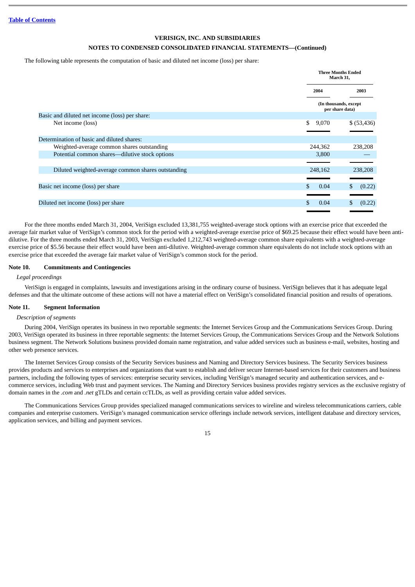# **VERISIGN, INC. AND SUBSIDIARIES NOTES TO CONDENSED CONSOLIDATED FINANCIAL STATEMENTS—(Continued)**

The following table represents the computation of basic and diluted net income (loss) per share:

|                                                    |             | <b>Three Months Ended</b><br>March 31,   |
|----------------------------------------------------|-------------|------------------------------------------|
|                                                    | 2004        | 2003                                     |
|                                                    |             | (In thousands, except<br>per share data) |
| Basic and diluted net income (loss) per share:     |             |                                          |
| Net income (loss)                                  | \$<br>9,070 | \$ (53,436)                              |
| Determination of basic and diluted shares:         |             |                                          |
|                                                    |             |                                          |
| Weighted-average common shares outstanding         | 244,362     | 238,208                                  |
| Potential common shares—dilutive stock options     | 3,800       |                                          |
|                                                    |             |                                          |
| Diluted weighted-average common shares outstanding | 248,162     | 238,208                                  |
|                                                    |             |                                          |
| Basic net income (loss) per share                  | 0.04        | (0.22)                                   |
|                                                    |             |                                          |
| Diluted net income (loss) per share                | 0.04        | (0.22)<br>S                              |
|                                                    |             |                                          |

For the three months ended March 31, 2004, VeriSign excluded 13,381,755 weighted-average stock options with an exercise price that exceeded the average fair market value of VeriSign's common stock for the period with a weighted-average exercise price of \$69.25 because their effect would have been antidilutive. For the three months ended March 31, 2003, VeriSign excluded 1,212,743 weighted-average common share equivalents with a weighted-average exercise price of \$5.56 because their effect would have been anti-dilutive. Weighted-average common share equivalents do not include stock options with an exercise price that exceeded the average fair market value of VeriSign's common stock for the period.

## **Note 10. Commitments and Contingencies**

*Legal proceedings*

VeriSign is engaged in complaints, lawsuits and investigations arising in the ordinary course of business. VeriSign believes that it has adequate legal defenses and that the ultimate outcome of these actions will not have a material effect on VeriSign's consolidated financial position and results of operations.

#### **Note 11. Segment Information**

# *Description of segments*

During 2004, VeriSign operates its business in two reportable segments: the Internet Services Group and the Communications Services Group. During 2003, VeriSign operated its business in three reportable segments: the Internet Services Group, the Communications Services Group and the Network Solutions business segment. The Network Solutions business provided domain name registration, and value added services such as business e-mail, websites, hosting and other web presence services.

The Internet Services Group consists of the Security Services business and Naming and Directory Services business. The Security Services business provides products and services to enterprises and organizations that want to establish and deliver secure Internet-based services for their customers and business partners, including the following types of services: enterprise security services, including VeriSign's managed security and authentication services, and ecommerce services, including Web trust and payment services. The Naming and Directory Services business provides registry services as the exclusive registry of domain names in the *.com* and *.net* gTLDs and certain ccTLDs, as well as providing certain value added services.

The Communications Services Group provides specialized managed communications services to wireline and wireless telecommunications carriers, cable companies and enterprise customers. VeriSign's managed communication service offerings include network services, intelligent database and directory services, application services, and billing and payment services.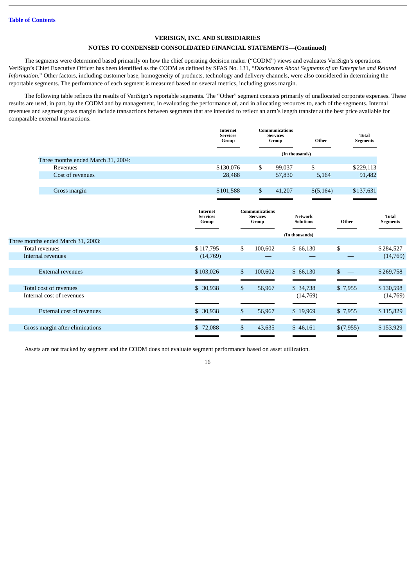# **NOTES TO CONDENSED CONSOLIDATED FINANCIAL STATEMENTS—(Continued)**

The segments were determined based primarily on how the chief operating decision maker ("CODM") views and evaluates VeriSign's operations. VeriSign's Chief Executive Officer has been identified as the CODM as defined by SFAS No. 131, "*Disclosures About Segments of an Enterprise and Related Information.*" Other factors, including customer base, homogeneity of products, technology and delivery channels, were also considered in determining the reportable segments. The performance of each segment is measured based on several metrics, including gross margin.

The following table reflects the results of VeriSign's reportable segments. The "Other" segment consists primarily of unallocated corporate expenses. These results are used, in part, by the CODM and by management, in evaluating the performance of, and in allocating resources to, each of the segments. Internal revenues and segment gross margin include transactions between segments that are intended to reflect an arm's length transfer at the best price available for comparable external transactions.

|                                    | Internet<br><b>Services</b><br>Group | Communications<br><b>Services</b><br>Group | Other     | <b>Total</b><br><b>Segments</b> |
|------------------------------------|--------------------------------------|--------------------------------------------|-----------|---------------------------------|
|                                    |                                      | (In thousands)                             |           |                                 |
| Three months ended March 31, 2004: |                                      |                                            |           |                                 |
| Revenues                           | \$130,076                            | \$<br>99.037                               |           | \$229,113                       |
| Cost of revenues                   | 28,488                               | 57,830                                     | 5,164     | 91,482                          |
|                                    |                                      |                                            |           |                                 |
| Gross margin                       | \$101,588                            | \$<br>41,207                               | \$(5,164) | \$137,631                       |

|                                    | Internet<br><b>Services</b><br>Group | <b>Communications</b><br><b>Services</b><br>Group | <b>Network</b><br><b>Solutions</b><br>(In thousands) | Other     | <b>Total</b><br><b>Segments</b> |
|------------------------------------|--------------------------------------|---------------------------------------------------|------------------------------------------------------|-----------|---------------------------------|
| Three months ended March 31, 2003: |                                      |                                                   |                                                      |           |                                 |
| Total revenues                     | \$117,795                            | \$<br>100,602                                     | \$66,130                                             | \$        | \$284,527                       |
| Internal revenues                  | (14,769)                             |                                                   |                                                      |           | (14,769)                        |
|                                    |                                      |                                                   |                                                      |           |                                 |
| External revenues                  | \$103,026                            | $\mathbb{S}$<br>100,602                           | \$66,130                                             | \$.       | \$269,758                       |
|                                    |                                      |                                                   |                                                      |           |                                 |
| Total cost of revenues             | \$ 30,938                            | \$<br>56,967                                      | \$ 34,738                                            | \$7,955   | \$130,598                       |
| Internal cost of revenues          |                                      |                                                   | (14,769)                                             |           | (14,769)                        |
|                                    |                                      |                                                   |                                                      |           |                                 |
| External cost of revenues          | \$ 30,938                            | $\mathbb{S}$<br>56,967                            | \$19,969                                             | \$7,955   | \$115,829                       |
|                                    |                                      |                                                   |                                                      |           |                                 |
| Gross margin after eliminations    | 72,088<br>\$                         | \$<br>43,635                                      | \$46,161                                             | \$(7,955) | \$153,929                       |
|                                    |                                      |                                                   |                                                      |           |                                 |

Assets are not tracked by segment and the CODM does not evaluate segment performance based on asset utilization.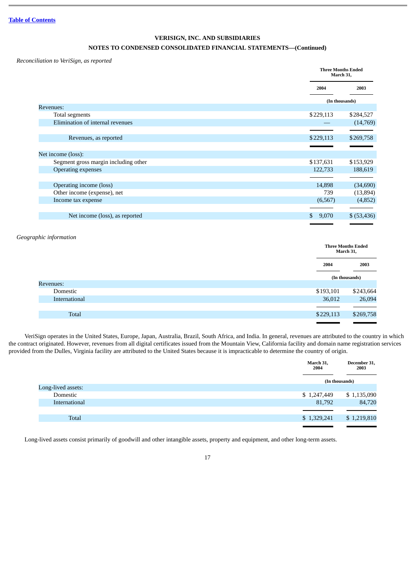# **VERISIGN, INC. AND SUBSIDIARIES NOTES TO CONDENSED CONSOLIDATED FINANCIAL STATEMENTS—(Continued)**

*Reconciliation to VeriSign, as reported*

|              | <b>Three Months Ended</b><br>March 31, |
|--------------|----------------------------------------|
| 2004         | 2003                                   |
|              | (In thousands)                         |
|              |                                        |
| \$229,113    | \$284,527                              |
|              | (14,769)                               |
|              |                                        |
| \$229,113    | \$269,758                              |
|              |                                        |
|              |                                        |
| \$137,631    | \$153,929                              |
| 122,733      | 188,619                                |
|              |                                        |
| 14,898       | (34,690)                               |
| 739          | (13,894)                               |
| (6, 567)     | (4,852)                                |
|              |                                        |
| 9,070<br>\$. | \$ (53,436)                            |
|              |                                        |

*Geographic information*

|               |           | <b>Three Months Ended</b><br>March 31, |
|---------------|-----------|----------------------------------------|
|               | 2004      | 2003                                   |
|               |           | (In thousands)                         |
| Revenues:     |           |                                        |
| Domestic      | \$193,101 | \$243,664                              |
| International | 36,012    | 26,094                                 |
|               |           |                                        |
| <b>Total</b>  | \$229,113 | \$269,758                              |
|               |           |                                        |

VeriSign operates in the United States, Europe, Japan, Australia, Brazil, South Africa, and India. In general, revenues are attributed to the country in which the contract originated. However, revenues from all digital certificates issued from the Mountain View, California facility and domain name registration services provided from the Dulles, Virginia facility are attributed to the United States because it is impracticable to determine the country of origin.

|                    | March 31,<br>2004 | December 31,<br>2003 |
|--------------------|-------------------|----------------------|
|                    |                   | (In thousands)       |
| Long-lived assets: |                   |                      |
| Domestic           | \$1,247,449       | \$1,135,090          |
| International      | 81,792            | 84,720               |
|                    |                   |                      |
| <b>Total</b>       | \$1,329,241       | \$1,219,810          |
|                    |                   |                      |

Long-lived assets consist primarily of goodwill and other intangible assets, property and equipment, and other long-term assets.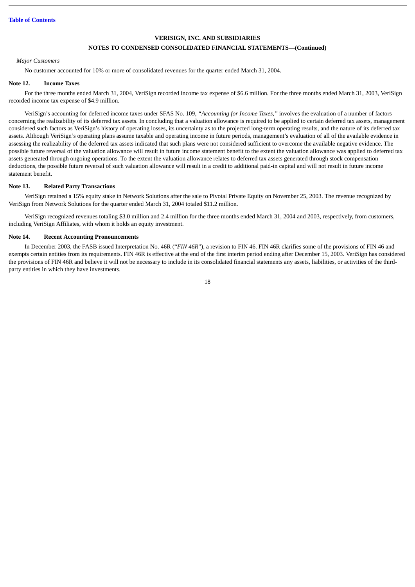# **VERISIGN, INC. AND SUBSIDIARIES NOTES TO CONDENSED CONSOLIDATED FINANCIAL STATEMENTS—(Continued)**

#### *Major Customers*

No customer accounted for 10% or more of consolidated revenues for the quarter ended March 31, 2004.

#### **Note 12. Income Taxes**

For the three months ended March 31, 2004, VeriSign recorded income tax expense of \$6.6 million. For the three months ended March 31, 2003, VeriSign recorded income tax expense of \$4.9 million.

VeriSign's accounting for deferred income taxes under SFAS No. 109, *"Accounting for Income Taxes,"* involves the evaluation of a number of factors concerning the realizability of its deferred tax assets. In concluding that a valuation allowance is required to be applied to certain deferred tax assets, management considered such factors as VeriSign's history of operating losses, its uncertainty as to the projected long-term operating results, and the nature of its deferred tax assets. Although VeriSign's operating plans assume taxable and operating income in future periods, management's evaluation of all of the available evidence in assessing the realizability of the deferred tax assets indicated that such plans were not considered sufficient to overcome the available negative evidence. The possible future reversal of the valuation allowance will result in future income statement benefit to the extent the valuation allowance was applied to deferred tax assets generated through ongoing operations. To the extent the valuation allowance relates to deferred tax assets generated through stock compensation deductions, the possible future reversal of such valuation allowance will result in a credit to additional paid-in capital and will not result in future income statement benefit.

## **Note 13. Related Party Transactions**

VeriSign retained a 15% equity stake in Network Solutions after the sale to Pivotal Private Equity on November 25, 2003. The revenue recognized by VeriSign from Network Solutions for the quarter ended March 31, 2004 totaled \$11.2 million.

VeriSign recognized revenues totaling \$3.0 million and 2.4 million for the three months ended March 31, 2004 and 2003, respectively, from customers, including VeriSign Affiliates, with whom it holds an equity investment.

#### **Note 14. Recent Accounting Pronouncements**

In December 2003, the FASB issued Interpretation No. 46R ("*FIN 46R*"), a revision to FIN 46. FIN 46R clarifies some of the provisions of FIN 46 and exempts certain entities from its requirements. FIN 46R is effective at the end of the first interim period ending after December 15, 2003. VeriSign has considered the provisions of FIN 46R and believe it will not be necessary to include in its consolidated financial statements any assets, liabilities, or activities of the thirdparty entities in which they have investments.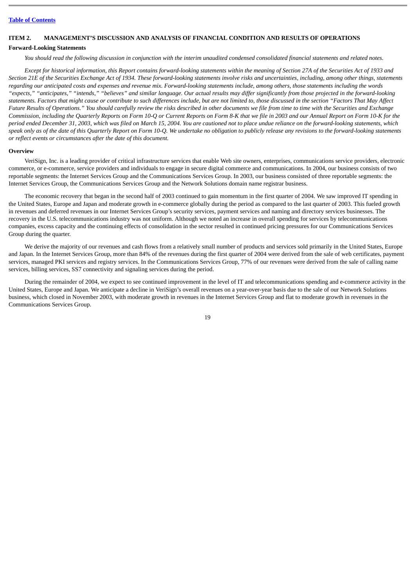# <span id="page-18-0"></span>**ITEM 2. MANAGEMENT'S DISCUSSION AND ANALYSIS OF FINANCIAL CONDITION AND RESULTS OF OPERATIONS**

#### **Forward-Looking Statements**

*You should read the following discussion in conjunction with the interim unaudited condensed consolidated financial statements and related notes.*

*Except for historical information, this Report contains forward-looking statements within the meaning of Section 27A of the Securities Act of 1933 and Section 21E of the Securities Exchange Act of 1934. These forward-looking statements involve risks and uncertainties, including, among other things, statements regarding our anticipated costs and expenses and revenue mix. Forward-looking statements include, among others, those statements including the words "expects," "anticipates," "intends," "believes" and similar language. Our actual results may differ significantly from those projected in the forward-looking statements. Factors that might cause or contribute to such differences include, but are not limited to, those discussed in the section "Factors That May Affect Future Results of Operations." You should carefully review the risks described in other documents we file from time to time with the Securities and Exchange Commission, including the Quarterly Reports on Form 10-Q or Current Reports on Form 8-K that we file in 2003 and our Annual Report on Form 10-K for the period ended December 31, 2003, which was filed on March 15, 2004. You are cautioned not to place undue reliance on the forward-looking statements, which speak only as of the date of this Quarterly Report on Form 10-Q. We undertake no obligation to publicly release any revisions to the forward-looking statements or reflect events or circumstances after the date of this document.*

#### **Overview**

VeriSign, Inc. is a leading provider of critical infrastructure services that enable Web site owners, enterprises, communications service providers, electronic commerce, or e-commerce, service providers and individuals to engage in secure digital commerce and communications. In 2004, our business consists of two reportable segments: the Internet Services Group and the Communications Services Group. In 2003, our business consisted of three reportable segments: the Internet Services Group, the Communications Services Group and the Network Solutions domain name registrar business.

The economic recovery that began in the second half of 2003 continued to gain momentum in the first quarter of 2004. We saw improved IT spending in the United States, Europe and Japan and moderate growth in e-commerce globally during the period as compared to the last quarter of 2003. This fueled growth in revenues and deferred revenues in our Internet Services Group's security services, payment services and naming and directory services businesses. The recovery in the U.S. telecommunications industry was not uniform. Although we noted an increase in overall spending for services by telecommunications companies, excess capacity and the continuing effects of consolidation in the sector resulted in continued pricing pressures for our Communications Services Group during the quarter.

We derive the majority of our revenues and cash flows from a relatively small number of products and services sold primarily in the United States, Europe and Japan. In the Internet Services Group, more than 84% of the revenues during the first quarter of 2004 were derived from the sale of web certificates, payment services, managed PKI services and registry services. In the Communications Services Group, 77% of our revenues were derived from the sale of calling name services, billing services, SS7 connectivity and signaling services during the period.

During the remainder of 2004, we expect to see continued improvement in the level of IT and telecommunications spending and e-commerce activity in the United States, Europe and Japan. We anticipate a decline in VeriSign's overall revenues on a year-over-year basis due to the sale of our Network Solutions business, which closed in November 2003, with moderate growth in revenues in the Internet Services Group and flat to moderate growth in revenues in the Communications Services Group.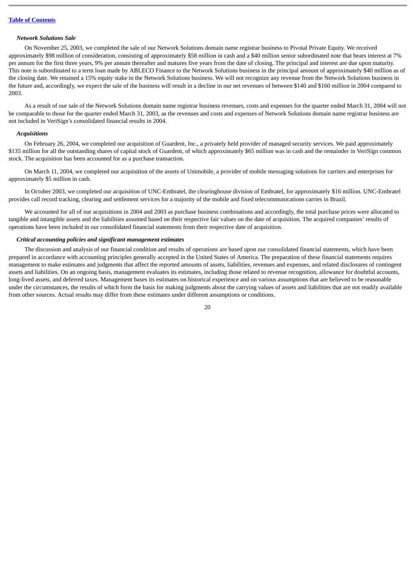#### *Network Solutions Sale*

On November 25, 2003, we completed the sale of our Network Solutions domain name registrar business to Pivotal Private Equity. We received approximately \$98 million of consideration, consisting of approximately \$58 million in cash and a \$40 million senior subordinated note that bears interest at 7% per annum for the first three years, 9% per annum thereafter and matures five years from the date of closing. The principal and interest are due upon maturity. This note is subordinated to a term loan made by ABLECO Finance to the Network Solutions business in the principal amount of approximately \$40 million as of the closing date. We retained a 15% equity stake in the Network Solutions business. We will not recognize any revenue from the Network Solutions business in the future and, accordingly, we expect the sale of the business will result in a decline in our net revenues of between \$140 and \$160 million in 2004 compared to 2003.

As a result of our sale of the Network Solutions domain name registrar business revenues, costs and expenses for the quarter ended March 31, 2004 will not be comparable to those for the quarter ended March 31, 2003, as the revenues and costs and expenses of Network Solutions domain name registrar business are not included in VeriSign's consolidated financial results in 2004.

#### *Acquisitions*

On February 26, 2004, we completed our acquisition of Guardent, Inc., a privately held provider of managed security services. We paid approximately \$135 million for all the outstanding shares of capital stock of Guardent, of which approximately \$65 million was in cash and the remainder in VeriSign common stock. The acquisition has been accounted for as a purchase transaction.

On March 11, 2004, we completed our acquisition of the assets of Unimobile, a provider of mobile messaging solutions for carriers and enterprises for approximately \$5 million in cash.

In October 2003, we completed our acquisition of UNC-Embratel, the clearinghouse division of Embratel, for approximately \$16 million. UNC-Embratel provides call record tracking, clearing and settlement services for a majority of the mobile and fixed telecommunications carries in Brazil.

We accounted for all of our acquisitions in 2004 and 2003 as purchase business combinations and accordingly, the total purchase prices were allocated to tangible and intangible assets and the liabilities assumed based on their respective fair values on the date of acquisition. The acquired companies' results of operations have been included in our consolidated financial statements from their respective date of acquisition.

#### *Critical accounting policies and significant management estimates*

The discussion and analysis of our financial condition and results of operations are based upon our consolidated financial statements, which have been prepared in accordance with accounting principles generally accepted in the United States of America. The preparation of these financial statements requires management to make estimates and judgments that affect the reported amounts of assets, liabilities, revenues and expenses, and related disclosures of contingent assets and liabilities. On an ongoing basis, management evaluates its estimates, including those related to revenue recognition, allowance for doubtful accounts, long-lived assets, and deferred taxes. Management bases its estimates on historical experience and on various assumptions that are believed to be reasonable under the circumstances, the results of which form the basis for making judgments about the carrying values of assets and liabilities that are not readily available from other sources. Actual results may differ from these estimates under different assumptions or conditions.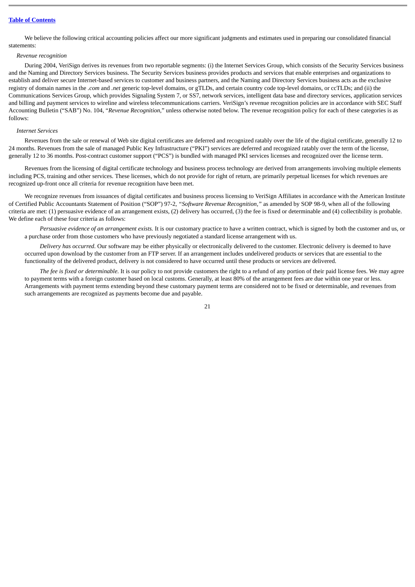We believe the following critical accounting policies affect our more significant judgments and estimates used in preparing our consolidated financial statements:

#### *Revenue recognition*

During 2004, VeriSign derives its revenues from two reportable segments: (i) the Internet Services Group, which consists of the Security Services business and the Naming and Directory Services business. The Security Services business provides products and services that enable enterprises and organizations to establish and deliver secure Internet-based services to customer and business partners, and the Naming and Directory Services business acts as the exclusive registry of domain names in the *.com* and *.net* generic top-level domains, or gTLDs, and certain country code top-level domains, or ccTLDs; and (ii) the Communications Services Group, which provides Signaling System 7, or SS7, network services, intelligent data base and directory services, application services and billing and payment services to wireline and wireless telecommunications carriers. VeriSign's revenue recognition policies are in accordance with SEC Staff Accounting Bulletin ("SAB") No. 104, "*Revenue Recognition*," unless otherwise noted below. The revenue recognition policy for each of these categories is as follows:

#### *Internet Services*

Revenues from the sale or renewal of Web site digital certificates are deferred and recognized ratably over the life of the digital certificate, generally 12 to 24 months. Revenues from the sale of managed Public Key Infrastructure ("PKI") services are deferred and recognized ratably over the term of the license, generally 12 to 36 months. Post-contract customer support ("PCS") is bundled with managed PKI services licenses and recognized over the license term.

Revenues from the licensing of digital certificate technology and business process technology are derived from arrangements involving multiple elements including PCS, training and other services. These licenses, which do not provide for right of return, are primarily perpetual licenses for which revenues are recognized up-front once all criteria for revenue recognition have been met.

We recognize revenues from issuances of digital certificates and business process licensing to VeriSign Affiliates in accordance with the American Institute of Certified Public Accountants Statement of Position ("SOP") 97-2, *"Software Revenue Recognition,"* as amended by SOP 98-9, when all of the following criteria are met: (1) persuasive evidence of an arrangement exists, (2) delivery has occurred, (3) the fee is fixed or determinable and (4) collectibility is probable. We define each of these four criteria as follows:

*Persuasive evidence of an arrangement exists.* It is our customary practice to have a written contract, which is signed by both the customer and us, or a purchase order from those customers who have previously negotiated a standard license arrangement with us.

*Delivery has occurred.* Our software may be either physically or electronically delivered to the customer. Electronic delivery is deemed to have occurred upon download by the customer from an FTP server. If an arrangement includes undelivered products or services that are essential to the functionality of the delivered product, delivery is not considered to have occurred until these products or services are delivered.

*The fee is fixed or determinable.* It is our policy to not provide customers the right to a refund of any portion of their paid license fees. We may agree to payment terms with a foreign customer based on local customs. Generally, at least 80% of the arrangement fees are due within one year or less. Arrangements with payment terms extending beyond these customary payment terms are considered not to be fixed or determinable, and revenues from such arrangements are recognized as payments become due and payable.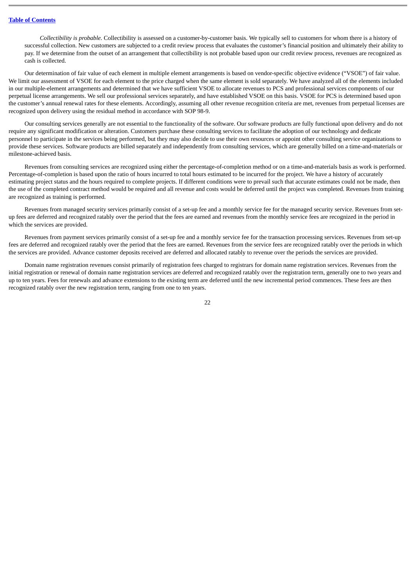*Collectibility is probable.* Collectibility is assessed on a customer-by-customer basis. We typically sell to customers for whom there is a history of successful collection. New customers are subjected to a credit review process that evaluates the customer's financial position and ultimately their ability to pay. If we determine from the outset of an arrangement that collectibility is not probable based upon our credit review process, revenues are recognized as cash is collected.

Our determination of fair value of each element in multiple element arrangements is based on vendor-specific objective evidence ("VSOE") of fair value. We limit our assessment of VSOE for each element to the price charged when the same element is sold separately. We have analyzed all of the elements included in our multiple-element arrangements and determined that we have sufficient VSOE to allocate revenues to PCS and professional services components of our perpetual license arrangements. We sell our professional services separately, and have established VSOE on this basis. VSOE for PCS is determined based upon the customer's annual renewal rates for these elements. Accordingly, assuming all other revenue recognition criteria are met, revenues from perpetual licenses are recognized upon delivery using the residual method in accordance with SOP 98-9.

Our consulting services generally are not essential to the functionality of the software. Our software products are fully functional upon delivery and do not require any significant modification or alteration. Customers purchase these consulting services to facilitate the adoption of our technology and dedicate personnel to participate in the services being performed, but they may also decide to use their own resources or appoint other consulting service organizations to provide these services. Software products are billed separately and independently from consulting services, which are generally billed on a time-and-materials or milestone-achieved basis.

Revenues from consulting services are recognized using either the percentage-of-completion method or on a time-and-materials basis as work is performed. Percentage-of-completion is based upon the ratio of hours incurred to total hours estimated to be incurred for the project. We have a history of accurately estimating project status and the hours required to complete projects. If different conditions were to prevail such that accurate estimates could not be made, then the use of the completed contract method would be required and all revenue and costs would be deferred until the project was completed. Revenues from training are recognized as training is performed.

Revenues from managed security services primarily consist of a set-up fee and a monthly service fee for the managed security service. Revenues from setup fees are deferred and recognized ratably over the period that the fees are earned and revenues from the monthly service fees are recognized in the period in which the services are provided.

Revenues from payment services primarily consist of a set-up fee and a monthly service fee for the transaction processing services. Revenues from set-up fees are deferred and recognized ratably over the period that the fees are earned. Revenues from the service fees are recognized ratably over the periods in which the services are provided. Advance customer deposits received are deferred and allocated ratably to revenue over the periods the services are provided.

Domain name registration revenues consist primarily of registration fees charged to registrars for domain name registration services. Revenues from the initial registration or renewal of domain name registration services are deferred and recognized ratably over the registration term, generally one to two years and up to ten years. Fees for renewals and advance extensions to the existing term are deferred until the new incremental period commences. These fees are then recognized ratably over the new registration term, ranging from one to ten years.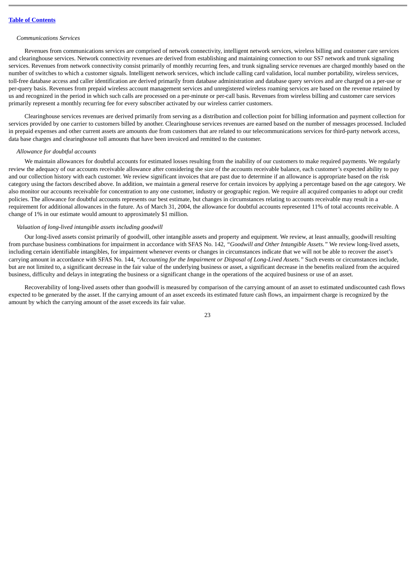#### *Communications Services*

Revenues from communications services are comprised of network connectivity, intelligent network services, wireless billing and customer care services and clearinghouse services. Network connectivity revenues are derived from establishing and maintaining connection to our SS7 network and trunk signaling services. Revenues from network connectivity consist primarily of monthly recurring fees, and trunk signaling service revenues are charged monthly based on the number of switches to which a customer signals. Intelligent network services, which include calling card validation, local number portability, wireless services, toll-free database access and caller identification are derived primarily from database administration and database query services and are charged on a per-use or per-query basis. Revenues from prepaid wireless account management services and unregistered wireless roaming services are based on the revenue retained by us and recognized in the period in which such calls are processed on a per-minute or per-call basis. Revenues from wireless billing and customer care services primarily represent a monthly recurring fee for every subscriber activated by our wireless carrier customers.

Clearinghouse services revenues are derived primarily from serving as a distribution and collection point for billing information and payment collection for services provided by one carrier to customers billed by another. Clearinghouse services revenues are earned based on the number of messages processed. Included in prepaid expenses and other current assets are amounts due from customers that are related to our telecommunications services for third-party network access, data base charges and clearinghouse toll amounts that have been invoiced and remitted to the customer.

#### *Allowance for doubtful accounts*

We maintain allowances for doubtful accounts for estimated losses resulting from the inability of our customers to make required payments. We regularly review the adequacy of our accounts receivable allowance after considering the size of the accounts receivable balance, each customer's expected ability to pay and our collection history with each customer. We review significant invoices that are past due to determine if an allowance is appropriate based on the risk category using the factors described above. In addition, we maintain a general reserve for certain invoices by applying a percentage based on the age category. We also monitor our accounts receivable for concentration to any one customer, industry or geographic region. We require all acquired companies to adopt our credit policies. The allowance for doubtful accounts represents our best estimate, but changes in circumstances relating to accounts receivable may result in a requirement for additional allowances in the future. As of March 31, 2004, the allowance for doubtful accounts represented 11% of total accounts receivable. A change of 1% in our estimate would amount to approximately \$1 million.

# *Valuation of long-lived intangible assets including goodwill*

Our long-lived assets consist primarily of goodwill, other intangible assets and property and equipment. We review, at least annually, goodwill resulting from purchase business combinations for impairment in accordance with SFAS No. 142, *"Goodwill and Other Intangible Assets."* We review long-lived assets, including certain identifiable intangibles, for impairment whenever events or changes in circumstances indicate that we will not be able to recover the asset's carrying amount in accordance with SFAS No. 144, *"Accounting for the Impairment or Disposal of Long-Lived Assets."* Such events or circumstances include, but are not limited to, a significant decrease in the fair value of the underlying business or asset, a significant decrease in the benefits realized from the acquired business, difficulty and delays in integrating the business or a significant change in the operations of the acquired business or use of an asset.

Recoverability of long-lived assets other than goodwill is measured by comparison of the carrying amount of an asset to estimated undiscounted cash flows expected to be generated by the asset. If the carrying amount of an asset exceeds its estimated future cash flows, an impairment charge is recognized by the amount by which the carrying amount of the asset exceeds its fair value.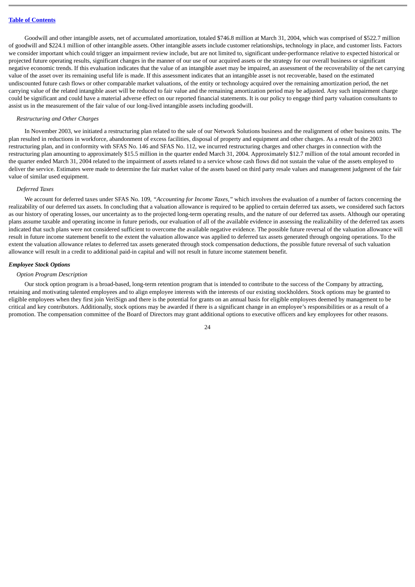Goodwill and other intangible assets, net of accumulated amortization, totaled \$746.8 million at March 31, 2004, which was comprised of \$522.7 million of goodwill and \$224.1 million of other intangible assets. Other intangible assets include customer relationships, technology in place, and customer lists. Factors we consider important which could trigger an impairment review include, but are not limited to, significant under-performance relative to expected historical or projected future operating results, significant changes in the manner of our use of our acquired assets or the strategy for our overall business or significant negative economic trends. If this evaluation indicates that the value of an intangible asset may be impaired, an assessment of the recoverability of the net carrying value of the asset over its remaining useful life is made. If this assessment indicates that an intangible asset is not recoverable, based on the estimated undiscounted future cash flows or other comparable market valuations, of the entity or technology acquired over the remaining amortization period, the net carrying value of the related intangible asset will be reduced to fair value and the remaining amortization period may be adjusted. Any such impairment charge could be significant and could have a material adverse effect on our reported financial statements. It is our policy to engage third party valuation consultants to assist us in the measurement of the fair value of our long-lived intangible assets including goodwill.

#### *Restructuring and Other Charges*

In November 2003, we initiated a restructuring plan related to the sale of our Network Solutions business and the realignment of other business units. The plan resulted in reductions in workforce, abandonment of excess facilities, disposal of property and equipment and other charges. As a result of the 2003 restructuring plan, and in conformity with SFAS No. 146 and SFAS No. 112, we incurred restructuring charges and other charges in connection with the restructuring plan amounting to approximately \$15.5 million in the quarter ended March 31, 2004. Approximately \$12.7 million of the total amount recorded in the quarter ended March 31, 2004 related to the impairment of assets related to a service whose cash flows did not sustain the value of the assets employed to deliver the service. Estimates were made to determine the fair market value of the assets based on third party resale values and management judgment of the fair value of similar used equipment.

#### *Deferred Taxes*

We account for deferred taxes under SFAS No. 109, *"Accounting for Income Taxes,"* which involves the evaluation of a number of factors concerning the realizability of our deferred tax assets. In concluding that a valuation allowance is required to be applied to certain deferred tax assets, we considered such factors as our history of operating losses, our uncertainty as to the projected long-term operating results, and the nature of our deferred tax assets. Although our operating plans assume taxable and operating income in future periods, our evaluation of all of the available evidence in assessing the realizability of the deferred tax assets indicated that such plans were not considered sufficient to overcome the available negative evidence. The possible future reversal of the valuation allowance will result in future income statement benefit to the extent the valuation allowance was applied to deferred tax assets generated through ongoing operations. To the extent the valuation allowance relates to deferred tax assets generated through stock compensation deductions, the possible future reversal of such valuation allowance will result in a credit to additional paid-in capital and will not result in future income statement benefit.

#### *Employee Stock Options*

#### *Option Program Description*

Our stock option program is a broad-based, long-term retention program that is intended to contribute to the success of the Company by attracting, retaining and motivating talented employees and to align employee interests with the interests of our existing stockholders. Stock options may be granted to eligible employees when they first join VeriSign and there is the potential for grants on an annual basis for eligible employees deemed by management to be critical and key contributors. Additionally, stock options may be awarded if there is a significant change in an employee's responsibilities or as a result of a promotion. The compensation committee of the Board of Directors may grant additional options to executive officers and key employees for other reasons.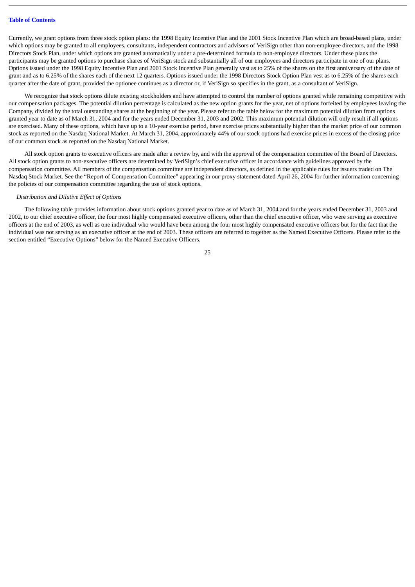Currently, we grant options from three stock option plans: the 1998 Equity Incentive Plan and the 2001 Stock Incentive Plan which are broad-based plans, under which options may be granted to all employees, consultants, independent contractors and advisors of VeriSign other than non-employee directors, and the 1998 Directors Stock Plan, under which options are granted automatically under a pre-determined formula to non-employee directors. Under these plans the participants may be granted options to purchase shares of VeriSign stock and substantially all of our employees and directors participate in one of our plans. Options issued under the 1998 Equity Incentive Plan and 2001 Stock Incentive Plan generally vest as to 25% of the shares on the first anniversary of the date of grant and as to 6.25% of the shares each of the next 12 quarters. Options issued under the 1998 Directors Stock Option Plan vest as to 6.25% of the shares each quarter after the date of grant, provided the optionee continues as a director or, if VeriSign so specifies in the grant, as a consultant of VeriSign.

We recognize that stock options dilute existing stockholders and have attempted to control the number of options granted while remaining competitive with our compensation packages. The potential dilution percentage is calculated as the new option grants for the year, net of options forfeited by employees leaving the Company, divided by the total outstanding shares at the beginning of the year. Please refer to the table below for the maximum potential dilution from options granted year to date as of March 31, 2004 and for the years ended December 31, 2003 and 2002. This maximum potential dilution will only result if all options are exercised. Many of these options, which have up to a 10-year exercise period, have exercise prices substantially higher than the market price of our common stock as reported on the Nasdaq National Market. At March 31, 2004, approximately 44% of our stock options had exercise prices in excess of the closing price of our common stock as reported on the Nasdaq National Market.

All stock option grants to executive officers are made after a review by, and with the approval of the compensation committee of the Board of Directors. All stock option grants to non-executive officers are determined by VeriSign's chief executive officer in accordance with guidelines approved by the compensation committee. All members of the compensation committee are independent directors, as defined in the applicable rules for issuers traded on The Nasdaq Stock Market. See the "Report of Compensation Committee" appearing in our proxy statement dated April 26, 2004 for further information concerning the policies of our compensation committee regarding the use of stock options.

# *Distribution and Dilutive Effect of Options*

The following table provides information about stock options granted year to date as of March 31, 2004 and for the years ended December 31, 2003 and 2002, to our chief executive officer, the four most highly compensated executive officers, other than the chief executive officer, who were serving as executive officers at the end of 2003, as well as one individual who would have been among the four most highly compensated executive officers but for the fact that the individual was not serving as an executive officer at the end of 2003. These officers are referred to together as the Named Executive Officers. Please refer to the section entitled "Executive Options" below for the Named Executive Officers.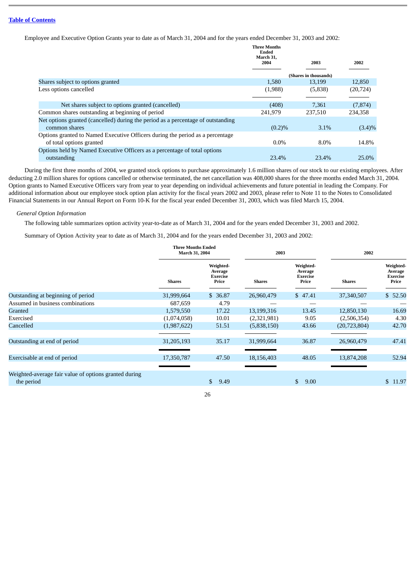Employee and Executive Option Grants year to date as of March 31, 2004 and for the years ended December 31, 2003 and 2002:

|                                                                                  | <b>Three Months</b><br>Ended |                       |           |
|----------------------------------------------------------------------------------|------------------------------|-----------------------|-----------|
|                                                                                  | March 31.<br>2004            | 2003                  | 2002      |
|                                                                                  |                              | (Shares in thousands) |           |
| Shares subject to options granted                                                | 1,580                        | 13,199                | 12,850    |
| Less options cancelled                                                           | (1,988)                      | (5,838)               | (20, 724) |
|                                                                                  |                              |                       |           |
| Net shares subject to options granted (cancelled)                                | (408)                        | 7,361                 | (7, 874)  |
| Common shares outstanding at beginning of period                                 | 241.979                      | 237,510               | 234,358   |
| Net options granted (cancelled) during the period as a percentage of outstanding |                              |                       |           |
| common shares                                                                    | (0.2)%                       | 3.1%                  | $(3.4)\%$ |
| Options granted to Named Executive Officers during the period as a percentage    |                              |                       |           |
| of total options granted                                                         | $0.0\%$                      | $8.0\%$               | 14.8%     |
| Options held by Named Executive Officers as a percentage of total options        |                              |                       |           |
| outstanding                                                                      | 23.4%                        | 23.4%                 | 25.0%     |

During the first three months of 2004, we granted stock options to purchase approximately 1.6 million shares of our stock to our existing employees. After deducting 2.0 million shares for options cancelled or otherwise terminated, the net cancellation was 408,000 shares for the three months ended March 31, 2004. Option grants to Named Executive Officers vary from year to year depending on individual achievements and future potential in leading the Company. For additional information about our employee stock option plan activity for the fiscal years 2002 and 2003, please refer to Note 11 to the Notes to Consolidated Financial Statements in our Annual Report on Form 10-K for the fiscal year ended December 31, 2003, which was filed March 15, 2004.

#### *General Option Information*

The following table summarizes option activity year-to-date as of March 31, 2004 and for the years ended December 31, 2003 and 2002.

Summary of Option Activity year to date as of March 31, 2004 and for the years ended December 31, 2003 and 2002:

| <b>Three Months Ended</b><br>March 31, 2004 |                                           | 2003          |                                           | 2002           |                                           |
|---------------------------------------------|-------------------------------------------|---------------|-------------------------------------------|----------------|-------------------------------------------|
| <b>Shares</b>                               | Weighted-<br>Average<br>Exercise<br>Price | <b>Shares</b> | Weighted-<br>Average<br>Exercise<br>Price | <b>Shares</b>  | Weighted-<br>Average<br>Exercise<br>Price |
| 31,999,664                                  | \$36.87                                   | 26,960,479    | \$47.41                                   | 37,340,507     | \$52.50                                   |
| 687,659                                     | 4.79                                      |               |                                           |                |                                           |
| 1,579,550                                   | 17.22                                     | 13,199,316    | 13.45                                     | 12,850,130     | 16.69                                     |
| (1,074,058)                                 | 10.01                                     | (2,321,981)   | 9.05                                      | (2,506,354)    | 4.30                                      |
| (1,987,622)                                 | 51.51                                     | (5,838,150)   | 43.66                                     | (20, 723, 804) | 42.70                                     |
|                                             |                                           |               |                                           |                |                                           |
| 31,205,193                                  | 35.17                                     | 31,999,664    | 36.87                                     | 26,960,479     | 47.41                                     |
|                                             |                                           |               |                                           |                |                                           |
| 17,350,787                                  | 47.50                                     | 18,156,403    | 48.05                                     | 13,874,208     | 52.94                                     |
|                                             |                                           |               |                                           |                |                                           |
|                                             |                                           |               |                                           |                |                                           |
|                                             | \$<br>9.49                                |               | \$<br>9.00                                |                | \$11.97                                   |
|                                             |                                           |               |                                           |                |                                           |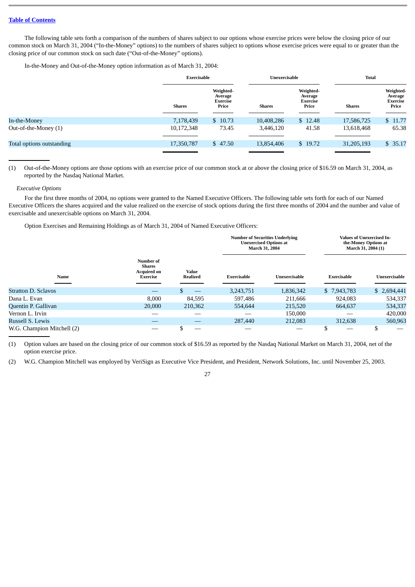The following table sets forth a comparison of the numbers of shares subject to our options whose exercise prices were below the closing price of our common stock on March 31, 2004 ("In-the-Money" options) to the numbers of shares subject to options whose exercise prices were equal to or greater than the closing price of our common stock on such date ("Out-of-the-Money" options).

In-the-Money and Out-of-the-Money option information as of March 31, 2004:

|                           | <b>Exercisable</b> |                                                  |               | Unexercisable                                    |               | <b>Total</b>                              |  |
|---------------------------|--------------------|--------------------------------------------------|---------------|--------------------------------------------------|---------------|-------------------------------------------|--|
|                           | <b>Shares</b>      | Weighted-<br>Average<br><b>Exercise</b><br>Price | <b>Shares</b> | Weighted-<br>Average<br><b>Exercise</b><br>Price | <b>Shares</b> | Weighted-<br>Average<br>Exercise<br>Price |  |
| In-the-Money              | 7,178,439          | \$10.73                                          | 10,408,286    | \$12.48                                          | 17,586,725    | \$11.77                                   |  |
| Out-of-the-Money (1)      | 10,172,348         | 73.45                                            | 3,446,120     | 41.58                                            | 13,618,468    | 65.38                                     |  |
| Total options outstanding | 17,350,787         | \$47.50                                          | 13,854,406    | \$19.72                                          | 31,205,193    | \$35.17                                   |  |

(1) Out-of-the-Money options are those options with an exercise price of our common stock at or above the closing price of \$16.59 on March 31, 2004, as reported by the Nasdaq National Market.

## *Executive Options*

For the first three months of 2004, no options were granted to the Named Executive Officers. The following table sets forth for each of our Named Executive Officers the shares acquired and the value realized on the exercise of stock options during the first three months of 2004 and the number and value of exercisable and unexercisable options on March 31, 2004.

Option Exercises and Remaining Holdings as of March 31, 2004 of Named Executive Officers:

|                            |                                                                            |                          |             | <b>Number of Securities Underlying</b><br><b>Unexercised Options at</b><br>March 31, 2004 |             | <b>Values of Unexercised In-</b><br>the-Money Options at<br>March 31, 2004 (1) |  |
|----------------------------|----------------------------------------------------------------------------|--------------------------|-------------|-------------------------------------------------------------------------------------------|-------------|--------------------------------------------------------------------------------|--|
| Name                       | <b>Number of</b><br><b>Shares</b><br><b>Acquired on</b><br><b>Exercise</b> | Value<br><b>Realized</b> | Exercisable | Unexercisable                                                                             | Exercisable | Unexercisable                                                                  |  |
| <b>Stratton D. Sclavos</b> | __                                                                         | \$                       | 3,243,751   | 1,836,342                                                                                 | \$7,943,783 | \$2,694,441                                                                    |  |
| Dana L. Evan               | 8,000                                                                      | 84,595                   | 597.486     | 211,666                                                                                   | 924.083     | 534,337                                                                        |  |
| Quentin P. Gallivan        | 20,000                                                                     | 210,362                  | 554,644     | 215,520                                                                                   | 664,637     | 534,337                                                                        |  |
| Vernon L. Irvin            |                                                                            |                          |             | 150,000                                                                                   |             | 420,000                                                                        |  |
| Russell S. Lewis           |                                                                            |                          | 287,440     | 212,083                                                                                   | 312,638     | 560,963                                                                        |  |
| W.G. Champion Mitchell (2) |                                                                            | \$                       |             |                                                                                           | £.          |                                                                                |  |

(1) Option values are based on the closing price of our common stock of \$16.59 as reported by the Nasdaq National Market on March 31, 2004, net of the option exercise price.

(2) W.G. Champion Mitchell was employed by VeriSign as Executive Vice President, and President, Network Solutions, Inc. until November 25, 2003.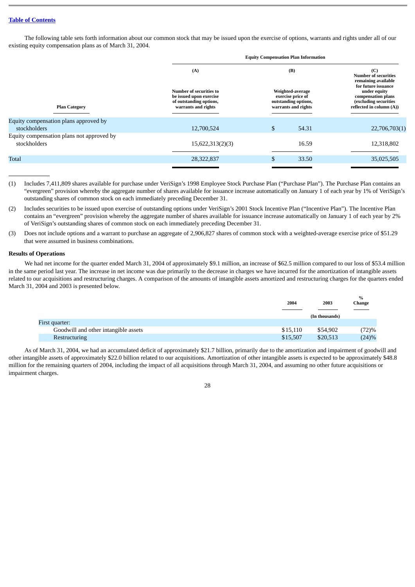The following table sets forth information about our common stock that may be issued upon the exercise of options, warrants and rights under all of our existing equity compensation plans as of March 31, 2004.

|                                           |                                                                                                             | <b>Equity Compensation Plan Information</b> |                                                                                      |                                                                                                                |  |  |
|-------------------------------------------|-------------------------------------------------------------------------------------------------------------|---------------------------------------------|--------------------------------------------------------------------------------------|----------------------------------------------------------------------------------------------------------------|--|--|
|                                           | (A)                                                                                                         |                                             | (B)                                                                                  | (C)<br><b>Number of securities</b><br>remaining available                                                      |  |  |
| <b>Plan Category</b>                      | <b>Number of securities to</b><br>be issued upon exercise<br>of outstanding options,<br>warrants and rights |                                             | Weighted-average<br>exercise price of<br>outstanding options,<br>warrants and rights | for future issuance<br>under equity<br>compensation plans<br>(excluding securities<br>reflected in column (A)) |  |  |
| Equity compensation plans approved by     |                                                                                                             |                                             |                                                                                      |                                                                                                                |  |  |
| stockholders                              | 12,700,524                                                                                                  | \$                                          | 54.31                                                                                | 22,706,703(1)                                                                                                  |  |  |
| Equity compensation plans not approved by |                                                                                                             |                                             |                                                                                      |                                                                                                                |  |  |
| stockholders                              | 15,622,313(2)(3)                                                                                            |                                             | 16.59                                                                                | 12,318,802                                                                                                     |  |  |
| <b>Total</b>                              | 28,322,837                                                                                                  | \$                                          | 33.50                                                                                | 35,025,505                                                                                                     |  |  |
|                                           |                                                                                                             |                                             |                                                                                      |                                                                                                                |  |  |

(1) Includes 7,411,809 shares available for purchase under VeriSign's 1998 Employee Stock Purchase Plan ("Purchase Plan"). The Purchase Plan contains an "evergreen" provision whereby the aggregate number of shares available for issuance increase automatically on January 1 of each year by 1% of VeriSign's outstanding shares of common stock on each immediately preceding December 31.

(2) Includes securities to be issued upon exercise of outstanding options under VeriSign's 2001 Stock Incentive Plan ("Incentive Plan"). The Incentive Plan contains an "evergreen" provision whereby the aggregate number of shares available for issuance increase automatically on January 1 of each year by 2% of VeriSign's outstanding shares of common stock on each immediately preceding December 31.

(3) Does not include options and a warrant to purchase an aggregate of 2,906,827 shares of common stock with a weighted-average exercise price of \$51.29 that were assumed in business combinations.

#### **Results of Operations**

We had net income for the quarter ended March 31, 2004 of approximately \$9.1 million, an increase of \$62.5 million compared to our loss of \$53.4 million in the same period last year. The increase in net income was due primarily to the decrease in charges we have incurred for the amortization of intangible assets related to our acquisitions and restructuring charges. A comparison of the amounts of intangible assets amortized and restructuring charges for the quarters ended March 31, 2004 and 2003 is presented below.

|                                      | 2004     | 2003           | $\%$<br>Change |
|--------------------------------------|----------|----------------|----------------|
| First quarter:                       |          | (In thousands) |                |
| Goodwill and other intangible assets | \$15,110 | \$54,902       | (72)%          |
| Restructuring                        | \$15,507 | \$20,513       | (24)%          |

As of March 31, 2004, we had an accumulated deficit of approximately \$21.7 billion, primarily due to the amortization and impairment of goodwill and other intangible assets of approximately \$22.0 billion related to our acquisitions. Amortization of other intangible assets is expected to be approximately \$48.8 million for the remaining quarters of 2004, including the impact of all acquisitions through March 31, 2004, and assuming no other future acquisitions or impairment charges.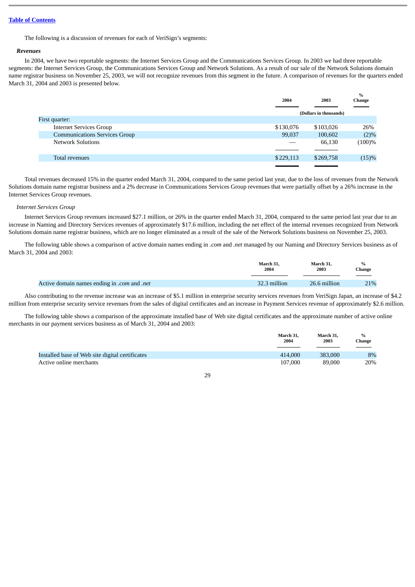The following is a discussion of revenues for each of VeriSign's segments:

## *Revenues*

In 2004, we have two reportable segments: the Internet Services Group and the Communications Services Group. In 2003 we had three reportable segments: the Internet Services Group, the Communications Services Group and Network Solutions. As a result of our sale of the Network Solutions domain name registrar business on November 25, 2003, we will not recognize revenues from this segment in the future. A comparison of revenues for the quarters ended March 31, 2004 and 2003 is presented below.

|                                      | 2004      | 2003                   | $\frac{9}{9}$<br>Change |
|--------------------------------------|-----------|------------------------|-------------------------|
| First quarter:                       |           | (Dollars in thousands) |                         |
| <b>Internet Services Group</b>       | \$130,076 | \$103,026              | 26%                     |
|                                      |           |                        |                         |
| <b>Communications Services Group</b> | 99,037    | 100,602                | (2)%                    |
| Network Solutions                    |           | 66,130                 | $(100)\%$               |
|                                      |           |                        |                         |
| Total revenues                       | \$229,113 | \$269,758              | (15)%                   |
|                                      |           |                        |                         |

Total revenues decreased 15% in the quarter ended March 31, 2004, compared to the same period last year, due to the loss of revenues from the Network Solutions domain name registrar business and a 2% decrease in Communications Services Group revenues that were partially offset by a 26% increase in the Internet Services Group revenues.

## *Internet Services Group*

Internet Services Group revenues increased \$27.1 million, or 26% in the quarter ended March 31, 2004, compared to the same period last year due to an increase in Naming and Directory Services revenues of approximately \$17.6 million, including the net effect of the internal revenues recognized from Network Solutions domain name registrar business, which are no longer eliminated as a result of the sale of the Network Solutions business on November 25, 2003.

The following table shows a comparison of active domain names ending in *.com* and *.net* managed by our Naming and Directory Services business as of March 31, 2004 and 2003:

|                                             | March 31.<br>2004 | March 31.<br>2003 | %<br>Change |
|---------------------------------------------|-------------------|-------------------|-------------|
| Active domain names ending in .com and .net | 32.3 million      | 26.6 million      | 21%         |
|                                             |                   |                   |             |

Also contributing to the revenue increase was an increase of \$5.1 million in enterprise security services revenues from VeriSign Japan, an increase of \$4.2 million from enterprise security service revenues from the sales of digital certificates and an increase in Payment Services revenue of approximately \$2.6 million.

The following table shows a comparison of the approximate installed base of Web site digital certificates and the approximate number of active online merchants in our payment services business as of March 31, 2004 and 2003:

|                                                 | March 31.<br>2004 | March 31.<br>2003 | $\%$<br>Change |
|-------------------------------------------------|-------------------|-------------------|----------------|
| Installed base of Web site digital certificates | 414,000           | 383,000           | 8%             |
| Active online merchants                         | 107,000           | 89,000            | 20%            |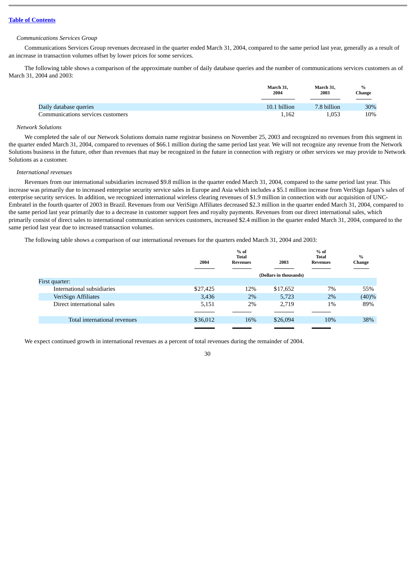#### *Communications Services Group*

Communications Services Group revenues decreased in the quarter ended March 31, 2004, compared to the same period last year, generally as a result of an increase in transaction volumes offset by lower prices for some services.

The following table shows a comparison of the approximate number of daily database queries and the number of communications services customers as of March 31, 2004 and 2003:

|                                   | March 31.<br>2004 | March 31.<br>2003 | %<br>Change |
|-----------------------------------|-------------------|-------------------|-------------|
| Daily database queries            | 10.1 billion      | 7.8 billion       | 30%         |
| Communications services customers | 1.162             | 1.053             | 10%         |

## *Network Solutions*

We completed the sale of our Network Solutions domain name registrar business on November 25, 2003 and recognized no revenues from this segment in the quarter ended March 31, 2004, compared to revenues of \$66.1 million during the same period last year. We will not recognize any revenue from the Network Solutions business in the future, other than revenues that may be recognized in the future in connection with registry or other services we may provide to Network Solutions as a customer.

#### *International revenues*

Revenues from our international subsidiaries increased \$9.8 million in the quarter ended March 31, 2004, compared to the same period last year. This increase was primarily due to increased enterprise security service sales in Europe and Asia which includes a \$5.1 million increase from VeriSign Japan's sales of enterprise security services. In addition, we recognized international wireless clearing revenues of \$1.9 million in connection with our acquisition of UNC-Embratel in the fourth quarter of 2003 in Brazil. Revenues from our VeriSign Affiliates decreased \$2.3 million in the quarter ended March 31, 2004, compared to the same period last year primarily due to a decrease in customer support fees and royalty payments. Revenues from our direct international sales, which primarily consist of direct sales to international communication services customers, increased \$2.4 million in the quarter ended March 31, 2004, compared to the same period last year due to increased transaction volumes.

The following table shows a comparison of our international revenues for the quarters ended March 31, 2004 and 2003:

|                              | 2004     | $%$ of<br>Total<br><b>Revenues</b> | 2003                   | $%$ of<br><b>Total</b><br><b>Revenues</b> | $\frac{0}{0}$<br>Change |
|------------------------------|----------|------------------------------------|------------------------|-------------------------------------------|-------------------------|
| First quarter:               |          |                                    | (Dollars in thousands) |                                           |                         |
| International subsidiaries   | \$27,425 | 12%                                | \$17,652               | 7%                                        | 55%                     |
| VeriSign Affiliates          | 3,436    | 2%                                 | 5,723                  | 2%                                        | (40)%                   |
| Direct international sales   | 5,151    | $2\%$                              | 2.719                  | $1\%$                                     | 89%                     |
|                              |          |                                    |                        |                                           |                         |
| Total international revenues | \$36,012 | 16%                                | \$26,094               | 10%                                       | 38%                     |
|                              |          |                                    |                        |                                           |                         |

We expect continued growth in international revenues as a percent of total revenues during the remainder of 2004.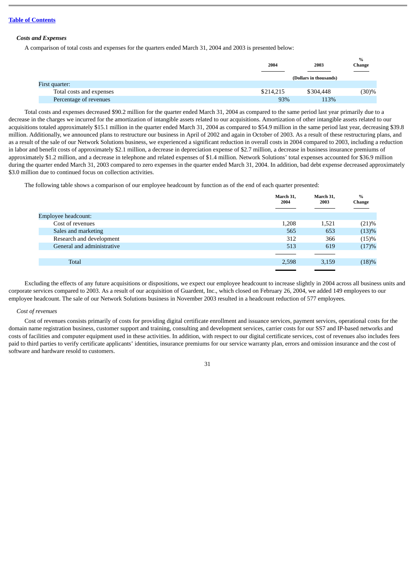#### *Costs and Expenses*

A comparison of total costs and expenses for the quarters ended March 31, 2004 and 2003 is presented below:

|                          | 2004      | 2003                   | $\frac{9}{6}$<br>Change<br>$\sim$ $\sim$ |
|--------------------------|-----------|------------------------|------------------------------------------|
|                          |           | (Dollars in thousands) |                                          |
| First quarter:           |           |                        |                                          |
| Total costs and expenses | \$214,215 | \$304,448              | $(30)\%$                                 |
| Percentage of revenues   | 93%       | 113%                   |                                          |

Total costs and expenses decreased \$90.2 million for the quarter ended March 31, 2004 as compared to the same period last year primarily due to a decrease in the charges we incurred for the amortization of intangible assets related to our acquisitions. Amortization of other intangible assets related to our acquisitions totaled approximately \$15.1 million in the quarter ended March 31, 2004 as compared to \$54.9 million in the same period last year, decreasing \$39.8 million. Additionally, we announced plans to restructure our business in April of 2002 and again in October of 2003. As a result of these restructuring plans, and as a result of the sale of our Network Solutions business, we experienced a significant reduction in overall costs in 2004 compared to 2003, including a reduction in labor and benefit costs of approximately \$2.1 million, a decrease in depreciation expense of \$2.7 million, a decrease in business insurance premiums of approximately \$1.2 million, and a decrease in telephone and related expenses of \$1.4 million. Network Solutions' total expenses accounted for \$36.9 million during the quarter ended March 31, 2003 compared to zero expenses in the quarter ended March 31, 2004. In addition, bad debt expense decreased approximately \$3.0 million due to continued focus on collection activities.

The following table shows a comparison of our employee headcount by function as of the end of each quarter presented:

|                            | March 31,<br>2004 | March 31,<br>2003 | $\%$<br>Change |
|----------------------------|-------------------|-------------------|----------------|
|                            |                   |                   |                |
| Employee headcount:        |                   |                   |                |
| Cost of revenues           | 1,208             | 1,521             | (21)%          |
| Sales and marketing        | 565               | 653               | (13)%          |
| Research and development   | 312               | 366               | (15)%          |
| General and administrative | 513               | 619               | (17)%          |
|                            |                   |                   |                |
| <b>Total</b>               | 2,598             | 3,159             | (18)%          |
|                            |                   |                   |                |

Excluding the effects of any future acquisitions or dispositions, we expect our employee headcount to increase slightly in 2004 across all business units and corporate services compared to 2003. As a result of our acquisition of Guardent, Inc., which closed on February 26, 2004, we added 149 employees to our employee headcount. The sale of our Network Solutions business in November 2003 resulted in a headcount reduction of 577 employees.

#### *Cost of revenues*

Cost of revenues consists primarily of costs for providing digital certificate enrollment and issuance services, payment services, operational costs for the domain name registration business, customer support and training, consulting and development services, carrier costs for our SS7 and IP-based networks and costs of facilities and computer equipment used in these activities. In addition, with respect to our digital certificate services, cost of revenues also includes fees paid to third parties to verify certificate applicants' identities, insurance premiums for our service warranty plan, errors and omission insurance and the cost of software and hardware resold to customers.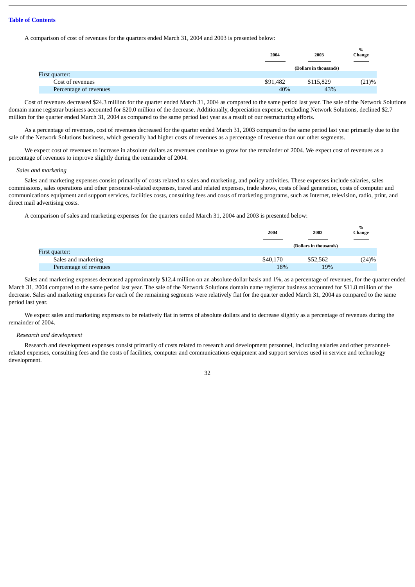A comparison of cost of revenues for the quarters ended March 31, 2004 and 2003 is presented below:

|                        | 2004     | 2003                   | $\%$<br>Change |
|------------------------|----------|------------------------|----------------|
|                        |          | (Dollars in thousands) |                |
| First quarter:         |          |                        |                |
| Cost of revenues       | \$91,482 | \$115,829              | (21)%          |
| Percentage of revenues | 40%      | 43%                    |                |

Cost of revenues decreased \$24.3 million for the quarter ended March 31, 2004 as compared to the same period last year. The sale of the Network Solutions domain name registrar business accounted for \$20.0 million of the decrease. Additionally, depreciation expense, excluding Network Solutions, declined \$2.7 million for the quarter ended March 31, 2004 as compared to the same period last year as a result of our restructuring efforts.

As a percentage of revenues, cost of revenues decreased for the quarter ended March 31, 2003 compared to the same period last year primarily due to the sale of the Network Solutions business, which generally had higher costs of revenues as a percentage of revenue than our other segments.

We expect cost of revenues to increase in absolute dollars as revenues continue to grow for the remainder of 2004. We expect cost of revenues as a percentage of revenues to improve slightly during the remainder of 2004.

#### *Sales and marketing*

Sales and marketing expenses consist primarily of costs related to sales and marketing, and policy activities. These expenses include salaries, sales commissions, sales operations and other personnel-related expenses, travel and related expenses, trade shows, costs of lead generation, costs of computer and communications equipment and support services, facilities costs, consulting fees and costs of marketing programs, such as Internet, television, radio, print, and direct mail advertising costs.

A comparison of sales and marketing expenses for the quarters ended March 31, 2004 and 2003 is presented below:

|                        | 2004     | 2003                   | $\frac{0}{0}$<br>Change |
|------------------------|----------|------------------------|-------------------------|
|                        |          | (Dollars in thousands) |                         |
| First quarter:         |          |                        |                         |
| Sales and marketing    | \$40,170 | \$52,562               | (24)%                   |
| Percentage of revenues | 18%      | 19%                    |                         |

Sales and marketing expenses decreased approximately \$12.4 million on an absolute dollar basis and 1%, as a percentage of revenues, for the quarter ended March 31, 2004 compared to the same period last year. The sale of the Network Solutions domain name registrar business accounted for \$11.8 million of the decrease. Sales and marketing expenses for each of the remaining segments were relatively flat for the quarter ended March 31, 2004 as compared to the same period last year.

We expect sales and marketing expenses to be relatively flat in terms of absolute dollars and to decrease slightly as a percentage of revenues during the remainder of 2004.

#### *Research and development*

Research and development expenses consist primarily of costs related to research and development personnel, including salaries and other personnelrelated expenses, consulting fees and the costs of facilities, computer and communications equipment and support services used in service and technology development.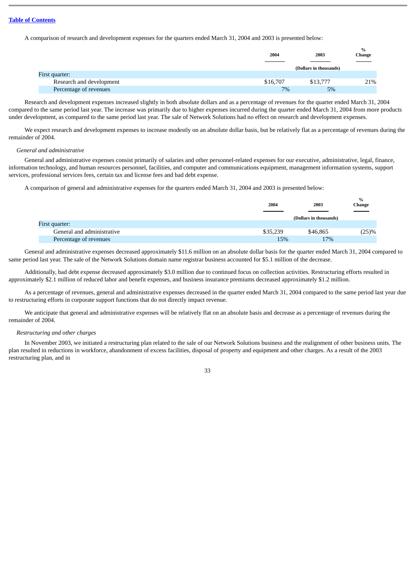A comparison of research and development expenses for the quarters ended March 31, 2004 and 2003 is presented below:

|                          | 2004     | 2003                   | $\frac{6}{9}$<br>Change<br>$\overline{\phantom{a}}$ |
|--------------------------|----------|------------------------|-----------------------------------------------------|
| First quarter:           |          | (Dollars in thousands) |                                                     |
| Research and development | \$16,707 | \$13,777               | 21%                                                 |
| Percentage of revenues   | $7\%$    | 5%                     |                                                     |

Research and development expenses increased slightly in both absolute dollars and as a percentage of revenues for the quarter ended March 31, 2004 compared to the same period last year. The increase was primarily due to higher expenses incurred during the quarter ended March 31, 2004 from more products under development, as compared to the same period last year. The sale of Network Solutions had no effect on research and development expenses.

We expect research and development expenses to increase modestly on an absolute dollar basis, but be relatively flat as a percentage of revenues during the remainder of 2004.

#### *General and administrative*

General and administrative expenses consist primarily of salaries and other personnel-related expenses for our executive, administrative, legal, finance, information technology, and human resources personnel, facilities, and computer and communications equipment, management information systems, support services, professional services fees, certain tax and license fees and bad debt expense.

A comparison of general and administrative expenses for the quarters ended March 31, 2004 and 2003 is presented below:

|                            | 2004     | 2003                   | $\overline{\phantom{a}}$<br>Change |
|----------------------------|----------|------------------------|------------------------------------|
|                            |          | (Dollars in thousands) |                                    |
| First quarter:             |          |                        |                                    |
| General and administrative | \$35,239 | \$46,865               | (25)%                              |
| Percentage of revenues     | 15%      | 17%                    |                                    |

**%**

General and administrative expenses decreased approximately \$11.6 million on an absolute dollar basis for the quarter ended March 31, 2004 compared to same period last year. The sale of the Network Solutions domain name registrar business accounted for \$5.1 million of the decrease.

Additionally, bad debt expense decreased approximately \$3.0 million due to continued focus on collection activities. Restructuring efforts resulted in approximately \$2.1 million of reduced labor and benefit expenses, and business insurance premiums decreased approximately \$1.2 million.

As a percentage of revenues, general and administrative expenses decreased in the quarter ended March 31, 2004 compared to the same period last year due to restructuring efforts in corporate support functions that do not directly impact revenue.

We anticipate that general and administrative expenses will be relatively flat on an absolute basis and decrease as a percentage of revenues during the remainder of 2004.

#### *Restructuring and other charges*

In November 2003, we initiated a restructuring plan related to the sale of our Network Solutions business and the realignment of other business units. The plan resulted in reductions in workforce, abandonment of excess facilities, disposal of property and equipment and other charges. As a result of the 2003 restructuring plan, and in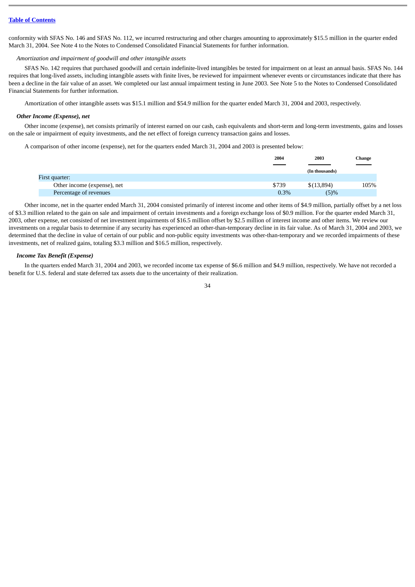conformity with SFAS No. 146 and SFAS No. 112, we incurred restructuring and other charges amounting to approximately \$15.5 million in the quarter ended March 31, 2004. See Note 4 to the Notes to Condensed Consolidated Financial Statements for further information.

## *Amortization and impairment of goodwill and other intangible assets*

SFAS No. 142 requires that purchased goodwill and certain indefinite-lived intangibles be tested for impairment on at least an annual basis. SFAS No. 144 requires that long-lived assets, including intangible assets with finite lives, be reviewed for impairment whenever events or circumstances indicate that there has been a decline in the fair value of an asset. We completed our last annual impairment testing in June 2003. See Note 5 to the Notes to Condensed Consolidated Financial Statements for further information.

Amortization of other intangible assets was \$15.1 million and \$54.9 million for the quarter ended March 31, 2004 and 2003, respectively.

#### *Other Income (Expense), net*

Other income (expense), net consists primarily of interest earned on our cash, cash equivalents and short-term and long-term investments, gains and losses on the sale or impairment of equity investments, and the net effect of foreign currency transaction gains and losses.

A comparison of other income (expense), net for the quarters ended March 31, 2004 and 2003 is presented below:

|                             | 2004  | 2003           | <b>Change</b> |
|-----------------------------|-------|----------------|---------------|
|                             |       |                |               |
|                             |       | (In thousands) |               |
| First quarter:              |       |                |               |
| Other income (expense), net | \$739 | \$(13,894)     | 105%          |
| Percentage of revenues      | 0.3%  | (5)%           |               |

Other income, net in the quarter ended March 31, 2004 consisted primarily of interest income and other items of \$4.9 million, partially offset by a net loss of \$3.3 million related to the gain on sale and impairment of certain investments and a foreign exchange loss of \$0.9 million. For the quarter ended March 31, 2003, other expense, net consisted of net investment impairments of \$16.5 million offset by \$2.5 million of interest income and other items. We review our investments on a regular basis to determine if any security has experienced an other-than-temporary decline in its fair value. As of March 31, 2004 and 2003, we determined that the decline in value of certain of our public and non-public equity investments was other-than-temporary and we recorded impairments of these investments, net of realized gains, totaling \$3.3 million and \$16.5 million, respectively.

#### *Income Tax Benefit (Expense)*

In the quarters ended March 31, 2004 and 2003, we recorded income tax expense of \$6.6 million and \$4.9 million, respectively. We have not recorded a benefit for U.S. federal and state deferred tax assets due to the uncertainty of their realization.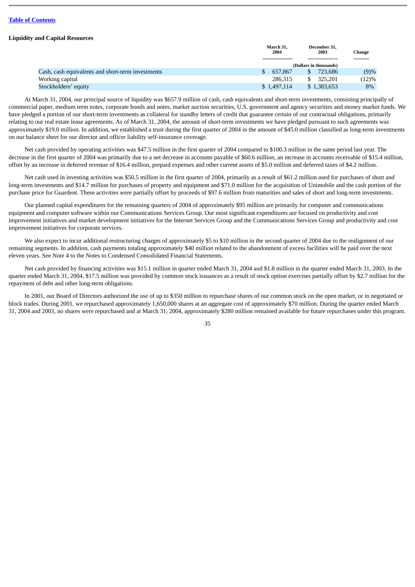#### **Liquidity and Capital Resources**

|                                                   | March 31,<br>2004 | December 31,<br>2003   | Change |
|---------------------------------------------------|-------------------|------------------------|--------|
|                                                   |                   | (Dollars in thousands) |        |
| Cash, cash equivalents and short-term investments | 657.867<br>S.     | 723.686                | (9)%   |
| Working capital                                   | 286,315           | 325.201                | (12)%  |
| Stockholders' equity                              | \$1,497,114       | \$1,383,653            | 8%     |

At March 31, 2004, our principal source of liquidity was \$657.9 million of cash, cash equivalents and short-term investments, consisting principally of commercial paper, medium term notes, corporate bonds and notes, market auction securities, U.S. government and agency securities and money market funds. We have pledged a portion of our short-term investments as collateral for standby letters of credit that guarantee certain of our contractual obligations, primarily relating to our real estate lease agreements. As of March 31, 2004, the amount of short-term investments we have pledged pursuant to such agreements was approximately \$19.0 million. In addition, we established a trust during the first quarter of 2004 in the amount of \$45.0 million classified as long-term investments on our balance sheet for our director and officer liability self-insurance coverage.

Net cash provided by operating activities was \$47.5 million in the first quarter of 2004 compared to \$100.3 million in the same period last year. The decrease in the first quarter of 2004 was primarily due to a net decrease in accounts payable of \$60.6 million, an increase in accounts receivable of \$15.4 million, offset by an increase in deferred revenue of \$16.4 million, prepaid expenses and other current assets of \$5.0 million and deferred taxes of \$4.2 million.

Net cash used in investing activities was \$50.5 million in the first quarter of 2004, primarily as a result of \$61.2 million used for purchases of short and long-term investments and \$14.7 million for purchases of property and equipment and \$71.0 million for the acquisition of Unimobile and the cash portion of the purchase price for Guardent. These activities were partially offset by proceeds of \$97.6 million from maturities and sales of short and long-term investments.

Our planned capital expenditures for the remaining quarters of 2004 of approximately \$95 million are primarily for computer and communications equipment and computer software within our Communications Services Group. Our most significant expenditures are focused on productivity and cost improvement initiatives and market development initiatives for the Internet Services Group and the Communications Services Group and productivity and cost improvement initiatives for corporate services.

We also expect to incur additional restructuring charges of approximately \$5 to \$10 million in the second quarter of 2004 due to the realignment of our remaining segments. In addition, cash payments totaling approximately \$40 million related to the abandonment of excess facilities will be paid over the next eleven years. See Note 4 to the Notes to Condensed Consolidated Financial Statements.

Net cash provided by financing activities was \$15.1 million in quarter ended March 31, 2004 and \$1.8 million in the quarter ended March 31, 2003. In the quarter ended March 31, 2004, \$17.5 million was provided by common stock issuances as a result of stock option exercises partially offset by \$2.7 million for the repayment of debt and other long-term obligations.

In 2001, our Board of Directors authorized the use of up to \$350 million to repurchase shares of our common stock on the open market, or in negotiated or block trades. During 2001, we repurchased approximately 1,650,000 shares at an aggregate cost of approximately \$70 million. During the quarter ended March 31, 2004 and 2003, no shares were repurchased and at March 31, 2004, approximately \$280 million remained available for future repurchases under this program.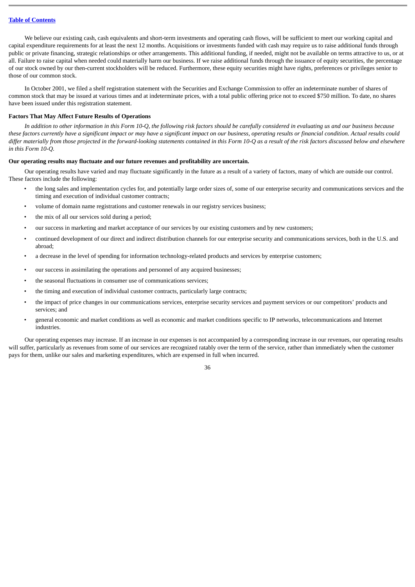We believe our existing cash, cash equivalents and short-term investments and operating cash flows, will be sufficient to meet our working capital and capital expenditure requirements for at least the next 12 months. Acquisitions or investments funded with cash may require us to raise additional funds through public or private financing, strategic relationships or other arrangements. This additional funding, if needed, might not be available on terms attractive to us, or at all. Failure to raise capital when needed could materially harm our business. If we raise additional funds through the issuance of equity securities, the percentage of our stock owned by our then-current stockholders will be reduced. Furthermore, these equity securities might have rights, preferences or privileges senior to those of our common stock.

In October 2001, we filed a shelf registration statement with the Securities and Exchange Commission to offer an indeterminate number of shares of common stock that may be issued at various times and at indeterminate prices, with a total public offering price not to exceed \$750 million. To date, no shares have been issued under this registration statement.

#### **Factors That May Affect Future Results of Operations**

*In addition to other information in this Form 10-Q, the following risk factors should be carefully considered in evaluating us and our business because these factors currently have a significant impact or may have a significant impact on our business, operating results or financial condition. Actual results could differ materially from those projected in the forward-looking statements contained in this Form 10-Q as a result of the risk factors discussed below and elsewhere in this Form 10-Q.*

#### **Our operating results may fluctuate and our future revenues and profitability are uncertain.**

Our operating results have varied and may fluctuate significantly in the future as a result of a variety of factors, many of which are outside our control. These factors include the following:

- the long sales and implementation cycles for, and potentially large order sizes of, some of our enterprise security and communications services and the timing and execution of individual customer contracts;
- volume of domain name registrations and customer renewals in our registry services business;
- the mix of all our services sold during a period;
- our success in marketing and market acceptance of our services by our existing customers and by new customers;
- continued development of our direct and indirect distribution channels for our enterprise security and communications services, both in the U.S. and abroad;
- a decrease in the level of spending for information technology-related products and services by enterprise customers;
- our success in assimilating the operations and personnel of any acquired businesses;
- the seasonal fluctuations in consumer use of communications services;
- the timing and execution of individual customer contracts, particularly large contracts;
- the impact of price changes in our communications services, enterprise security services and payment services or our competitors' products and services; and
- general economic and market conditions as well as economic and market conditions specific to IP networks, telecommunications and Internet industries.

Our operating expenses may increase. If an increase in our expenses is not accompanied by a corresponding increase in our revenues, our operating results will suffer, particularly as revenues from some of our services are recognized ratably over the term of the service, rather than immediately when the customer pays for them, unlike our sales and marketing expenditures, which are expensed in full when incurred.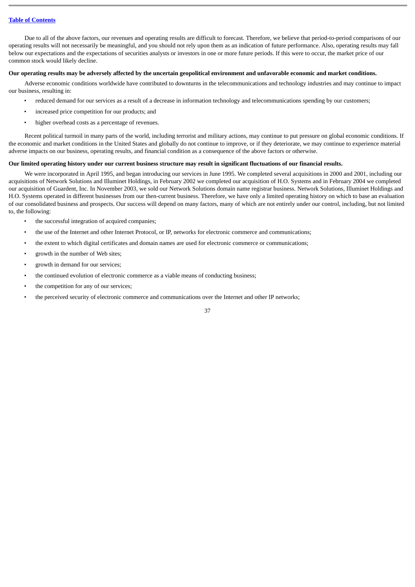Due to all of the above factors, our revenues and operating results are difficult to forecast. Therefore, we believe that period-to-period comparisons of our operating results will not necessarily be meaningful, and you should not rely upon them as an indication of future performance. Also, operating results may fall below our expectations and the expectations of securities analysts or investors in one or more future periods. If this were to occur, the market price of our common stock would likely decline.

# **Our operating results may be adversely affected by the uncertain geopolitical environment and unfavorable economic and market conditions.**

Adverse economic conditions worldwide have contributed to downturns in the telecommunications and technology industries and may continue to impact our business, resulting in:

- reduced demand for our services as a result of a decrease in information technology and telecommunications spending by our customers;
- increased price competition for our products; and
- higher overhead costs as a percentage of revenues.

Recent political turmoil in many parts of the world, including terrorist and military actions, may continue to put pressure on global economic conditions. If the economic and market conditions in the United States and globally do not continue to improve, or if they deteriorate, we may continue to experience material adverse impacts on our business, operating results, and financial condition as a consequence of the above factors or otherwise.

# **Our limited operating history under our current business structure may result in significant fluctuations of our financial results.**

We were incorporated in April 1995, and began introducing our services in June 1995. We completed several acquisitions in 2000 and 2001, including our acquisitions of Network Solutions and Illuminet Holdings, in February 2002 we completed our acquisition of H.O. Systems and in February 2004 we completed our acquisition of Guardent, Inc. In November 2003, we sold our Network Solutions domain name registrar business. Network Solutions, Illuminet Holdings and H.O. Systems operated in different businesses from our then-current business. Therefore, we have only a limited operating history on which to base an evaluation of our consolidated business and prospects. Our success will depend on many factors, many of which are not entirely under our control, including, but not limited to, the following:

- the successful integration of acquired companies:
- the use of the Internet and other Internet Protocol, or IP, networks for electronic commerce and communications;
- the extent to which digital certificates and domain names are used for electronic commerce or communications;
- growth in the number of Web sites;
- growth in demand for our services;
- the continued evolution of electronic commerce as a viable means of conducting business;
- the competition for any of our services;
- the perceived security of electronic commerce and communications over the Internet and other IP networks;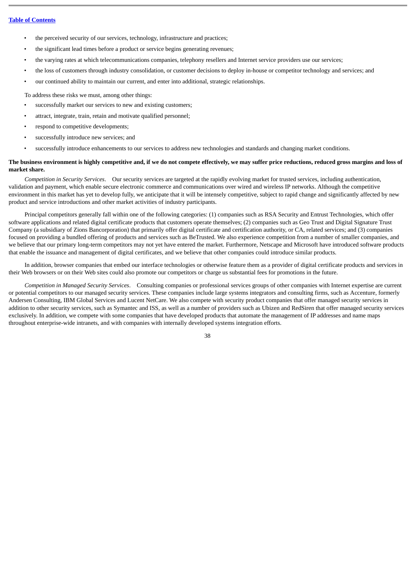- the perceived security of our services, technology, infrastructure and practices;
- the significant lead times before a product or service begins generating revenues;
- the varying rates at which telecommunications companies, telephony resellers and Internet service providers use our services;
- the loss of customers through industry consolidation, or customer decisions to deploy in-house or competitor technology and services; and
- our continued ability to maintain our current, and enter into additional, strategic relationships.

To address these risks we must, among other things:

- successfully market our services to new and existing customers;
- attract, integrate, train, retain and motivate qualified personnel;
- respond to competitive developments;
- successfully introduce new services; and
- successfully introduce enhancements to our services to address new technologies and standards and changing market conditions.

# **The business environment is highly competitive and, if we do not compete effectively, we may suffer price reductions, reduced gross margins and loss of market share.**

*Competition in Security Services*. Our security services are targeted at the rapidly evolving market for trusted services, including authentication, validation and payment, which enable secure electronic commerce and communications over wired and wireless IP networks. Although the competitive environment in this market has yet to develop fully, we anticipate that it will be intensely competitive, subject to rapid change and significantly affected by new product and service introductions and other market activities of industry participants.

Principal competitors generally fall within one of the following categories: (1) companies such as RSA Security and Entrust Technologies, which offer software applications and related digital certificate products that customers operate themselves; (2) companies such as Geo Trust and Digital Signature Trust Company (a subsidiary of Zions Bancorporation) that primarily offer digital certificate and certification authority, or CA, related services; and (3) companies focused on providing a bundled offering of products and services such as BeTrusted. We also experience competition from a number of smaller companies, and we believe that our primary long-term competitors may not yet have entered the market. Furthermore, Netscape and Microsoft have introduced software products that enable the issuance and management of digital certificates, and we believe that other companies could introduce similar products.

In addition, browser companies that embed our interface technologies or otherwise feature them as a provider of digital certificate products and services in their Web browsers or on their Web sites could also promote our competitors or charge us substantial fees for promotions in the future.

*Competition in Managed Security Services*. Consulting companies or professional services groups of other companies with Internet expertise are current or potential competitors to our managed security services. These companies include large systems integrators and consulting firms, such as Accenture, formerly Andersen Consulting, IBM Global Services and Lucent NetCare. We also compete with security product companies that offer managed security services in addition to other security services, such as Symantec and ISS, as well as a number of providers such as Ubizen and RedSiren that offer managed security services exclusively. In addition, we compete with some companies that have developed products that automate the management of IP addresses and name maps throughout enterprise-wide intranets, and with companies with internally developed systems integration efforts.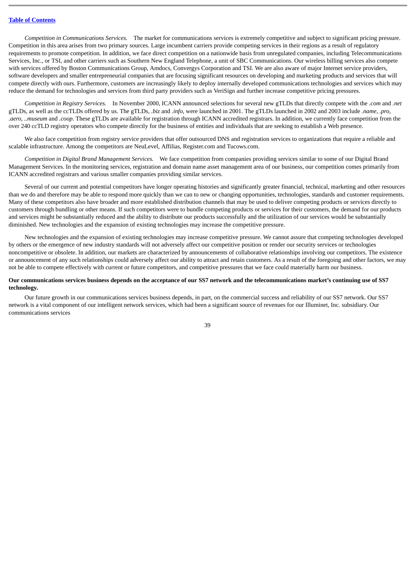*Competition in Communications Services.* The market for communications services is extremely competitive and subject to significant pricing pressure. Competition in this area arises from two primary sources. Large incumbent carriers provide competing services in their regions as a result of regulatory requirements to promote competition. In addition, we face direct competition on a nationwide basis from unregulated companies, including Telecommunications Services, Inc., or TSI, and other carriers such as Southern New England Telephone, a unit of SBC Communications. Our wireless billing services also compete with services offered by Boston Communications Group, Amdocs, Convergys Corporation and TSI. We are also aware of major Internet service providers, software developers and smaller entrepreneurial companies that are focusing significant resources on developing and marketing products and services that will compete directly with ours. Furthermore, customers are increasingly likely to deploy internally developed communications technologies and services which may reduce the demand for technologies and services from third party providers such as VeriSign and further increase competitive pricing pressures.

*Competition in Registry Services.* In November 2000, ICANN announced selections for several new gTLDs that directly compete with the *.com* and *.net* gTLDs, as well as the ccTLDs offered by us. The gTLDs, *.biz* and *.info*, were launched in 2001. The gTLDs launched in 2002 and 2003 include *.name, .pro, .aero, ..museum* and *.coop*. These gTLDs are available for registration through ICANN accredited registrars. In addition, we currently face competition from the over 240 ccTLD registry operators who compete directly for the business of entities and individuals that are seeking to establish a Web presence.

We also face competition from registry service providers that offer outsourced DNS and registration services to organizations that require a reliable and scalable infrastructure. Among the competitors are NeuLevel, Affilias, Register.com and Tucows.com.

*Competition in Digital Brand Management Services.* We face competition from companies providing services similar to some of our Digital Brand Management Services. In the monitoring services, registration and domain name asset management area of our business, our competition comes primarily from ICANN accredited registrars and various smaller companies providing similar services.

Several of our current and potential competitors have longer operating histories and significantly greater financial, technical, marketing and other resources than we do and therefore may be able to respond more quickly than we can to new or changing opportunities, technologies, standards and customer requirements. Many of these competitors also have broader and more established distribution channels that may be used to deliver competing products or services directly to customers through bundling or other means. If such competitors were to bundle competing products or services for their customers, the demand for our products and services might be substantially reduced and the ability to distribute our products successfully and the utilization of our services would be substantially diminished. New technologies and the expansion of existing technologies may increase the competitive pressure.

New technologies and the expansion of existing technologies may increase competitive pressure. We cannot assure that competing technologies developed by others or the emergence of new industry standards will not adversely affect our competitive position or render our security services or technologies noncompetitive or obsolete. In addition, our markets are characterized by announcements of collaborative relationships involving our competitors. The existence or announcement of any such relationships could adversely affect our ability to attract and retain customers. As a result of the foregoing and other factors, we may not be able to compete effectively with current or future competitors, and competitive pressures that we face could materially harm our business.

# **Our communications services business depends on the acceptance of our SS7 network and the telecommunications market's continuing use of SS7 technology.**

Our future growth in our communications services business depends, in part, on the commercial success and reliability of our SS7 network. Our SS7 network is a vital component of our intelligent network services, which had been a significant source of revenues for our Illuminet, Inc. subsidiary. Our communications services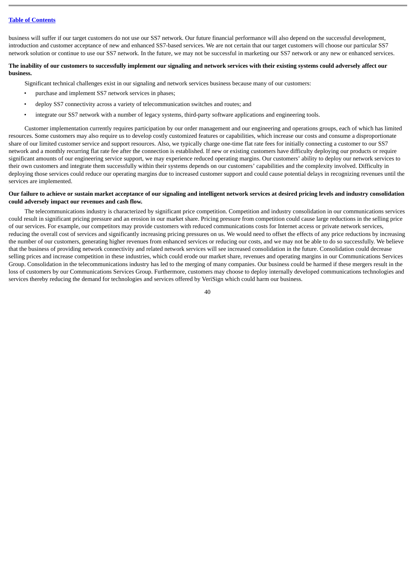business will suffer if our target customers do not use our SS7 network. Our future financial performance will also depend on the successful development, introduction and customer acceptance of new and enhanced SS7-based services. We are not certain that our target customers will choose our particular SS7 network solution or continue to use our SS7 network. In the future, we may not be successful in marketing our SS7 network or any new or enhanced services.

## **The inability of our customers to successfully implement our signaling and network services with their existing systems could adversely affect our business.**

Significant technical challenges exist in our signaling and network services business because many of our customers:

- purchase and implement SS7 network services in phases;
- deploy SS7 connectivity across a variety of telecommunication switches and routes; and
- integrate our SS7 network with a number of legacy systems, third-party software applications and engineering tools.

Customer implementation currently requires participation by our order management and our engineering and operations groups, each of which has limited resources. Some customers may also require us to develop costly customized features or capabilities, which increase our costs and consume a disproportionate share of our limited customer service and support resources. Also, we typically charge one-time flat rate fees for initially connecting a customer to our SS7 network and a monthly recurring flat rate fee after the connection is established. If new or existing customers have difficulty deploying our products or require significant amounts of our engineering service support, we may experience reduced operating margins. Our customers' ability to deploy our network services to their own customers and integrate them successfully within their systems depends on our customers' capabilities and the complexity involved. Difficulty in deploying those services could reduce our operating margins due to increased customer support and could cause potential delays in recognizing revenues until the services are implemented.

# **Our failure to achieve or sustain market acceptance of our signaling and intelligent network services at desired pricing levels and industry consolidation could adversely impact our revenues and cash flow.**

The telecommunications industry is characterized by significant price competition. Competition and industry consolidation in our communications services could result in significant pricing pressure and an erosion in our market share. Pricing pressure from competition could cause large reductions in the selling price of our services. For example, our competitors may provide customers with reduced communications costs for Internet access or private network services, reducing the overall cost of services and significantly increasing pricing pressures on us. We would need to offset the effects of any price reductions by increasing the number of our customers, generating higher revenues from enhanced services or reducing our costs, and we may not be able to do so successfully. We believe that the business of providing network connectivity and related network services will see increased consolidation in the future. Consolidation could decrease selling prices and increase competition in these industries, which could erode our market share, revenues and operating margins in our Communications Services Group. Consolidation in the telecommunications industry has led to the merging of many companies. Our business could be harmed if these mergers result in the loss of customers by our Communications Services Group. Furthermore, customers may choose to deploy internally developed communications technologies and services thereby reducing the demand for technologies and services offered by VeriSign which could harm our business.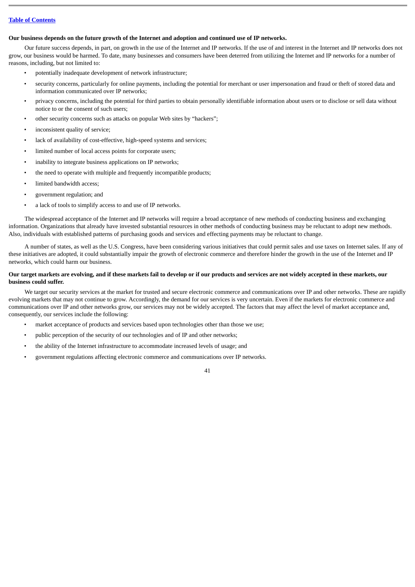#### **Our business depends on the future growth of the Internet and adoption and continued use of IP networks.**

Our future success depends, in part, on growth in the use of the Internet and IP networks. If the use of and interest in the Internet and IP networks does not grow, our business would be harmed. To date, many businesses and consumers have been deterred from utilizing the Internet and IP networks for a number of reasons, including, but not limited to:

- potentially inadequate development of network infrastructure;
- security concerns, particularly for online payments, including the potential for merchant or user impersonation and fraud or theft of stored data and information communicated over IP networks;
- privacy concerns, including the potential for third parties to obtain personally identifiable information about users or to disclose or sell data without notice to or the consent of such users;
- other security concerns such as attacks on popular Web sites by "hackers";
- inconsistent quality of service;
- lack of availability of cost-effective, high-speed systems and services;
- limited number of local access points for corporate users;
- inability to integrate business applications on IP networks;
- the need to operate with multiple and frequently incompatible products;
- limited bandwidth access;
- government regulation; and
- a lack of tools to simplify access to and use of IP networks.

The widespread acceptance of the Internet and IP networks will require a broad acceptance of new methods of conducting business and exchanging information. Organizations that already have invested substantial resources in other methods of conducting business may be reluctant to adopt new methods. Also, individuals with established patterns of purchasing goods and services and effecting payments may be reluctant to change.

A number of states, as well as the U.S. Congress, have been considering various initiatives that could permit sales and use taxes on Internet sales. If any of these initiatives are adopted, it could substantially impair the growth of electronic commerce and therefore hinder the growth in the use of the Internet and IP networks, which could harm our business.

## **Our target markets are evolving, and if these markets fail to develop or if our products and services are not widely accepted in these markets, our business could suffer.**

We target our security services at the market for trusted and secure electronic commerce and communications over IP and other networks. These are rapidly evolving markets that may not continue to grow. Accordingly, the demand for our services is very uncertain. Even if the markets for electronic commerce and communications over IP and other networks grow, our services may not be widely accepted. The factors that may affect the level of market acceptance and, consequently, our services include the following:

- market acceptance of products and services based upon technologies other than those we use;
- public perception of the security of our technologies and of IP and other networks;
- the ability of the Internet infrastructure to accommodate increased levels of usage; and
- government regulations affecting electronic commerce and communications over IP networks.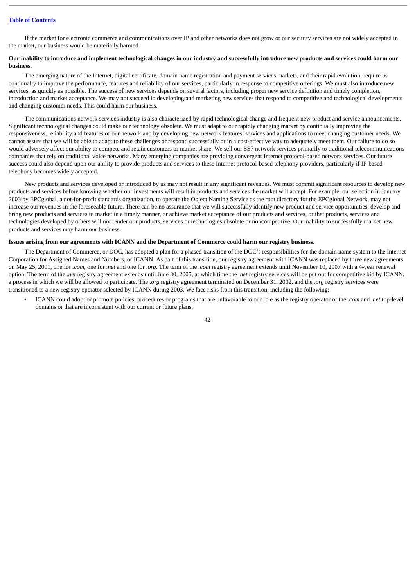If the market for electronic commerce and communications over IP and other networks does not grow or our security services are not widely accepted in the market, our business would be materially harmed.

# **Our inability to introduce and implement technological changes in our industry and successfully introduce new products and services could harm our business.**

The emerging nature of the Internet, digital certificate, domain name registration and payment services markets, and their rapid evolution, require us continually to improve the performance, features and reliability of our services, particularly in response to competitive offerings. We must also introduce new services, as quickly as possible. The success of new services depends on several factors, including proper new service definition and timely completion, introduction and market acceptance. We may not succeed in developing and marketing new services that respond to competitive and technological developments and changing customer needs. This could harm our business.

The communications network services industry is also characterized by rapid technological change and frequent new product and service announcements. Significant technological changes could make our technology obsolete. We must adapt to our rapidly changing market by continually improving the responsiveness, reliability and features of our network and by developing new network features, services and applications to meet changing customer needs. We cannot assure that we will be able to adapt to these challenges or respond successfully or in a cost-effective way to adequately meet them. Our failure to do so would adversely affect our ability to compete and retain customers or market share. We sell our SS7 network services primarily to traditional telecommunications companies that rely on traditional voice networks. Many emerging companies are providing convergent Internet protocol-based network services. Our future success could also depend upon our ability to provide products and services to these Internet protocol-based telephony providers, particularly if IP-based telephony becomes widely accepted.

New products and services developed or introduced by us may not result in any significant revenues. We must commit significant resources to develop new products and services before knowing whether our investments will result in products and services the market will accept. For example, our selection in January 2003 by EPCglobal, a not-for-profit standards organization, to operate the Object Naming Service as the root directory for the EPCglobal Network, may not increase our revenues in the foreseeable future. There can be no assurance that we will successfully identify new product and service opportunities, develop and bring new products and services to market in a timely manner, or achieve market acceptance of our products and services, or that products, services and technologies developed by others will not render our products, services or technologies obsolete or noncompetitive. Our inability to successfully market new products and services may harm our business.

#### **Issues arising from our agreements with ICANN and the Department of Commerce could harm our registry business.**

The Department of Commerce, or DOC, has adopted a plan for a phased transition of the DOC's responsibilities for the domain name system to the Internet Corporation for Assigned Names and Numbers, or ICANN. As part of this transition, our registry agreement with ICANN was replaced by three new agreements on May 25, 2001, one for *.com*, one for *.net* and one for *.org*. The term of the *.com* registry agreement extends until November 10, 2007 with a 4-year renewal option. The term of the *.net* registry agreement extends until June 30, 2005, at which time the *.net* registry services will be put out for competitive bid by ICANN, a process in which we will be allowed to participate. The *.org* registry agreement terminated on December 31, 2002, and the *.org* registry services were transitioned to a new registry operator selected by ICANN during 2003. We face risks from this transition, including the following:

• ICANN could adopt or promote policies, procedures or programs that are unfavorable to our role as the registry operator of the *.com* and *.net* top-level domains or that are inconsistent with our current or future plans;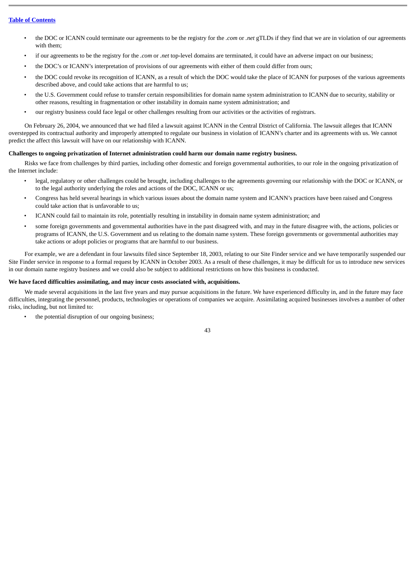- the DOC or ICANN could terminate our agreements to be the registry for the *.com* or *.net* gTLDs if they find that we are in violation of our agreements with them:
- if our agreements to be the registry for the *.com* or *.net* top-level domains are terminated, it could have an adverse impact on our business;
- the DOC's or ICANN's interpretation of provisions of our agreements with either of them could differ from ours;
- the DOC could revoke its recognition of ICANN, as a result of which the DOC would take the place of ICANN for purposes of the various agreements described above, and could take actions that are harmful to us;
- the U.S. Government could refuse to transfer certain responsibilities for domain name system administration to ICANN due to security, stability or other reasons, resulting in fragmentation or other instability in domain name system administration; and
- our registry business could face legal or other challenges resulting from our activities or the activities of registrars.

On February 26, 2004, we announced that we had filed a lawsuit against ICANN in the Central District of California. The lawsuit alleges that ICANN overstepped its contractual authority and improperly attempted to regulate our business in violation of ICANN's charter and its agreements with us. We cannot predict the affect this lawsuit will have on our relationship with ICANN.

# **Challenges to ongoing privatization of Internet administration could harm our domain name registry business.**

Risks we face from challenges by third parties, including other domestic and foreign governmental authorities, to our role in the ongoing privatization of the Internet include:

- legal, regulatory or other challenges could be brought, including challenges to the agreements governing our relationship with the DOC or ICANN, or to the legal authority underlying the roles and actions of the DOC, ICANN or us;
- Congress has held several hearings in which various issues about the domain name system and ICANN's practices have been raised and Congress could take action that is unfavorable to us;
- ICANN could fail to maintain its role, potentially resulting in instability in domain name system administration; and
- some foreign governments and governmental authorities have in the past disagreed with, and may in the future disagree with, the actions, policies or programs of ICANN, the U.S. Government and us relating to the domain name system. These foreign governments or governmental authorities may take actions or adopt policies or programs that are harmful to our business.

For example, we are a defendant in four lawsuits filed since September 18, 2003, relating to our Site Finder service and we have temporarily suspended our Site Finder service in response to a formal request by ICANN in October 2003. As a result of these challenges, it may be difficult for us to introduce new services in our domain name registry business and we could also be subject to additional restrictions on how this business is conducted.

# **We have faced difficulties assimilating, and may incur costs associated with, acquisitions.**

We made several acquisitions in the last five years and may pursue acquisitions in the future. We have experienced difficulty in, and in the future may face difficulties, integrating the personnel, products, technologies or operations of companies we acquire. Assimilating acquired businesses involves a number of other risks, including, but not limited to:

the potential disruption of our ongoing business;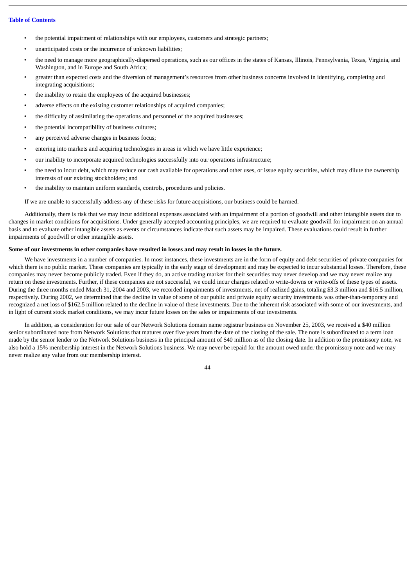- the potential impairment of relationships with our employees, customers and strategic partners;
- unanticipated costs or the incurrence of unknown liabilities;
- the need to manage more geographically-dispersed operations, such as our offices in the states of Kansas, Illinois, Pennsylvania, Texas, Virginia, and Washington, and in Europe and South Africa;
- greater than expected costs and the diversion of management's resources from other business concerns involved in identifying, completing and integrating acquisitions;
- the inability to retain the employees of the acquired businesses;
- adverse effects on the existing customer relationships of acquired companies;
- the difficulty of assimilating the operations and personnel of the acquired businesses;
- the potential incompatibility of business cultures;
- any perceived adverse changes in business focus;
- entering into markets and acquiring technologies in areas in which we have little experience;
- our inability to incorporate acquired technologies successfully into our operations infrastructure;
- the need to incur debt, which may reduce our cash available for operations and other uses, or issue equity securities, which may dilute the ownership interests of our existing stockholders; and
- the inability to maintain uniform standards, controls, procedures and policies.

If we are unable to successfully address any of these risks for future acquisitions, our business could be harmed.

Additionally, there is risk that we may incur additional expenses associated with an impairment of a portion of goodwill and other intangible assets due to changes in market conditions for acquisitions. Under generally accepted accounting principles, we are required to evaluate goodwill for impairment on an annual basis and to evaluate other intangible assets as events or circumstances indicate that such assets may be impaired. These evaluations could result in further impairments of goodwill or other intangible assets.

#### **Some of our investments in other companies have resulted in losses and may result in losses in the future.**

We have investments in a number of companies. In most instances, these investments are in the form of equity and debt securities of private companies for which there is no public market. These companies are typically in the early stage of development and may be expected to incur substantial losses. Therefore, these companies may never become publicly traded. Even if they do, an active trading market for their securities may never develop and we may never realize any return on these investments. Further, if these companies are not successful, we could incur charges related to write-downs or write-offs of these types of assets. During the three months ended March 31, 2004 and 2003, we recorded impairments of investments, net of realized gains, totaling \$3.3 million and \$16.5 million, respectively. During 2002, we determined that the decline in value of some of our public and private equity security investments was other-than-temporary and recognized a net loss of \$162.5 million related to the decline in value of these investments. Due to the inherent risk associated with some of our investments, and in light of current stock market conditions, we may incur future losses on the sales or impairments of our investments.

In addition, as consideration for our sale of our Network Solutions domain name registrar business on November 25, 2003, we received a \$40 million senior subordinated note from Network Solutions that matures over five years from the date of the closing of the sale. The note is subordinated to a term loan made by the senior lender to the Network Solutions business in the principal amount of \$40 million as of the closing date. In addition to the promissory note, we also hold a 15% membership interest in the Network Solutions business. We may never be repaid for the amount owed under the promissory note and we may never realize any value from our membership interest.

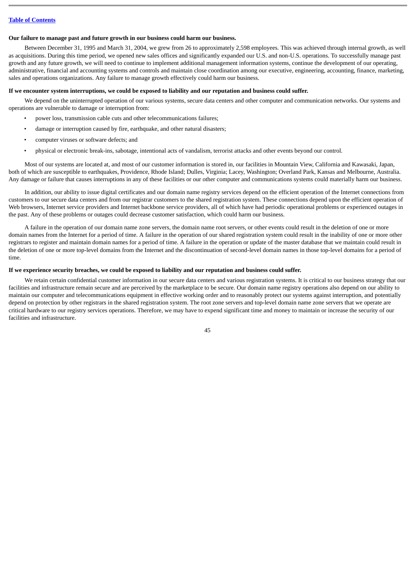#### **Our failure to manage past and future growth in our business could harm our business.**

Between December 31, 1995 and March 31, 2004, we grew from 26 to approximately 2,598 employees. This was achieved through internal growth, as well as acquisitions. During this time period, we opened new sales offices and significantly expanded our U.S. and non-U.S. operations. To successfully manage past growth and any future growth, we will need to continue to implement additional management information systems, continue the development of our operating, administrative, financial and accounting systems and controls and maintain close coordination among our executive, engineering, accounting, finance, marketing, sales and operations organizations. Any failure to manage growth effectively could harm our business.

#### **If we encounter system interruptions, we could be exposed to liability and our reputation and business could suffer.**

We depend on the uninterrupted operation of our various systems, secure data centers and other computer and communication networks. Our systems and operations are vulnerable to damage or interruption from:

- power loss, transmission cable cuts and other telecommunications failures;
- damage or interruption caused by fire, earthquake, and other natural disasters;
- computer viruses or software defects; and
- physical or electronic break-ins, sabotage, intentional acts of vandalism, terrorist attacks and other events beyond our control.

Most of our systems are located at, and most of our customer information is stored in, our facilities in Mountain View, California and Kawasaki, Japan, both of which are susceptible to earthquakes, Providence, Rhode Island; Dulles, Virginia; Lacey, Washington; Overland Park, Kansas and Melbourne, Australia. Any damage or failure that causes interruptions in any of these facilities or our other computer and communications systems could materially harm our business.

In addition, our ability to issue digital certificates and our domain name registry services depend on the efficient operation of the Internet connections from customers to our secure data centers and from our registrar customers to the shared registration system. These connections depend upon the efficient operation of Web browsers, Internet service providers and Internet backbone service providers, all of which have had periodic operational problems or experienced outages in the past. Any of these problems or outages could decrease customer satisfaction, which could harm our business.

A failure in the operation of our domain name zone servers, the domain name root servers, or other events could result in the deletion of one or more domain names from the Internet for a period of time. A failure in the operation of our shared registration system could result in the inability of one or more other registrars to register and maintain domain names for a period of time. A failure in the operation or update of the master database that we maintain could result in the deletion of one or more top-level domains from the Internet and the discontinuation of second-level domain names in those top-level domains for a period of time.

# **If we experience security breaches, we could be exposed to liability and our reputation and business could suffer.**

We retain certain confidential customer information in our secure data centers and various registration systems. It is critical to our business strategy that our facilities and infrastructure remain secure and are perceived by the marketplace to be secure. Our domain name registry operations also depend on our ability to maintain our computer and telecommunications equipment in effective working order and to reasonably protect our systems against interruption, and potentially depend on protection by other registrars in the shared registration system. The root zone servers and top-level domain name zone servers that we operate are critical hardware to our registry services operations. Therefore, we may have to expend significant time and money to maintain or increase the security of our facilities and infrastructure.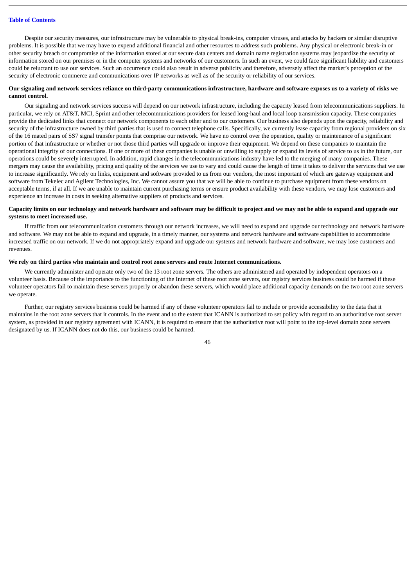Despite our security measures, our infrastructure may be vulnerable to physical break-ins, computer viruses, and attacks by hackers or similar disruptive problems. It is possible that we may have to expend additional financial and other resources to address such problems. Any physical or electronic break-in or other security breach or compromise of the information stored at our secure data centers and domain name registration systems may jeopardize the security of information stored on our premises or in the computer systems and networks of our customers. In such an event, we could face significant liability and customers could be reluctant to use our services. Such an occurrence could also result in adverse publicity and therefore, adversely affect the market's perception of the security of electronic commerce and communications over IP networks as well as of the security or reliability of our services.

# **Our signaling and network services reliance on third-party communications infrastructure, hardware and software exposes us to a variety of risks we cannot control.**

Our signaling and network services success will depend on our network infrastructure, including the capacity leased from telecommunications suppliers. In particular, we rely on AT&T, MCI, Sprint and other telecommunications providers for leased long-haul and local loop transmission capacity. These companies provide the dedicated links that connect our network components to each other and to our customers. Our business also depends upon the capacity, reliability and security of the infrastructure owned by third parties that is used to connect telephone calls. Specifically, we currently lease capacity from regional providers on six of the 16 mated pairs of SS7 signal transfer points that comprise our network. We have no control over the operation, quality or maintenance of a significant portion of that infrastructure or whether or not those third parties will upgrade or improve their equipment. We depend on these companies to maintain the operational integrity of our connections. If one or more of these companies is unable or unwilling to supply or expand its levels of service to us in the future, our operations could be severely interrupted. In addition, rapid changes in the telecommunications industry have led to the merging of many companies. These mergers may cause the availability, pricing and quality of the services we use to vary and could cause the length of time it takes to deliver the services that we use to increase significantly. We rely on links, equipment and software provided to us from our vendors, the most important of which are gateway equipment and software from Tekelec and Agilent Technologies, Inc. We cannot assure you that we will be able to continue to purchase equipment from these vendors on acceptable terms, if at all. If we are unable to maintain current purchasing terms or ensure product availability with these vendors, we may lose customers and experience an increase in costs in seeking alternative suppliers of products and services.

## **Capacity limits on our technology and network hardware and software may be difficult to project and we may not be able to expand and upgrade our systems to meet increased use.**

If traffic from our telecommunication customers through our network increases, we will need to expand and upgrade our technology and network hardware and software. We may not be able to expand and upgrade, in a timely manner, our systems and network hardware and software capabilities to accommodate increased traffic on our network. If we do not appropriately expand and upgrade our systems and network hardware and software, we may lose customers and revenues.

# **We rely on third parties who maintain and control root zone servers and route Internet communications.**

We currently administer and operate only two of the 13 root zone servers. The others are administered and operated by independent operators on a volunteer basis. Because of the importance to the functioning of the Internet of these root zone servers, our registry services business could be harmed if these volunteer operators fail to maintain these servers properly or abandon these servers, which would place additional capacity demands on the two root zone servers we operate.

Further, our registry services business could be harmed if any of these volunteer operators fail to include or provide accessibility to the data that it maintains in the root zone servers that it controls. In the event and to the extent that ICANN is authorized to set policy with regard to an authoritative root server system, as provided in our registry agreement with ICANN, it is required to ensure that the authoritative root will point to the top-level domain zone servers designated by us. If ICANN does not do this, our business could be harmed.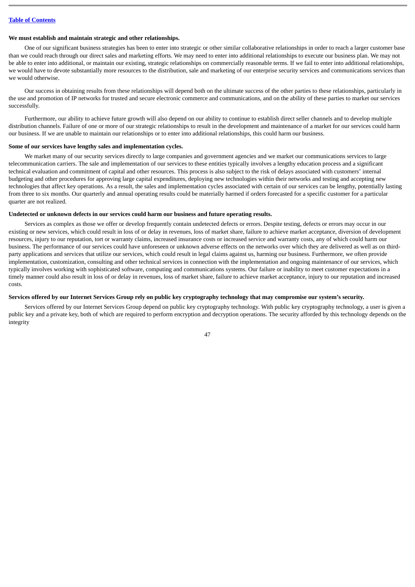# **We must establish and maintain strategic and other relationships.**

One of our significant business strategies has been to enter into strategic or other similar collaborative relationships in order to reach a larger customer base than we could reach through our direct sales and marketing efforts. We may need to enter into additional relationships to execute our business plan. We may not be able to enter into additional, or maintain our existing, strategic relationships on commercially reasonable terms. If we fail to enter into additional relationships, we would have to devote substantially more resources to the distribution, sale and marketing of our enterprise security services and communications services than we would otherwise.

Our success in obtaining results from these relationships will depend both on the ultimate success of the other parties to these relationships, particularly in the use and promotion of IP networks for trusted and secure electronic commerce and communications, and on the ability of these parties to market our services successfully.

Furthermore, our ability to achieve future growth will also depend on our ability to continue to establish direct seller channels and to develop multiple distribution channels. Failure of one or more of our strategic relationships to result in the development and maintenance of a market for our services could harm our business. If we are unable to maintain our relationships or to enter into additional relationships, this could harm our business.

# **Some of our services have lengthy sales and implementation cycles.**

We market many of our security services directly to large companies and government agencies and we market our communications services to large telecommunication carriers. The sale and implementation of our services to these entities typically involves a lengthy education process and a significant technical evaluation and commitment of capital and other resources. This process is also subject to the risk of delays associated with customers' internal budgeting and other procedures for approving large capital expenditures, deploying new technologies within their networks and testing and accepting new technologies that affect key operations. As a result, the sales and implementation cycles associated with certain of our services can be lengthy, potentially lasting from three to six months. Our quarterly and annual operating results could be materially harmed if orders forecasted for a specific customer for a particular quarter are not realized.

# **Undetected or unknown defects in our services could harm our business and future operating results.**

Services as complex as those we offer or develop frequently contain undetected defects or errors. Despite testing, defects or errors may occur in our existing or new services, which could result in loss of or delay in revenues, loss of market share, failure to achieve market acceptance, diversion of development resources, injury to our reputation, tort or warranty claims, increased insurance costs or increased service and warranty costs, any of which could harm our business. The performance of our services could have unforeseen or unknown adverse effects on the networks over which they are delivered as well as on thirdparty applications and services that utilize our services, which could result in legal claims against us, harming our business. Furthermore, we often provide implementation, customization, consulting and other technical services in connection with the implementation and ongoing maintenance of our services, which typically involves working with sophisticated software, computing and communications systems. Our failure or inability to meet customer expectations in a timely manner could also result in loss of or delay in revenues, loss of market share, failure to achieve market acceptance, injury to our reputation and increased costs.

# **Services offered by our Internet Services Group rely on public key cryptography technology that may compromise our system's security.**

Services offered by our Internet Services Group depend on public key cryptography technology. With public key cryptography technology, a user is given a public key and a private key, both of which are required to perform encryption and decryption operations. The security afforded by this technology depends on the integrity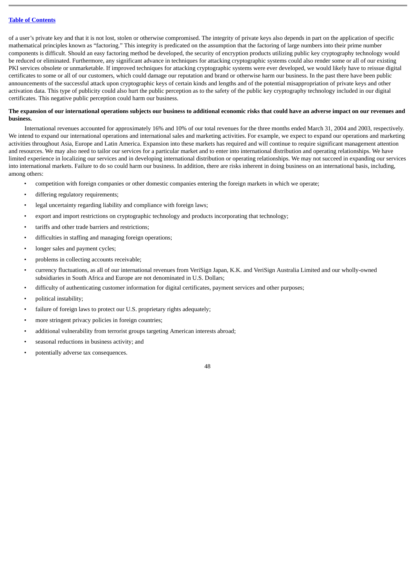of a user's private key and that it is not lost, stolen or otherwise compromised. The integrity of private keys also depends in part on the application of specific mathematical principles known as "factoring." This integrity is predicated on the assumption that the factoring of large numbers into their prime number components is difficult. Should an easy factoring method be developed, the security of encryption products utilizing public key cryptography technology would be reduced or eliminated. Furthermore, any significant advance in techniques for attacking cryptographic systems could also render some or all of our existing PKI services obsolete or unmarketable. If improved techniques for attacking cryptographic systems were ever developed, we would likely have to reissue digital certificates to some or all of our customers, which could damage our reputation and brand or otherwise harm our business. In the past there have been public announcements of the successful attack upon cryptographic keys of certain kinds and lengths and of the potential misappropriation of private keys and other activation data. This type of publicity could also hurt the public perception as to the safety of the public key cryptography technology included in our digital certificates. This negative public perception could harm our business.

# **The expansion of our international operations subjects our business to additional economic risks that could have an adverse impact on our revenues and business.**

International revenues accounted for approximately 16% and 10% of our total revenues for the three months ended March 31, 2004 and 2003, respectively. We intend to expand our international operations and international sales and marketing activities. For example, we expect to expand our operations and marketing activities throughout Asia, Europe and Latin America. Expansion into these markets has required and will continue to require significant management attention and resources. We may also need to tailor our services for a particular market and to enter into international distribution and operating relationships. We have limited experience in localizing our services and in developing international distribution or operating relationships. We may not succeed in expanding our services into international markets. Failure to do so could harm our business. In addition, there are risks inherent in doing business on an international basis, including, among others:

- competition with foreign companies or other domestic companies entering the foreign markets in which we operate;
- differing regulatory requirements;
- legal uncertainty regarding liability and compliance with foreign laws;
- export and import restrictions on cryptographic technology and products incorporating that technology;
- tariffs and other trade barriers and restrictions;
- difficulties in staffing and managing foreign operations;
- longer sales and payment cycles;
- problems in collecting accounts receivable;
- currency fluctuations, as all of our international revenues from VeriSign Japan, K.K. and VeriSign Australia Limited and our wholly-owned subsidiaries in South Africa and Europe are not denominated in U.S. Dollars;
- difficulty of authenticating customer information for digital certificates, payment services and other purposes;
- political instability;
- failure of foreign laws to protect our U.S. proprietary rights adequately;
- more stringent privacy policies in foreign countries;
- additional vulnerability from terrorist groups targeting American interests abroad;
- seasonal reductions in business activity; and
- potentially adverse tax consequences.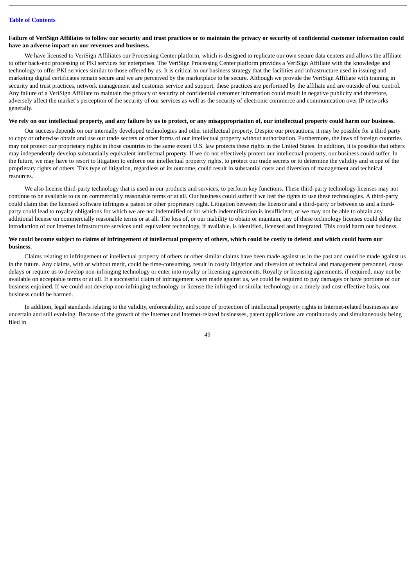## **Failure of VeriSign Affiliates to follow our security and trust practices or to maintain the privacy or security of confidential customer information could have an adverse impact on our revenues and business.**

We have licensed to VeriSign Affiliates our Processing Center platform, which is designed to replicate our own secure data centers and allows the affiliate to offer back-end processing of PKI services for enterprises. The VeriSign Processing Center platform provides a VeriSign Affiliate with the knowledge and technology to offer PKI services similar to those offered by us. It is critical to our business strategy that the facilities and infrastructure used in issuing and marketing digital certificates remain secure and we are perceived by the marketplace to be secure. Although we provide the VeriSign Affiliate with training in security and trust practices, network management and customer service and support, these practices are performed by the affiliate and are outside of our control. Any failure of a VeriSign Affiliate to maintain the privacy or security of confidential customer information could result in negative publicity and therefore, adversely affect the market's perception of the security of our services as well as the security of electronic commerce and communication over IP networks generally.

#### **We rely on our intellectual property, and any failure by us to protect, or any misappropriation of, our intellectual property could harm our business.**

Our success depends on our internally developed technologies and other intellectual property. Despite our precautions, it may be possible for a third party to copy or otherwise obtain and use our trade secrets or other forms of our intellectual property without authorization. Furthermore, the laws of foreign countries may not protect our proprietary rights in those countries to the same extent U.S. law protects these rights in the United States. In addition, it is possible that others may independently develop substantially equivalent intellectual property. If we do not effectively protect our intellectual property, our business could suffer. In the future, we may have to resort to litigation to enforce our intellectual property rights, to protect our trade secrets or to determine the validity and scope of the proprietary rights of others. This type of litigation, regardless of its outcome, could result in substantial costs and diversion of management and technical resources.

We also license third-party technology that is used in our products and services, to perform key functions. These third-party technology licenses may not continue to be available to us on commercially reasonable terms or at all. Our business could suffer if we lost the rights to use these technologies. A third-party could claim that the licensed software infringes a patent or other proprietary right. Litigation between the licensor and a third-party or between us and a thirdparty could lead to royalty obligations for which we are not indemnified or for which indemnification is insufficient, or we may not be able to obtain any additional license on commercially reasonable terms or at all. The loss of, or our inability to obtain or maintain, any of these technology licenses could delay the introduction of our Internet infrastructure services until equivalent technology, if available, is identified, licensed and integrated. This could harm our business.

#### **We could become subject to claims of infringement of intellectual property of others, which could be costly to defend and which could harm our business.**

Claims relating to infringement of intellectual property of others or other similar claims have been made against us in the past and could be made against us in the future. Any claims, with or without merit, could be time-consuming, result in costly litigation and diversion of technical and management personnel, cause delays or require us to develop non-infringing technology or enter into royalty or licensing agreements. Royalty or licensing agreements, if required, may not be available on acceptable terms or at all. If a successful claim of infringement were made against us, we could be required to pay damages or have portions of our business enjoined. If we could not develop non-infringing technology or license the infringed or similar technology on a timely and cost-effective basis, our business could be harmed.

In addition, legal standards relating to the validity, enforceability, and scope of protection of intellectual property rights in Internet-related businesses are uncertain and still evolving. Because of the growth of the Internet and Internet-related businesses, patent applications are continuously and simultaneously being filed in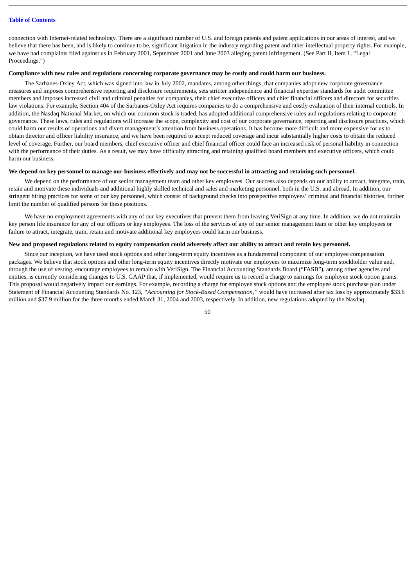connection with Internet-related technology. There are a significant number of U.S. and foreign patents and patent applications in our areas of interest, and we believe that there has been, and is likely to continue to be, significant litigation in the industry regarding patent and other intellectual property rights. For example, we have had complaints filed against us in February 2001, September 2001 and June 2003 alleging patent infringement. (See Part II, Item 1, "Legal Proceedings.")

#### **Compliance with new rules and regulations concerning corporate governance may be costly and could harm our business.**

The Sarbanes-Oxley Act, which was signed into law in July 2002, mandates, among other things, that companies adopt new corporate governance measures and imposes comprehensive reporting and disclosure requirements, sets stricter independence and financial expertise standards for audit committee members and imposes increased civil and criminal penalties for companies, their chief executive officers and chief financial officers and directors for securities law violations. For example, Section 404 of the Sarbanes-Oxley Act requires companies to do a comprehensive and costly evaluation of their internal controls. In addition, the Nasdaq National Market, on which our common stock is traded, has adopted additional comprehensive rules and regulations relating to corporate governance. These laws, rules and regulations will increase the scope, complexity and cost of our corporate governance, reporting and disclosure practices, which could harm our results of operations and divert management's attention from business operations. It has become more difficult and more expensive for us to obtain director and officer liability insurance, and we have been required to accept reduced coverage and incur substantially higher costs to obtain the reduced level of coverage. Further, our board members, chief executive officer and chief financial officer could face an increased risk of personal liability in connection with the performance of their duties. As a result, we may have difficulty attracting and retaining qualified board members and executive officers, which could harm our business.

#### **We depend on key personnel to manage our business effectively and may not be successful in attracting and retaining such personnel.**

We depend on the performance of our senior management team and other key employees. Our success also depends on our ability to attract, integrate, train, retain and motivate these individuals and additional highly skilled technical and sales and marketing personnel, both in the U.S. and abroad. In addition, our stringent hiring practices for some of our key personnel, which consist of background checks into prospective employees' criminal and financial histories, further limit the number of qualified persons for these positions.

We have no employment agreements with any of our key executives that prevent them from leaving VeriSign at any time. In addition, we do not maintain key person life insurance for any of our officers or key employees. The loss of the services of any of our senior management team or other key employees or failure to attract, integrate, train, retain and motivate additional key employees could harm our business.

#### **New and proposed regulations related to equity compensation could adversely affect our ability to attract and retain key personnel.**

Since our inception, we have used stock options and other long-term equity incentives as a fundamental component of our employee compensation packages. We believe that stock options and other long-term equity incentives directly motivate our employees to maximize long-term stockholder value and, through the use of vesting, encourage employees to remain with VeriSign. The Financial Accounting Standards Board ("FASB"), among other agencies and entities, is currently considering changes to U.S. GAAP that, if implemented, would require us to record a charge to earnings for employee stock option grants. This proposal would negatively impact our earnings. For example, recording a charge for employee stock options and the employee stock purchase plan under Statement of Financial Accounting Standards No. 123, *"Accounting for Stock-Based Compensation,"* would have increased after tax loss by approximately \$33.6 million and \$37.9 million for the three months ended March 31, 2004 and 2003, respectively. In addition, new regulations adopted by the Nasdaq

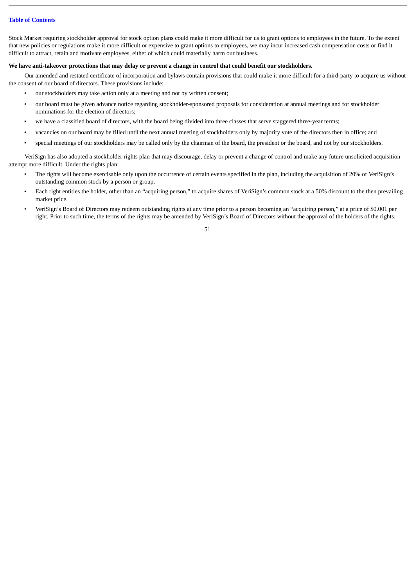Stock Market requiring stockholder approval for stock option plans could make it more difficult for us to grant options to employees in the future. To the extent that new policies or regulations make it more difficult or expensive to grant options to employees, we may incur increased cash compensation costs or find it difficult to attract, retain and motivate employees, either of which could materially harm our business.

#### **We have anti-takeover protections that may delay or prevent a change in control that could benefit our stockholders.**

Our amended and restated certificate of incorporation and bylaws contain provisions that could make it more difficult for a third-party to acquire us without the consent of our board of directors. These provisions include:

- our stockholders may take action only at a meeting and not by written consent;
- our board must be given advance notice regarding stockholder-sponsored proposals for consideration at annual meetings and for stockholder nominations for the election of directors;
- we have a classified board of directors, with the board being divided into three classes that serve staggered three-year terms;
- vacancies on our board may be filled until the next annual meeting of stockholders only by majority vote of the directors then in office; and
- special meetings of our stockholders may be called only by the chairman of the board, the president or the board, and not by our stockholders.

VeriSign has also adopted a stockholder rights plan that may discourage, delay or prevent a change of control and make any future unsolicited acquisition attempt more difficult. Under the rights plan:

- The rights will become exercisable only upon the occurrence of certain events specified in the plan, including the acquisition of 20% of VeriSign's outstanding common stock by a person or group.
- Each right entitles the holder, other than an "acquiring person," to acquire shares of VeriSign's common stock at a 50% discount to the then prevailing market price.
- VeriSign's Board of Directors may redeem outstanding rights at any time prior to a person becoming an "acquiring person," at a price of \$0.001 per right. Prior to such time, the terms of the rights may be amended by VeriSign's Board of Directors without the approval of the holders of the rights.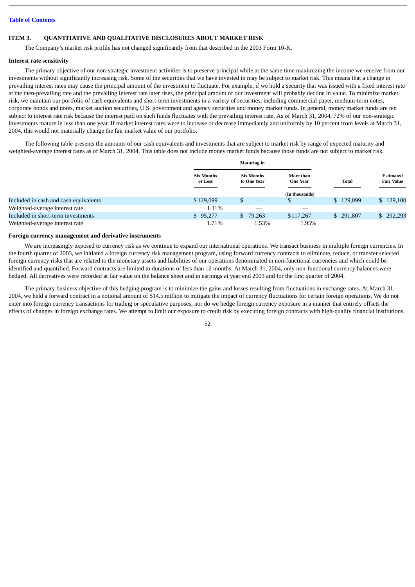#### <span id="page-51-0"></span>**ITEM 3. QUANTITATIVE AND QUALITATIVE DISCLOSURES ABOUT MARKET RISK**

The Company's market risk profile has not changed significantly from that described in the 2003 Form 10-K.

#### **Interest rate sensitivity**

The primary objective of our non-strategic investment activities is to preserve principal while at the same time maximizing the income we receive from our investments without significantly increasing risk. Some of the securities that we have invested in may be subject to market risk. This means that a change in prevailing interest rates may cause the principal amount of the investment to fluctuate. For example, if we hold a security that was issued with a fixed interest rate at the then-prevailing rate and the prevailing interest rate later rises, the principal amount of our investment will probably decline in value. To minimize market risk, we maintain our portfolio of cash equivalents and short-term investments in a variety of securities, including commercial paper, medium-term notes, corporate bonds and notes, market auction securities, U.S. government and agency securities and money market funds. In general, money market funds are not subject to interest rate risk because the interest paid on such funds fluctuates with the prevailing interest rate. As of March 31, 2004, 72% of our non-strategic investments mature in less than one year. If market interest rates were to increase or decrease immediately and uniformly by 10 percent from levels at March 31, 2004, this would not materially change the fair market value of our portfolio.

The following table presents the amounts of our cash equivalents and investments that are subject to market risk by range of expected maturity and weighted-average interest rates as of March 31, 2004. This table does not include money market funds because those funds are not subject to market risk.

|                                       | <b>Maturing in</b>           |                                  |                                 |           |                                       |
|---------------------------------------|------------------------------|----------------------------------|---------------------------------|-----------|---------------------------------------|
|                                       | <b>Six Months</b><br>or Less | <b>Six Months</b><br>to One Year | More than<br><b>One Year</b>    | Total     | <b>Estimated</b><br><b>Fair Value</b> |
|                                       |                              |                                  | (In thousands)                  |           |                                       |
| Included in cash and cash equivalents | \$129,099                    | S                                | $\hspace{0.1mm}-\hspace{0.1mm}$ | \$129,099 | \$129,100                             |
| Weighted-average interest rate        | 1.11%                        |                                  |                                 |           |                                       |
| Included in short-term investments    | \$95,277                     | \$79,263                         | \$117,267                       | \$291,807 | \$292,293                             |
| Weighted-average interest rate        | 1.71%                        | 1.53%                            | 1.95%                           |           |                                       |

#### **Foreign currency management and derivative instruments**

We are increasingly exposed to currency risk as we continue to expand our international operations. We transact business in multiple foreign currencies. In the fourth quarter of 2003, we initiated a foreign currency risk management program, using forward currency contracts to eliminate, reduce, or transfer selected foreign currency risks that are related to the monetary assets and liabilities of our operations denominated in non-functional currencies and which could be identified and quantified. Forward contracts are limited to durations of less than 12 months. At March 31, 2004, only non-functional currency balances were hedged. All derivatives were recorded at fair value on the balance sheet and in earnings at year end 2003 and for the first quarter of 2004.

The primary business objective of this hedging program is to minimize the gains and losses resulting from fluctuations in exchange rates. At March 31, 2004, we held a forward contract in a notional amount of \$14.5 million to mitigate the impact of currency fluctuations for certain foreign operations. We do not enter into foreign currency transactions for trading or speculative purposes, nor do we hedge foreign currency exposure in a manner that entirely offsets the effects of changes in foreign exchange rates. We attempt to limit our exposure to credit risk by executing foreign contracts with high-quality financial institutions.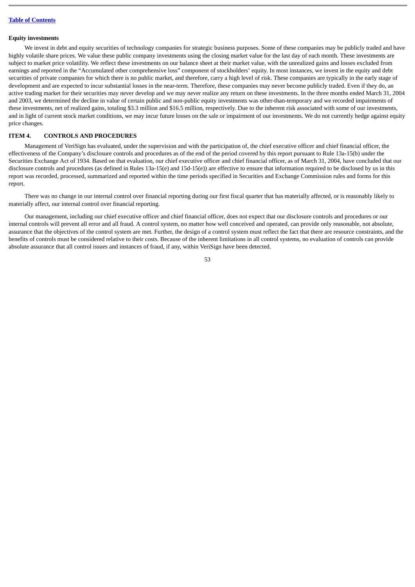#### **Equity investments**

We invest in debt and equity securities of technology companies for strategic business purposes. Some of these companies may be publicly traded and have highly volatile share prices. We value these public company investments using the closing market value for the last day of each month. These investments are subject to market price volatility. We reflect these investments on our balance sheet at their market value, with the unrealized gains and losses excluded from earnings and reported in the "Accumulated other comprehensive loss" component of stockholders' equity. In most instances, we invest in the equity and debt securities of private companies for which there is no public market, and therefore, carry a high level of risk. These companies are typically in the early stage of development and are expected to incur substantial losses in the near-term. Therefore, these companies may never become publicly traded. Even if they do, an active trading market for their securities may never develop and we may never realize any return on these investments. In the three months ended March 31, 2004 and 2003, we determined the decline in value of certain public and non-public equity investments was other-than-temporary and we recorded impairments of these investments, net of realized gains, totaling \$3.3 million and \$16.5 million, respectively. Due to the inherent risk associated with some of our investments, and in light of current stock market conditions, we may incur future losses on the sale or impairment of our investments. We do not currently hedge against equity price changes.

# <span id="page-52-0"></span>**ITEM 4. CONTROLS AND PROCEDURES**

Management of VeriSign has evaluated, under the supervision and with the participation of, the chief executive officer and chief financial officer, the effectiveness of the Company's disclosure controls and procedures as of the end of the period covered by this report pursuant to Rule 13a-15(b) under the Securities Exchange Act of 1934. Based on that evaluation, our chief executive officer and chief financial officer, as of March 31, 2004, have concluded that our disclosure controls and procedures (as defined in Rules 13a-15(e) and 15d-15(e)) are effective to ensure that information required to be disclosed by us in this report was recorded, processed, summarized and reported within the time periods specified in Securities and Exchange Commission rules and forms for this report.

There was no change in our internal control over financial reporting during our first fiscal quarter that has materially affected, or is reasonably likely to materially affect, our internal control over financial reporting.

Our management, including our chief executive officer and chief financial officer, does not expect that our disclosure controls and procedures or our internal controls will prevent all error and all fraud. A control system, no matter how well conceived and operated, can provide only reasonable, not absolute, assurance that the objectives of the control system are met. Further, the design of a control system must reflect the fact that there are resource constraints, and the benefits of controls must be considered relative to their costs. Because of the inherent limitations in all control systems, no evaluation of controls can provide absolute assurance that all control issues and instances of fraud, if any, within VeriSign have been detected.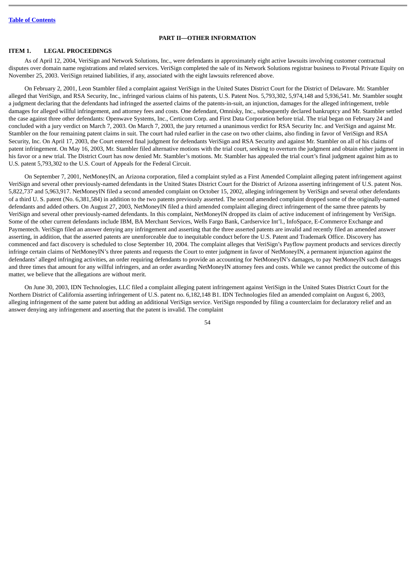### **PART II—OTHER INFORMATION**

# <span id="page-53-1"></span><span id="page-53-0"></span>**ITEM 1. LEGAL PROCEEDINGS**

As of April 12, 2004, VeriSign and Network Solutions, Inc., were defendants in approximately eight active lawsuits involving customer contractual disputes over domain name registrations and related services. VeriSign completed the sale of its Network Solutions registrar business to Pivotal Private Equity on November 25, 2003. VeriSign retained liabilities, if any, associated with the eight lawsuits referenced above.

On February 2, 2001, Leon Stambler filed a complaint against VeriSign in the United States District Court for the District of Delaware. Mr. Stambler alleged that VeriSign, and RSA Security, Inc., infringed various claims of his patents, U.S. Patent Nos. 5,793,302, 5,974,148 and 5,936,541. Mr. Stambler sought a judgment declaring that the defendants had infringed the asserted claims of the patents-in-suit, an injunction, damages for the alleged infringement, treble damages for alleged willful infringement, and attorney fees and costs. One defendant, Omnisky, Inc., subsequently declared bankruptcy and Mr. Stambler settled the case against three other defendants: Openwave Systems, Inc., Certicom Corp. and First Data Corporation before trial. The trial began on February 24 and concluded with a jury verdict on March 7, 2003. On March 7, 2003, the jury returned a unanimous verdict for RSA Security Inc. and VeriSign and against Mr. Stambler on the four remaining patent claims in suit. The court had ruled earlier in the case on two other claims, also finding in favor of VeriSign and RSA Security, Inc. On April 17, 2003, the Court entered final judgment for defendants VeriSign and RSA Security and against Mr. Stambler on all of his claims of patent infringement. On May 16, 2003, Mr. Stambler filed alternative motions with the trial court, seeking to overturn the judgment and obtain either judgment in his favor or a new trial. The District Court has now denied Mr. Stambler's motions. Mr. Stambler has appealed the trial court's final judgment against him as to U.S. patent 5,793,302 to the U.S. Court of Appeals for the Federal Circuit.

On September 7, 2001, NetMoneyIN, an Arizona corporation, filed a complaint styled as a First Amended Complaint alleging patent infringement against VeriSign and several other previously-named defendants in the United States District Court for the District of Arizona asserting infringement of U.S. patent Nos. 5,822,737 and 5,963,917. NetMoneyIN filed a second amended complaint on October 15, 2002, alleging infringement by VeriSign and several other defendants of a third U. S. patent (No. 6,381,584) in addition to the two patents previously asserted. The second amended complaint dropped some of the originally-named defendants and added others. On August 27, 2003, NetMoneyIN filed a third amended complaint alleging direct infringement of the same three patents by VeriSign and several other previously-named defendants. In this complaint, NetMoneyIN dropped its claim of active inducement of infringement by VeriSign. Some of the other current defendants include IBM, BA Merchant Services, Wells Fargo Bank, Cardservice Int'l., InfoSpace, E-Commerce Exchange and Paymentech. VeriSign filed an answer denying any infringement and asserting that the three asserted patents are invalid and recently filed an amended answer asserting, in addition, that the asserted patents are unenforceable due to inequitable conduct before the U.S. Patent and Trademark Office. Discovery has commenced and fact discovery is scheduled to close September 10, 2004. The complaint alleges that VeriSign's Payflow payment products and services directly infringe certain claims of NetMoneyIN's three patents and requests the Court to enter judgment in favor of NetMoneyIN, a permanent injunction against the defendants' alleged infringing activities, an order requiring defendants to provide an accounting for NetMoneyIN's damages, to pay NetMoneyIN such damages and three times that amount for any willful infringers, and an order awarding NetMoneyIN attorney fees and costs. While we cannot predict the outcome of this matter, we believe that the allegations are without merit.

On June 30, 2003, IDN Technologies, LLC filed a complaint alleging patent infringement against VeriSign in the United States District Court for the Northern District of California asserting infringement of U.S. patent no. 6,182,148 B1. IDN Technologies filed an amended complaint on August 6, 2003, alleging infringement of the same patent but adding an additional VeriSign service. VeriSign responded by filing a counterclaim for declaratory relief and an answer denying any infringement and asserting that the patent is invalid. The complaint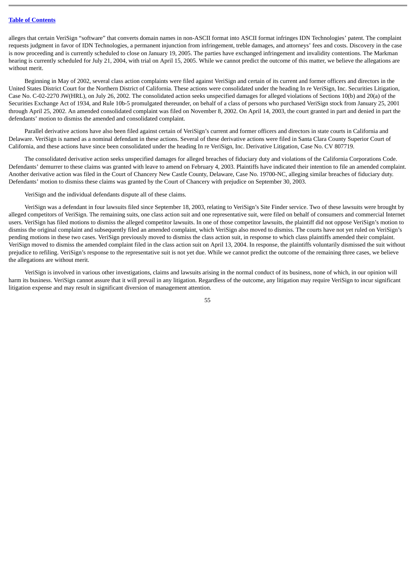alleges that certain VeriSign "software" that converts domain names in non-ASCII format into ASCII format infringes IDN Technologies' patent. The complaint requests judgment in favor of IDN Technologies, a permanent injunction from infringement, treble damages, and attorneys' fees and costs. Discovery in the case is now proceeding and is currently scheduled to close on January 19, 2005. The parties have exchanged infringement and invalidity contentions. The Markman hearing is currently scheduled for July 21, 2004, with trial on April 15, 2005. While we cannot predict the outcome of this matter, we believe the allegations are without merit.

Beginning in May of 2002, several class action complaints were filed against VeriSign and certain of its current and former officers and directors in the United States District Court for the Northern District of California. These actions were consolidated under the heading In re VeriSign, Inc. Securities Litigation, Case No. C-02-2270 JW(HRL), on July 26, 2002. The consolidated action seeks unspecified damages for alleged violations of Sections 10(b) and 20(a) of the Securities Exchange Act of 1934, and Rule 10b-5 promulgated thereunder, on behalf of a class of persons who purchased VeriSign stock from January 25, 2001 through April 25, 2002. An amended consolidated complaint was filed on November 8, 2002. On April 14, 2003, the court granted in part and denied in part the defendants' motion to dismiss the amended and consolidated complaint.

Parallel derivative actions have also been filed against certain of VeriSign's current and former officers and directors in state courts in California and Delaware. VeriSign is named as a nominal defendant in these actions. Several of these derivative actions were filed in Santa Clara County Superior Court of California, and these actions have since been consolidated under the heading In re VeriSign, Inc. Derivative Litigation, Case No. CV 807719.

The consolidated derivative action seeks unspecified damages for alleged breaches of fiduciary duty and violations of the California Corporations Code. Defendants' demurrer to these claims was granted with leave to amend on February 4, 2003. Plaintiffs have indicated their intention to file an amended complaint. Another derivative action was filed in the Court of Chancery New Castle County, Delaware, Case No. 19700-NC, alleging similar breaches of fiduciary duty. Defendants' motion to dismiss these claims was granted by the Court of Chancery with prejudice on September 30, 2003.

VeriSign and the individual defendants dispute all of these claims.

VeriSign was a defendant in four lawsuits filed since September 18, 2003, relating to VeriSign's Site Finder service. Two of these lawsuits were brought by alleged competitors of VeriSign. The remaining suits, one class action suit and one representative suit, were filed on behalf of consumers and commercial Internet users. VeriSign has filed motions to dismiss the alleged competitor lawsuits. In one of those competitor lawsuits, the plaintiff did not oppose VeriSign's motion to dismiss the original complaint and subsequently filed an amended complaint, which VeriSign also moved to dismiss. The courts have not yet ruled on VeriSign's pending motions in these two cases. VeriSign previously moved to dismiss the class action suit, in response to which class plaintiffs amended their complaint. VeriSign moved to dismiss the amended complaint filed in the class action suit on April 13, 2004. In response, the plaintiffs voluntarily dismissed the suit without prejudice to refiling. VeriSign's response to the representative suit is not yet due. While we cannot predict the outcome of the remaining three cases, we believe the allegations are without merit.

VeriSign is involved in various other investigations, claims and lawsuits arising in the normal conduct of its business, none of which, in our opinion will harm its business. VeriSign cannot assure that it will prevail in any litigation. Regardless of the outcome, any litigation may require VeriSign to incur significant litigation expense and may result in significant diversion of management attention.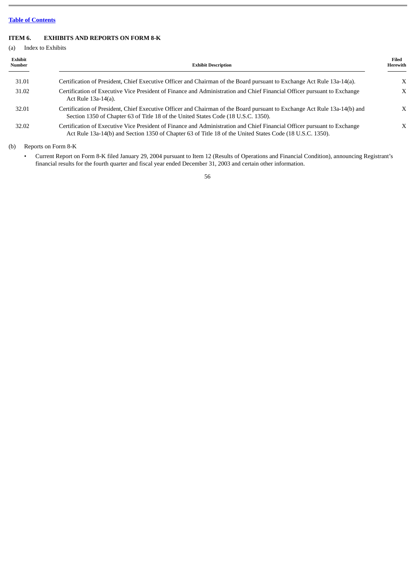# <span id="page-55-0"></span>**ITEM 6. EXHIBITS AND REPORTS ON FORM 8-K**

# (a) Index to Exhibits

| Exhibit<br>Number | <b>Exhibit Description</b>                                                                                                                                                                                                            | Filed<br>Herewith |
|-------------------|---------------------------------------------------------------------------------------------------------------------------------------------------------------------------------------------------------------------------------------|-------------------|
| 31.01             | Certification of President, Chief Executive Officer and Chairman of the Board pursuant to Exchange Act Rule 13a-14(a).                                                                                                                | X                 |
| 31.02             | Certification of Executive Vice President of Finance and Administration and Chief Financial Officer pursuant to Exchange<br>Act Rule 13a-14(a).                                                                                       | X                 |
| 32.01             | Certification of President, Chief Executive Officer and Chairman of the Board pursuant to Exchange Act Rule 13a-14(b) and<br>Section 1350 of Chapter 63 of Title 18 of the United States Code (18 U.S.C. 1350).                       | X                 |
| 32.02             | Certification of Executive Vice President of Finance and Administration and Chief Financial Officer pursuant to Exchange<br>Act Rule 13a-14(b) and Section 1350 of Chapter 63 of Title 18 of the United States Code (18 U.S.C. 1350). | X                 |

(b) Reports on Form 8-K

• Current Report on Form 8-K filed January 29, 2004 pursuant to Item 12 (Results of Operations and Financial Condition), announcing Registrant's financial results for the fourth quarter and fiscal year ended December 31, 2003 and certain other information.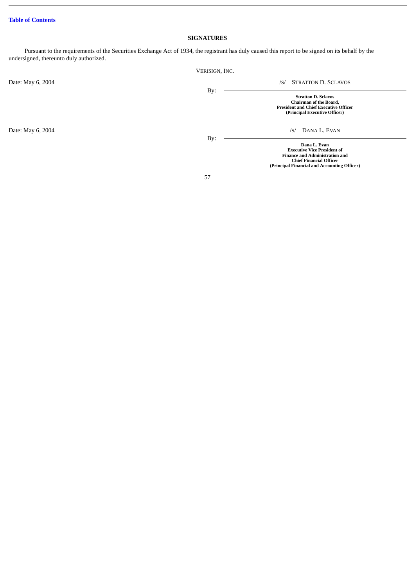# **SIGNATURES**

<span id="page-56-0"></span>Pursuant to the requirements of the Securities Exchange Act of 1934, the registrant has duly caused this report to be signed on its behalf by the undersigned, thereunto duly authorized.

VERISIGN, INC. Date: May 6, 2004 By: /S/ STRATTON D. SCLAVOS **Stratton D. Sclavos Chairman of the Board, President and Chief Executive Officer (Principal Executive Officer)** Date: May 6, 2004 By: /S/ DANA L. EVAN **Dana L. Evan Executive Vice President of Finance and Administration and Chief Financial Officer (Principal Financial and Accounting Officer)**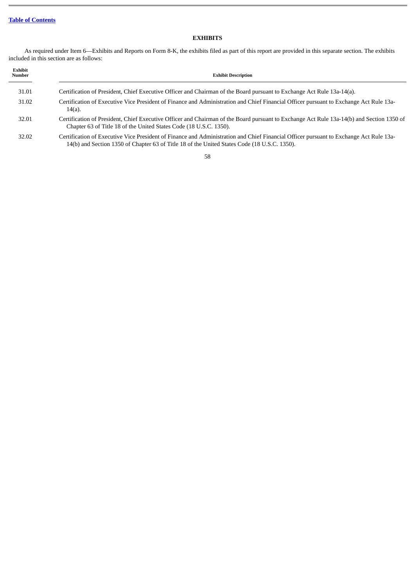# **EXHIBITS**

<span id="page-57-0"></span>As required under Item 6—Exhibits and Reports on Form 8-K, the exhibits filed as part of this report are provided in this separate section. The exhibits included in this section are as follows:

| Exhibit<br>Number | <b>Exhibit Description</b>                                                                                                                                                                                                             |
|-------------------|----------------------------------------------------------------------------------------------------------------------------------------------------------------------------------------------------------------------------------------|
| 31.01             | Certification of President, Chief Executive Officer and Chairman of the Board pursuant to Exchange Act Rule 13a-14(a).                                                                                                                 |
| 31.02             | Certification of Executive Vice President of Finance and Administration and Chief Financial Officer pursuant to Exchange Act Rule 13a-<br>$14(a)$ .                                                                                    |
| 32.01             | Certification of President, Chief Executive Officer and Chairman of the Board pursuant to Exchange Act Rule 13a-14(b) and Section 1350 of<br>Chapter 63 of Title 18 of the United States Code (18 U.S.C. 1350).                        |
| 32.02             | Certification of Executive Vice President of Finance and Administration and Chief Financial Officer pursuant to Exchange Act Rule 13a-<br>14(b) and Section 1350 of Chapter 63 of Title 18 of the United States Code (18 U.S.C. 1350). |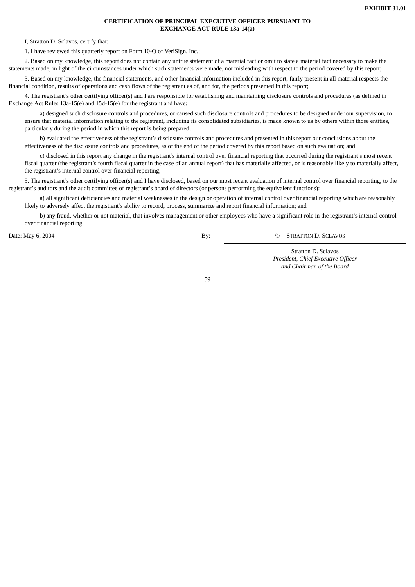**EXHIBIT 31.01**

# **CERTIFICATION OF PRINCIPAL EXECUTIVE OFFICER PURSUANT TO EXCHANGE ACT RULE 13a-14(a)**

I, Stratton D. Sclavos, certify that:

1. I have reviewed this quarterly report on Form 10-Q of VeriSign, Inc.;

2. Based on my knowledge, this report does not contain any untrue statement of a material fact or omit to state a material fact necessary to make the statements made, in light of the circumstances under which such statements were made, not misleading with respect to the period covered by this report;

3. Based on my knowledge, the financial statements, and other financial information included in this report, fairly present in all material respects the financial condition, results of operations and cash flows of the registrant as of, and for, the periods presented in this report;

4. The registrant's other certifying officer(s) and I are responsible for establishing and maintaining disclosure controls and procedures (as defined in Exchange Act Rules 13a-15(e) and 15d-15(e) for the registrant and have:

a) designed such disclosure controls and procedures, or caused such disclosure controls and procedures to be designed under our supervision, to ensure that material information relating to the registrant, including its consolidated subsidiaries, is made known to us by others within those entities, particularly during the period in which this report is being prepared;

b) evaluated the effectiveness of the registrant's disclosure controls and procedures and presented in this report our conclusions about the effectiveness of the disclosure controls and procedures, as of the end of the period covered by this report based on such evaluation; and

c) disclosed in this report any change in the registrant's internal control over financial reporting that occurred during the registrant's most recent fiscal quarter (the registrant's fourth fiscal quarter in the case of an annual report) that has materially affected, or is reasonably likely to materially affect, the registrant's internal control over financial reporting;

5. The registrant's other certifying officer(s) and I have disclosed, based on our most recent evaluation of internal control over financial reporting, to the registrant's auditors and the audit committee of registrant's board of directors (or persons performing the equivalent functions):

a) all significant deficiencies and material weaknesses in the design or operation of internal control over financial reporting which are reasonably likely to adversely affect the registrant's ability to record, process, summarize and report financial information; and

b) any fraud, whether or not material, that involves management or other employees who have a significant role in the registrant's internal control over financial reporting.

Date: May 6, 2004 **By:** /s/ STRATTON D. SCLAVOS

Stratton D. Sclavos *President, Chief Executive Officer and Chairman of the Board*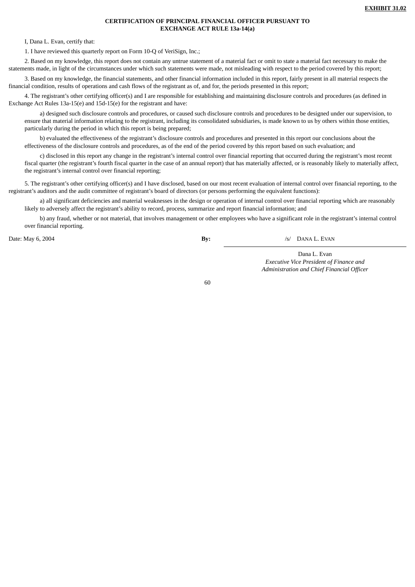**EXHIBIT 31.02**

# **CERTIFICATION OF PRINCIPAL FINANCIAL OFFICER PURSUANT TO EXCHANGE ACT RULE 13a-14(a)**

I, Dana L. Evan, certify that:

1. I have reviewed this quarterly report on Form 10-Q of VeriSign, Inc.;

2. Based on my knowledge, this report does not contain any untrue statement of a material fact or omit to state a material fact necessary to make the statements made, in light of the circumstances under which such statements were made, not misleading with respect to the period covered by this report;

3. Based on my knowledge, the financial statements, and other financial information included in this report, fairly present in all material respects the financial condition, results of operations and cash flows of the registrant as of, and for, the periods presented in this report;

4. The registrant's other certifying officer(s) and I are responsible for establishing and maintaining disclosure controls and procedures (as defined in Exchange Act Rules 13a-15(e) and 15d-15(e) for the registrant and have:

a) designed such disclosure controls and procedures, or caused such disclosure controls and procedures to be designed under our supervision, to ensure that material information relating to the registrant, including its consolidated subsidiaries, is made known to us by others within those entities, particularly during the period in which this report is being prepared;

b) evaluated the effectiveness of the registrant's disclosure controls and procedures and presented in this report our conclusions about the effectiveness of the disclosure controls and procedures, as of the end of the period covered by this report based on such evaluation; and

c) disclosed in this report any change in the registrant's internal control over financial reporting that occurred during the registrant's most recent fiscal quarter (the registrant's fourth fiscal quarter in the case of an annual report) that has materially affected, or is reasonably likely to materially affect, the registrant's internal control over financial reporting;

5. The registrant's other certifying officer(s) and I have disclosed, based on our most recent evaluation of internal control over financial reporting, to the registrant's auditors and the audit committee of registrant's board of directors (or persons performing the equivalent functions):

a) all significant deficiencies and material weaknesses in the design or operation of internal control over financial reporting which are reasonably likely to adversely affect the registrant's ability to record, process, summarize and report financial information; and

b) any fraud, whether or not material, that involves management or other employees who have a significant role in the registrant's internal control over financial reporting.

Date: May 6, 2004 **By:** /s/ DANA L. EVAN

Dana L. Evan *Executive Vice President of Finance and Administration and Chief Financial Officer*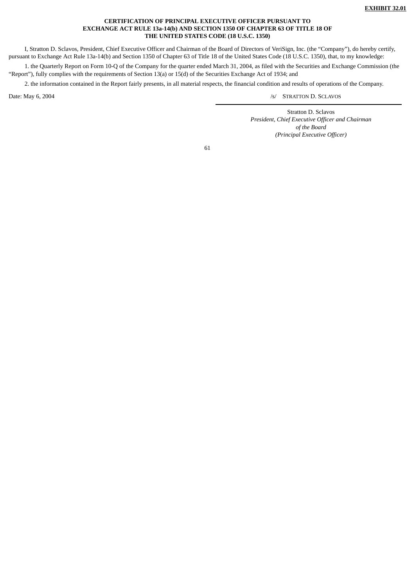# **CERTIFICATION OF PRINCIPAL EXECUTIVE OFFICER PURSUANT TO EXCHANGE ACT RULE 13a-14(b) AND SECTION 1350 OF CHAPTER 63 OF TITLE 18 OF THE UNITED STATES CODE (18 U.S.C. 1350)**

I, Stratton D. Sclavos, President, Chief Executive Officer and Chairman of the Board of Directors of VeriSign, Inc. (the "Company"), do hereby certify, pursuant to Exchange Act Rule 13a-14(b) and Section 1350 of Chapter 63 of Title 18 of the United States Code (18 U.S.C. 1350), that, to my knowledge:

1. the Quarterly Report on Form 10-Q of the Company for the quarter ended March 31, 2004, as filed with the Securities and Exchange Commission (the "Report"), fully complies with the requirements of Section 13(a) or 15(d) of the Securities Exchange Act of 1934; and

2. the information contained in the Report fairly presents, in all material respects, the financial condition and results of operations of the Company.

Date: May 6, 2004 */s/ STRATTON D. SCLAVOS* 

Stratton D. Sclavos *President, Chief Executive Officer and Chairman of the Board (Principal Executive Officer)*